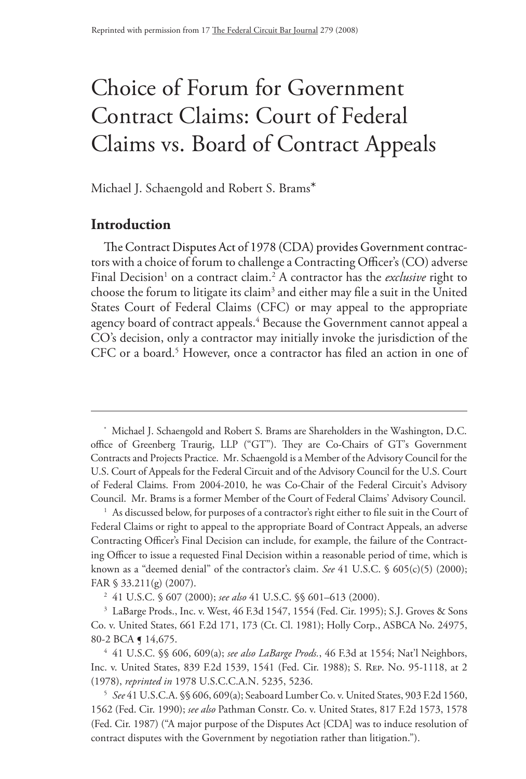# Choice of Forum for Government Contract Claims: Court of Federal Claims vs. Board of Contract Appeals

Michael J. Schaengold and Robert S. Brams\*

# **Introduction**

The Contract Disputes Act of 1978 (CDA) provides Government contractors with a choice of forum to challenge a Contracting Officer's (CO) adverse Final Decision<sup>1</sup> on a contract claim.<sup>2</sup> A contractor has the *exclusive* right to choose the forum to litigate its claim<sup>3</sup> and either may file a suit in the United States Court of Federal Claims (CFC) or may appeal to the appropriate agency board of contract appeals.<sup>4</sup> Because the Government cannot appeal a CO's decision, only a contractor may initially invoke the jurisdiction of the CFC or a board.<sup>5</sup> However, once a contractor has filed an action in one of

<sup>\*</sup> Michael J. Schaengold and Robert S. Brams are Shareholders in the Washington, D.C. office of Greenberg Traurig, LLP ("GT"). They are Co-Chairs of GT's Government Contracts and Projects Practice. Mr. Schaengold is a Member of the Advisory Council for the U.S. Court of Appeals for the Federal Circuit and of the Advisory Council for the U.S. Court of Federal Claims. From 2004-2010, he was Co-Chair of the Federal Circuit's Advisory Council. Mr. Brams is a former Member of the Court of Federal Claims' Advisory Council.

 $1$  As discussed below, for purposes of a contractor's right either to file suit in the Court of Federal Claims or right to appeal to the appropriate Board of Contract Appeals, an adverse Contracting Officer's Final Decision can include, for example, the failure of the Contracting Officer to issue a requested Final Decision within a reasonable period of time, which is known as a "deemed denial" of the contractor's claim. *See* 41 U.S.C. § 605(c)(5) (2000); FAR § 33.211(g) (2007).

<sup>2</sup> 41 U.S.C. § 607 (2000); *see also* 41 U.S.C. §§ 601–613 (2000).

<sup>&</sup>lt;sup>3</sup> LaBarge Prods., Inc. v. West, 46 F.3d 1547, 1554 (Fed. Cir. 1995); S.J. Groves & Sons Co. v. United States, 661 F.2d 171, 173 (Ct. Cl. 1981); Holly Corp., ASBCA No. 24975, 80-2 BCA **[** 14,675.

<sup>4</sup> 41 U.S.C. §§ 606, 609(a); *see also LaBarge Prods.*, 46 F.3d at 1554; Nat'l Neighbors, Inc. v. United States, 839 F.2d 1539, 1541 (Fed. Cir. 1988); S. Rep. No. 95-1118, at 2 (1978), *reprinted in* 1978 U.S.C.C.A.N. 5235, 5236.

<sup>5</sup> *See* 41 U.S.C.A. §§ 606, 609(a); Seaboard LumberCo. v. United States, 903 F.2d 1560, 1562 (Fed. Cir. 1990); *see also* Pathman Constr. Co. v. United States, 817 F.2d 1573, 1578 (Fed. Cir. 1987) ("A major purpose of the Disputes Act {CDA] was to induce resolution of contract disputes with the Government by negotiation rather than litigation.").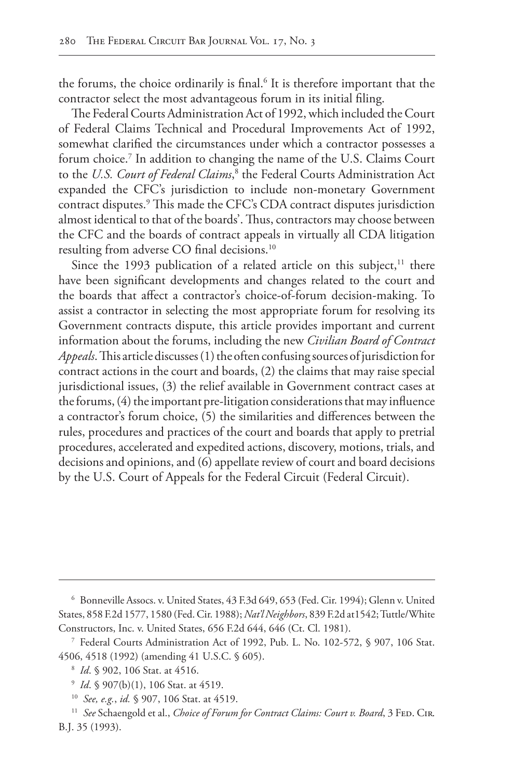the forums, the choice ordinarily is final.<sup>6</sup> It is therefore important that the contractor select the most advantageous forum in its initial filing.

The Federal Courts Administration Act of 1992, which included the Court of Federal Claims Technical and Procedural Improvements Act of 1992, somewhat clarified the circumstances under which a contractor possesses a forum choice.<sup>7</sup> In addition to changing the name of the U.S. Claims Court to the *U.S. Court of Federal Claims*, 8 the Federal Courts Administration Act expanded the CFC's jurisdiction to include non-monetary Government contract disputes.9 This made the CFC's CDA contract disputes jurisdiction almost identical to that of the boards'. Thus, contractors may choose between the CFC and the boards of contract appeals in virtually all CDA litigation resulting from adverse CO final decisions.10

Since the 1993 publication of a related article on this subject, $11$  there have been significant developments and changes related to the court and the boards that affect a contractor's choice-of-forum decision-making. To assist a contractor in selecting the most appropriate forum for resolving its Government contracts dispute, this article provides important and current information about the forums, including the new *Civilian Board of Contract Appeals*. This article discusses (1) the often confusing sources of jurisdiction for contract actions in the court and boards, (2) the claims that may raise special jurisdictional issues, (3) the relief available in Government contract cases at the forums, (4) the important pre-litigation considerations that may influence a contractor's forum choice, (5) the similarities and differences between the rules, procedures and practices of the court and boards that apply to pretrial procedures, accelerated and expedited actions, discovery, motions, trials, and decisions and opinions, and (6) appellate review of court and board decisions by the U.S. Court of Appeals for the Federal Circuit (Federal Circuit).

<sup>6</sup> Bonneville Assocs. v. United States, 43 F.3d 649, 653 (Fed. Cir. 1994); Glenn v. United States, 858 F.2d 1577, 1580 (Fed. Cir. 1988); *Nat'l Neighbors*, 839 F.2d at1542; Tuttle/White Constructors, Inc. v. United States, 656 F.2d 644, 646 (Ct. Cl. 1981).

<sup>7</sup> Federal Courts Administration Act of 1992, Pub. L. No. 102-572, § 907, 106 Stat. 4506, 4518 (1992) (amending 41 U.S.C. § 605).

<sup>8</sup> *Id*. § 902, 106 Stat. at 4516.

<sup>9</sup> *Id*. § 907(b)(1), 106 Stat. at 4519.

<sup>10</sup> *See, e.g.*, *id.* § 907, 106 Stat. at 4519.

<sup>&</sup>lt;sup>11</sup> See Schaengold et al., *Choice of Forum for Contract Claims: Court v. Board*, 3 FED. CIR. B.J. 35 (1993).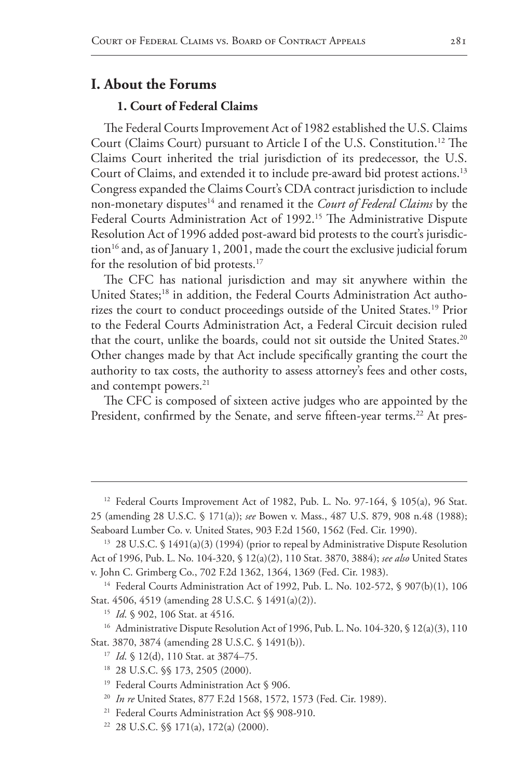# **I. About the Forums**

# **1. Court of Federal Claims**

The Federal Courts Improvement Act of 1982 established the U.S. Claims Court (Claims Court) pursuant to Article I of the U.S. Constitution.12 The Claims Court inherited the trial jurisdiction of its predecessor, the U.S. Court of Claims, and extended it to include pre-award bid protest actions.<sup>13</sup> Congress expanded the Claims Court's CDA contract jurisdiction to include non-monetary disputes14 and renamed it the *Court of Federal Claims* by the Federal Courts Administration Act of 1992.<sup>15</sup> The Administrative Dispute Resolution Act of 1996 added post-award bid protests to the court's jurisdic- $\frac{1}{6}$  and, as of January 1, 2001, made the court the exclusive judicial forum for the resolution of bid protests.<sup>17</sup>

The CFC has national jurisdiction and may sit anywhere within the United States;<sup>18</sup> in addition, the Federal Courts Administration Act authorizes the court to conduct proceedings outside of the United States.<sup>19</sup> Prior to the Federal Courts Administration Act, a Federal Circuit decision ruled that the court, unlike the boards, could not sit outside the United States.<sup>20</sup> Other changes made by that Act include specifically granting the court the authority to tax costs, the authority to assess attorney's fees and other costs, and contempt powers.<sup>21</sup>

The CFC is composed of sixteen active judges who are appointed by the President, confirmed by the Senate, and serve fifteen-year terms.<sup>22</sup> At pres-

<sup>14</sup> Federal Courts Administration Act of 1992, Pub. L. No. 102-572, § 907(b)(1), 106 Stat. 4506, 4519 (amending 28 U.S.C. § 1491(a)(2)).

<sup>16</sup> Administrative Dispute Resolution Act of 1996, Pub. L. No. 104-320, § 12(a)(3), 110 Stat. 3870, 3874 (amending 28 U.S.C. § 1491(b)).

<sup>&</sup>lt;sup>12</sup> Federal Courts Improvement Act of 1982, Pub. L. No. 97-164, § 105(a), 96 Stat. 25 (amending 28 U.S.C. § 171(a)); *see* Bowen v. Mass., 487 U.S. 879, 908 n.48 (1988); Seaboard Lumber Co. v. United States, 903 F.2d 1560, 1562 (Fed. Cir. 1990).

<sup>&</sup>lt;sup>13</sup> 28 U.S.C. § 1491(a)(3) (1994) (prior to repeal by Administrative Dispute Resolution Act of 1996, Pub. L. No. 104-320, § 12(a)(2), 110 Stat. 3870, 3884); *see also* United States v. John C. Grimberg Co., 702 F.2d 1362, 1364, 1369 (Fed. Cir. 1983).

<sup>15</sup> *Id*. § 902, 106 Stat. at 4516.

<sup>&</sup>lt;sup>17</sup> *Id.* § 12(d), 110 Stat. at 3874–75.

<sup>18</sup> 28 U.S.C. §§ 173, 2505 (2000).

<sup>&</sup>lt;sup>19</sup> Federal Courts Administration Act § 906.

<sup>20</sup> *In re* United States, 877 F.2d 1568, 1572, 1573 (Fed. Cir. 1989).

<sup>21</sup> Federal Courts Administration Act §§ 908-910.

<sup>22</sup> 28 U.S.C. §§ 171(a), 172(a) (2000).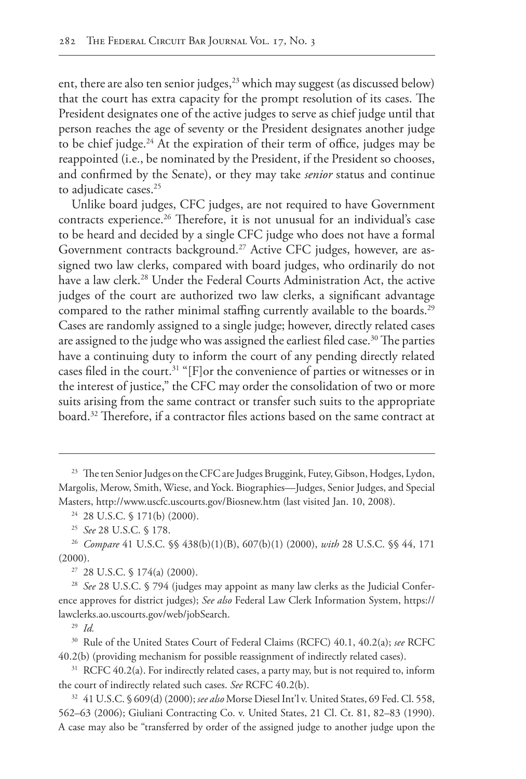ent, there are also ten senior judges,<sup>23</sup> which may suggest (as discussed below) that the court has extra capacity for the prompt resolution of its cases. The President designates one of the active judges to serve as chief judge until that person reaches the age of seventy or the President designates another judge to be chief judge. $^{24}$  At the expiration of their term of office, judges may be reappointed (i.e., be nominated by the President, if the President so chooses, and confirmed by the Senate), or they may take *senior* status and continue to adjudicate cases.<sup>25</sup>

Unlike board judges, CFC judges, are not required to have Government contracts experience.<sup>26</sup> Therefore, it is not unusual for an individual's case to be heard and decided by a single CFC judge who does not have a formal Government contracts background.<sup>27</sup> Active CFC judges, however, are assigned two law clerks, compared with board judges, who ordinarily do not have a law clerk.<sup>28</sup> Under the Federal Courts Administration Act, the active judges of the court are authorized two law clerks, a significant advantage compared to the rather minimal staffing currently available to the boards.<sup>29</sup> Cases are randomly assigned to a single judge; however, directly related cases are assigned to the judge who was assigned the earliest filed case.<sup>30</sup> The parties have a continuing duty to inform the court of any pending directly related cases filed in the court.<sup>31</sup> "[F]or the convenience of parties or witnesses or in the interest of justice," the CFC may order the consolidation of two or more suits arising from the same contract or transfer such suits to the appropriate board.32 Therefore, if a contractor files actions based on the same contract at

<sup>27</sup> 28 U.S.C. § 174(a) (2000).

<sup>28</sup> *See* 28 U.S.C. § 794 (judges may appoint as many law clerks as the Judicial Conference approves for district judges); *See also* Federal Law Clerk Information System, https:// lawclerks.ao.uscourts.gov/web/jobSearch.

<sup>29</sup> *Id.*

<sup>30</sup> Rule of the United States Court of Federal Claims (RCFC) 40.1, 40.2(a); *see* RCFC 40.2(b) (providing mechanism for possible reassignment of indirectly related cases).

 $31$  RCFC 40.2(a). For indirectly related cases, a party may, but is not required to, inform the court of indirectly related such cases. *See* RCFC 40.2(b).

<sup>32</sup> 41 U.S.C. § 609(d) (2000); *see also* Morse Diesel Int'l v. United States, 69 Fed. Cl. 558, 562–63 (2006); Giuliani Contracting Co. v. United States, 21 Cl. Ct. 81, 82–83 (1990). A case may also be "transferred by order of the assigned judge to another judge upon the

<sup>&</sup>lt;sup>23</sup> The ten Senior Judges on the CFC are Judges Bruggink, Futey, Gibson, Hodges, Lydon, Margolis, Merow, Smith, Wiese, and Yock. Biographies—Judges, Senior Judges, and Special Masters, http://www.uscfc.uscourts.gov/Biosnew.htm (last visited Jan. 10, 2008).

<sup>24</sup> 28 U.S.C. § 171(b) (2000).

<sup>25</sup> *See* 28 U.S.C. § 178.

<sup>26</sup> *Compare* 41 U.S.C. §§ 438(b)(1)(B), 607(b)(1) (2000), *with* 28 U.S.C. §§ 44, 171 (2000).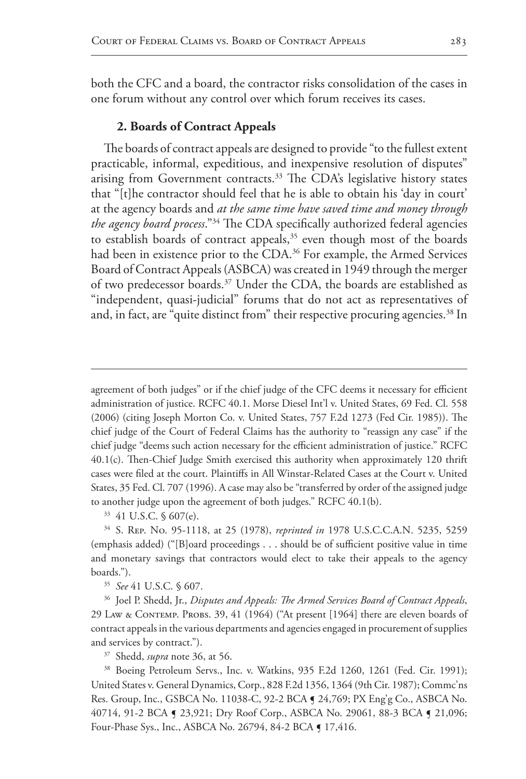both the CFC and a board, the contractor risks consolidation of the cases in one forum without any control over which forum receives its cases.

## **2. Boards of Contract Appeals**

The boards of contract appeals are designed to provide "to the fullest extent practicable, informal, expeditious, and inexpensive resolution of disputes" arising from Government contracts.<sup>33</sup> The CDA's legislative history states that "[t]he contractor should feel that he is able to obtain his 'day in court' at the agency boards and *at the same time have saved time and money through the agency board process*."34 The CDA specifically authorized federal agencies to establish boards of contract appeals,<sup>35</sup> even though most of the boards had been in existence prior to the CDA.<sup>36</sup> For example, the Armed Services Board of Contract Appeals (ASBCA) was created in 1949 through the merger of two predecessor boards.37 Under the CDA, the boards are established as "independent, quasi-judicial" forums that do not act as representatives of and, in fact, are "quite distinct from" their respective procuring agencies.<sup>38</sup> In

<sup>37</sup> Shedd, *supra* note 36, at 56.

<sup>38</sup> Boeing Petroleum Servs., Inc. v. Watkins, 935 F.2d 1260, 1261 (Fed. Cir. 1991); United States v. General Dynamics, Corp., 828 F.2d 1356, 1364 (9th Cir. 1987); Commc'ns Res. Group, Inc., GSBCA No. 11038-C, 92-2 BCA ¶ 24,769; PX Eng'g Co., ASBCA No. 40714, 91-2 BCA ¶ 23,921; Dry Roof Corp., ASBCA No. 29061, 88-3 BCA ¶ 21,096; Four-Phase Sys., Inc., ASBCA No. 26794, 84-2 BCA ¶ 17,416.

agreement of both judges" or if the chief judge of the CFC deems it necessary for efficient administration of justice. RCFC 40.1. Morse Diesel Int'l v. United States, 69 Fed. Cl. 558 (2006) (citing Joseph Morton Co. v. United States, 757 F.2d 1273 (Fed Cir. 1985)). The chief judge of the Court of Federal Claims has the authority to "reassign any case" if the chief judge "deems such action necessary for the efficient administration of justice." RCFC 40.1(c). Then-Chief Judge Smith exercised this authority when approximately 120 thrift cases were filed at the court. Plaintiffs in All Winstar-Related Cases at the Court v. United States, 35 Fed. Cl. 707 (1996). A case may also be "transferred by order of the assigned judge to another judge upon the agreement of both judges." RCFC 40.1(b).

<sup>33</sup> 41 U.S.C. § 607(e).

<sup>34</sup> S. Rep. No. 95-1118, at 25 (1978), *reprinted in* 1978 U.S.C.C.A.N. 5235, 5259 (emphasis added) ("[B]oard proceedings . . . should be of sufficient positive value in time and monetary savings that contractors would elect to take their appeals to the agency boards.").

<sup>35</sup> *See* 41 U.S.C. § 607.

<sup>36</sup> Joel P. Shedd, Jr., *Disputes and Appeals: The Armed Services Board of Contract Appeals*, 29 Law & Contemp. Probs. 39, 41 (1964) ("At present [1964] there are eleven boards of contract appeals in the various departments and agencies engaged in procurement of supplies and services by contract.").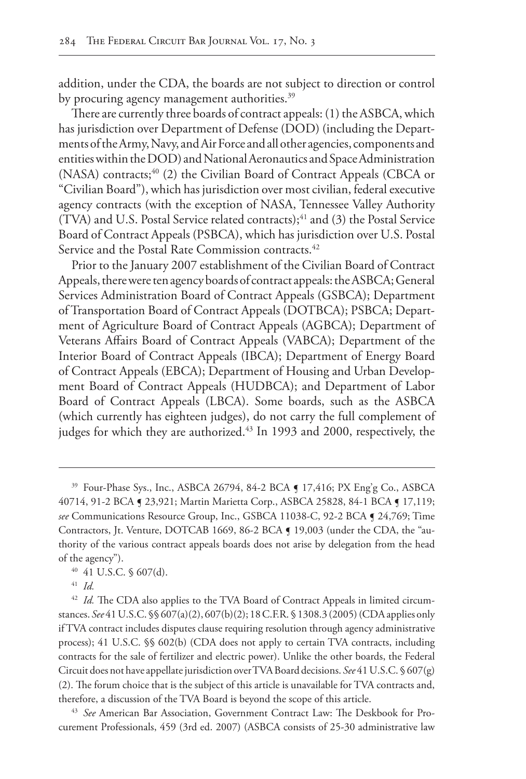addition, under the CDA, the boards are not subject to direction or control by procuring agency management authorities.<sup>39</sup>

There are currently three boards of contract appeals: (1) the ASBCA, which has jurisdiction over Department of Defense (DOD) (including the Departments of the Army, Navy, and Air Force and all other agencies, components and entities within the DOD) and National Aeronautics and Space Administration (NASA) contracts;<sup>40</sup> (2) the Civilian Board of Contract Appeals (CBCA or "Civilian Board"), which has jurisdiction over most civilian, federal executive agency contracts (with the exception of NASA, Tennessee Valley Authority (TVA) and U.S. Postal Service related contracts);<sup>41</sup> and (3) the Postal Service Board of Contract Appeals (PSBCA), which has jurisdiction over U.S. Postal Service and the Postal Rate Commission contracts.<sup>42</sup>

Prior to the January 2007 establishment of the Civilian Board of Contract Appeals, there were ten agency boards of contract appeals: the ASBCA; General Services Administration Board of Contract Appeals (GSBCA); Department of Transportation Board of Contract Appeals (DOTBCA); PSBCA; Department of Agriculture Board of Contract Appeals (AGBCA); Department of Veterans Affairs Board of Contract Appeals (VABCA); Department of the Interior Board of Contract Appeals (IBCA); Department of Energy Board of Contract Appeals (EBCA); Department of Housing and Urban Development Board of Contract Appeals (HUDBCA); and Department of Labor Board of Contract Appeals (LBCA). Some boards, such as the ASBCA (which currently has eighteen judges), do not carry the full complement of judges for which they are authorized.<sup>43</sup> In 1993 and 2000, respectively, the

<sup>43</sup> *See* American Bar Association, Government Contract Law: The Deskbook for Procurement Professionals, 459 (3rd ed. 2007) (ASBCA consists of 25-30 administrative law

<sup>&</sup>lt;sup>39</sup> Four-Phase Sys., Inc., ASBCA 26794, 84-2 BCA **[ 17,416; PX Eng'g Co., ASBCA** 40714, 91-2 BCA ¶ 23,921; Martin Marietta Corp., ASBCA 25828, 84-1 BCA ¶ 17,119; *see* Communications Resource Group, Inc., GSBCA 11038-C, 92-2 BCA ¶ 24,769; Time Contractors, Jt. Venture, DOTCAB 1669, 86-2 BCA  $\sim$  19,003 (under the CDA, the "authority of the various contract appeals boards does not arise by delegation from the head of the agency").

<sup>40</sup> 41 U.S.C. § 607(d).

<sup>41</sup> *Id.*

<sup>&</sup>lt;sup>42</sup> *Id.* The CDA also applies to the TVA Board of Contract Appeals in limited circumstances. *See* 41 U.S.C. §§ 607(a)(2), 607(b)(2); 18 C.F.R. § 1308.3 (2005) (CDA applies only if TVA contract includes disputes clause requiring resolution through agency administrative process); 41 U.S.C. §§ 602(b) (CDA does not apply to certain TVA contracts, including contracts for the sale of fertilizer and electric power). Unlike the other boards, the Federal Circuit does not have appellate jurisdiction over TVA Board decisions. *See* 41 U.S.C. § 607(g) (2). The forum choice that is the subject of this article is unavailable for TVA contracts and, therefore, a discussion of the TVA Board is beyond the scope of this article.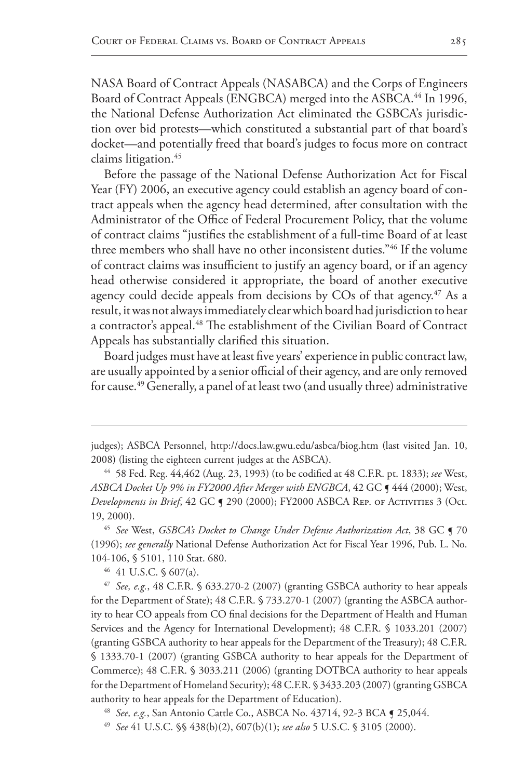NASA Board of Contract Appeals (NASABCA) and the Corps of Engineers Board of Contract Appeals (ENGBCA) merged into the ASBCA.<sup>44</sup> In 1996, the National Defense Authorization Act eliminated the GSBCA's jurisdiction over bid protests—which constituted a substantial part of that board's docket—and potentially freed that board's judges to focus more on contract claims litigation.45

Before the passage of the National Defense Authorization Act for Fiscal Year (FY) 2006, an executive agency could establish an agency board of contract appeals when the agency head determined, after consultation with the Administrator of the Office of Federal Procurement Policy, that the volume of contract claims "justifies the establishment of a full-time Board of at least three members who shall have no other inconsistent duties."46 If the volume of contract claims was insufficient to justify an agency board, or if an agency head otherwise considered it appropriate, the board of another executive agency could decide appeals from decisions by COs of that agency.<sup>47</sup> As a result, it was not always immediately clear which board had jurisdiction to hear a contractor's appeal.<sup>48</sup> The establishment of the Civilian Board of Contract Appeals has substantially clarified this situation.

Board judges must have at least five years' experience in public contract law, are usually appointed by a senior official of their agency, and are only removed for cause.<sup>49</sup> Generally, a panel of at least two (and usually three) administrative

<sup>46</sup> 41 U.S.C. § 607(a).

<sup>47</sup> *See, e.g.*, 48 C.F.R. § 633.270-2 (2007) (granting GSBCA authority to hear appeals for the Department of State); 48 C.F.R. § 733.270-1 (2007) (granting the ASBCA authority to hear CO appeals from CO final decisions for the Department of Health and Human Services and the Agency for International Development); 48 C.F.R. § 1033.201 (2007) (granting GSBCA authority to hear appeals for the Department of the Treasury); 48 C.F.R. § 1333.70-1 (2007) (granting GSBCA authority to hear appeals for the Department of Commerce); 48 C.F.R. § 3033.211 (2006) (granting DOTBCA authority to hear appeals for the Department of Homeland Security); 48 C.F.R. § 3433.203 (2007) (granting GSBCA authority to hear appeals for the Department of Education).

<sup>48</sup> *See, e.g.*, San Antonio Cattle Co., ASBCA No. 43714, 92-3 BCA ¶ 25,044.

judges); ASBCA Personnel, http://docs.law.gwu.edu/asbca/biog.htm (last visited Jan. 10, 2008) (listing the eighteen current judges at the ASBCA).

<sup>44</sup> 58 Fed. Reg. 44,462 (Aug. 23, 1993) (to be codified at 48 C.F.R. pt. 1833); *see* West, *ASBCA Docket Up 9% in FY2000 After Merger with ENGBCA*, 42 GC ¶ 444 (2000); West, *Developments in Brief*, 42 GC  $\sim$  290 (2000); FY2000 ASBCA Rep. of ACTIVITIES 3 (Oct. 19, 2000).

<sup>&</sup>lt;sup>45</sup> See West, *GSBCA's Docket to Change Under Defense Authorization Act*, 38 GC **5** 70 (1996); *see generally* National Defense Authorization Act for Fiscal Year 1996, Pub. L. No. 104-106, § 5101, 110 Stat. 680.

<sup>49</sup> *See* 41 U.S.C. §§ 438(b)(2), 607(b)(1); *see also* 5 U.S.C. § 3105 (2000).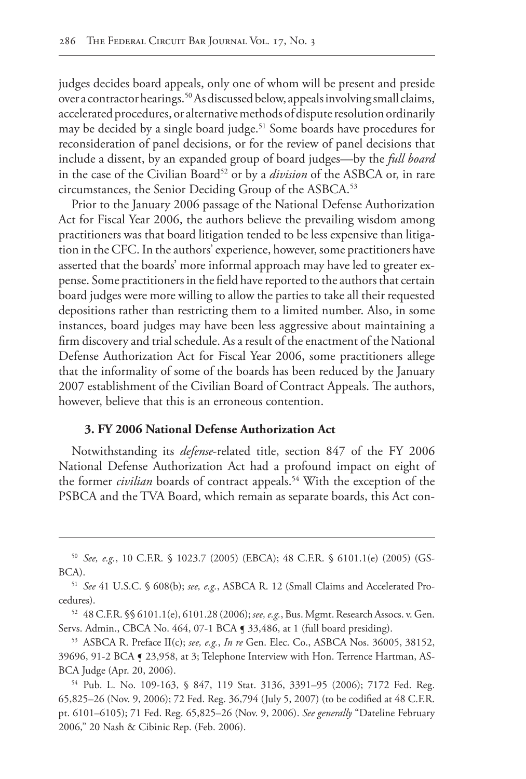judges decides board appeals, only one of whom will be present and preside over a contractor hearings.50 As discussed below, appeals involving small claims, accelerated procedures, or alternative methods of dispute resolution ordinarily may be decided by a single board judge.<sup>51</sup> Some boards have procedures for reconsideration of panel decisions, or for the review of panel decisions that include a dissent, by an expanded group of board judges—by the *full board* in the case of the Civilian Board<sup>52</sup> or by a *division* of the ASBCA or, in rare circumstances, the Senior Deciding Group of the ASBCA.<sup>53</sup>

Prior to the January 2006 passage of the National Defense Authorization Act for Fiscal Year 2006, the authors believe the prevailing wisdom among practitioners was that board litigation tended to be less expensive than litigation in the CFC. In the authors' experience, however, some practitioners have asserted that the boards' more informal approach may have led to greater expense. Some practitioners in the field have reported to the authors that certain board judges were more willing to allow the parties to take all their requested depositions rather than restricting them to a limited number. Also, in some instances, board judges may have been less aggressive about maintaining a firm discovery and trial schedule. As a result of the enactment of the National Defense Authorization Act for Fiscal Year 2006, some practitioners allege that the informality of some of the boards has been reduced by the January 2007 establishment of the Civilian Board of Contract Appeals. The authors, however, believe that this is an erroneous contention.

## **3. FY 2006 National Defense Authorization Act**

Notwithstanding its *defense*-related title, section 847 of the FY 2006 National Defense Authorization Act had a profound impact on eight of the former *civilian* boards of contract appeals.<sup>54</sup> With the exception of the PSBCA and the TVA Board, which remain as separate boards, this Act con-

<sup>50</sup> *See, e.g.*, 10 C.F.R. § 1023.7 (2005) (EBCA); 48 C.F.R. § 6101.1(e) (2005) (GS-BCA).

<sup>51</sup> *See* 41 U.S.C. § 608(b); *see, e.g.*, ASBCA R. 12 (Small Claims and Accelerated Procedures).

<sup>52</sup> 48 C.F.R. §§ 6101.1(e), 6101.28 (2006); *see, e.g.*, Bus. Mgmt. Research Assocs. v. Gen. Servs. Admin., CBCA No. 464, 07-1 BCA § 33,486, at 1 (full board presiding).

<sup>53</sup> ASBCA R. Preface II(c); *see, e.g.*, *In re* Gen. Elec. Co., ASBCA Nos. 36005, 38152, 39696, 91-2 BCA ¶ 23,958, at 3; Telephone Interview with Hon. Terrence Hartman, AS-BCA Judge (Apr. 20, 2006).

<sup>54</sup> Pub. L. No. 109-163, § 847, 119 Stat. 3136, 3391–95 (2006); 7172 Fed. Reg. 65,825–26 (Nov. 9, 2006); 72 Fed. Reg. 36,794 (July 5, 2007) (to be codified at 48 C.F.R. pt. 6101–6105); 71 Fed. Reg. 65,825–26 (Nov. 9, 2006). *See generally* "Dateline February 2006," 20 Nash & Cibinic Rep. (Feb. 2006).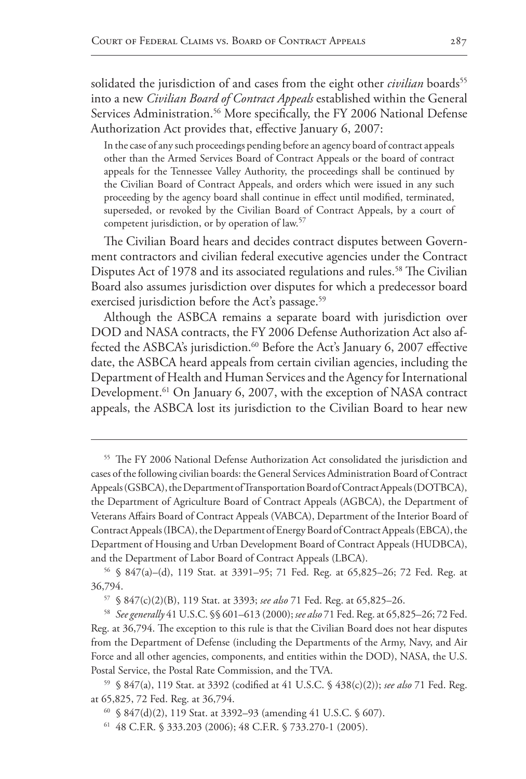solidated the jurisdiction of and cases from the eight other *civilian* boards<sup>55</sup> into a new *Civilian Board of Contract Appeals* established within the General Services Administration.<sup>56</sup> More specifically, the FY 2006 National Defense Authorization Act provides that, effective January 6, 2007:

In the case of any such proceedings pending before an agency board of contract appeals other than the Armed Services Board of Contract Appeals or the board of contract appeals for the Tennessee Valley Authority, the proceedings shall be continued by the Civilian Board of Contract Appeals, and orders which were issued in any such proceeding by the agency board shall continue in effect until modified, terminated, superseded, or revoked by the Civilian Board of Contract Appeals, by a court of competent jurisdiction, or by operation of law.57

The Civilian Board hears and decides contract disputes between Government contractors and civilian federal executive agencies under the Contract Disputes Act of 1978 and its associated regulations and rules.<sup>58</sup> The Civilian Board also assumes jurisdiction over disputes for which a predecessor board exercised jurisdiction before the Act's passage.<sup>59</sup>

Although the ASBCA remains a separate board with jurisdiction over DOD and NASA contracts, the FY 2006 Defense Authorization Act also affected the ASBCA's jurisdiction.<sup>60</sup> Before the Act's January 6, 2007 effective date, the ASBCA heard appeals from certain civilian agencies, including the Department of Health and Human Services and the Agency for International Development.<sup>61</sup> On January 6, 2007, with the exception of NASA contract appeals, the ASBCA lost its jurisdiction to the Civilian Board to hear new

<sup>55</sup> The FY 2006 National Defense Authorization Act consolidated the jurisdiction and cases of the following civilian boards: the General Services Administration Board of Contract Appeals (GSBCA), the Department of Transportation Board of Contract Appeals (DOTBCA), the Department of Agriculture Board of Contract Appeals (AGBCA), the Department of Veterans Affairs Board of Contract Appeals (VABCA), Department of the Interior Board of Contract Appeals (IBCA), the Department of Energy Board of Contract Appeals (EBCA), the Department of Housing and Urban Development Board of Contract Appeals (HUDBCA), and the Department of Labor Board of Contract Appeals (LBCA).

<sup>56</sup> § 847(a)–(d), 119 Stat. at 3391–95; 71 Fed. Reg. at 65,825–26; 72 Fed. Reg. at 36,794.

<sup>57</sup> § 847(c)(2)(B), 119 Stat. at 3393; *see also* 71 Fed. Reg. at 65,825–26.

<sup>58</sup> *See generally* 41 U.S.C. §§ 601–613 (2000); *see also* 71 Fed. Reg. at 65,825–26; 72 Fed. Reg. at 36,794. The exception to this rule is that the Civilian Board does not hear disputes from the Department of Defense (including the Departments of the Army, Navy, and Air Force and all other agencies, components, and entities within the DOD), NASA, the U.S. Postal Service, the Postal Rate Commission, and the TVA.

<sup>59</sup> § 847(a), 119 Stat. at 3392 (codified at 41 U.S.C. § 438(c)(2)); *see also* 71 Fed. Reg. at 65,825, 72 Fed. Reg. at 36,794.

<sup>60</sup> § 847(d)(2), 119 Stat. at 3392–93 (amending 41 U.S.C. § 607).

<sup>61</sup> 48 C.F.R. § 333.203 (2006); 48 C.F.R. § 733.270-1 (2005).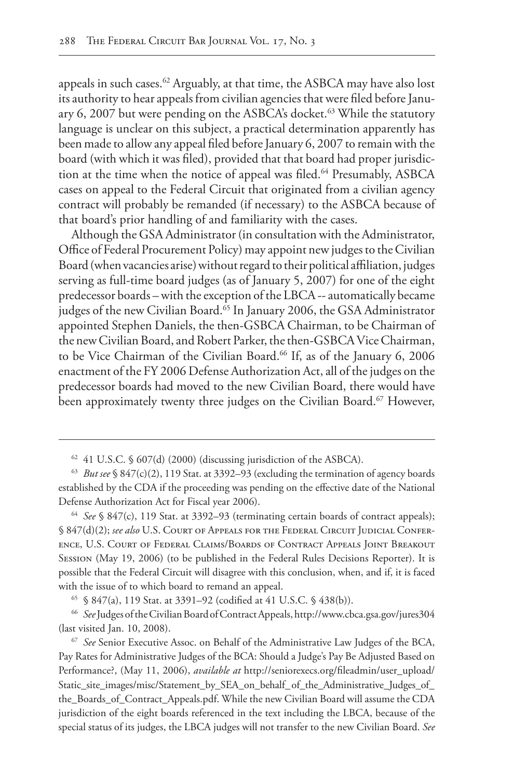appeals in such cases.<sup>62</sup> Arguably, at that time, the ASBCA may have also lost its authority to hear appeals from civilian agencies that were filed before January 6, 2007 but were pending on the ASBCA's docket.<sup>63</sup> While the statutory language is unclear on this subject, a practical determination apparently has been made to allow any appeal filed before January 6, 2007 to remain with the board (with which it was filed), provided that that board had proper jurisdiction at the time when the notice of appeal was filed.<sup>64</sup> Presumably, ASBCA cases on appeal to the Federal Circuit that originated from a civilian agency contract will probably be remanded (if necessary) to the ASBCA because of that board's prior handling of and familiarity with the cases.

Although the GSA Administrator (in consultation with the Administrator, Office of Federal Procurement Policy) may appoint new judges to the Civilian Board (when vacancies arise) without regard to their political affiliation, judges serving as full-time board judges (as of January 5, 2007) for one of the eight predecessor boards – with the exception of the LBCA -- automatically became judges of the new Civilian Board.<sup>65</sup> In January 2006, the GSA Administrator appointed Stephen Daniels, the then-GSBCA Chairman, to be Chairman of the new Civilian Board, and Robert Parker, the then-GSBCA Vice Chairman, to be Vice Chairman of the Civilian Board.<sup>66</sup> If, as of the January 6, 2006 enactment of the FY 2006 Defense Authorization Act, all of the judges on the predecessor boards had moved to the new Civilian Board, there would have been approximately twenty three judges on the Civilian Board.<sup>67</sup> However,

<sup>64</sup> *See* § 847(c), 119 Stat. at 3392–93 (terminating certain boards of contract appeals); § 847(d)(2); *see also* U.S. Court of Appeals for the Federal Circuit Judicial Conference, U.S. Court of Federal Claims/Boards of Contract Appeals Joint Breakout Session (May 19, 2006) (to be published in the Federal Rules Decisions Reporter). It is possible that the Federal Circuit will disagree with this conclusion, when, and if, it is faced with the issue of to which board to remand an appeal.

<sup>65</sup> § 847(a), 119 Stat. at 3391–92 (codified at 41 U.S.C. § 438(b)).

<sup>66</sup> *See* Judges of the Civilian Board of Contract Appeals, http://www.cbca.gsa.gov/jures304 (last visited Jan. 10, 2008).

<sup>67</sup> *See* Senior Executive Assoc. on Behalf of the Administrative Law Judges of the BCA, Pay Rates for Administrative Judges of the BCA: Should a Judge's Pay Be Adjusted Based on Performance?, (May 11, 2006), *available at* http://seniorexecs.org/fileadmin/user\_upload/ Static\_site\_images/misc/Statement\_by\_SEA\_on\_behalf\_ of\_the\_Administrative\_Judges\_of\_ the\_Boards\_of\_Contract\_Appeals.pdf. While the new Civilian Board will assume the CDA jurisdiction of the eight boards referenced in the text including the LBCA, because of the special status of its judges, the LBCA judges will not transfer to the new Civilian Board. *See* 

<sup>62</sup> 41 U.S.C. § 607(d) (2000) (discussing jurisdiction of the ASBCA).

<sup>63</sup> *But see* § 847(c)(2), 119 Stat. at 3392–93 (excluding the termination of agency boards established by the CDA if the proceeding was pending on the effective date of the National Defense Authorization Act for Fiscal year 2006).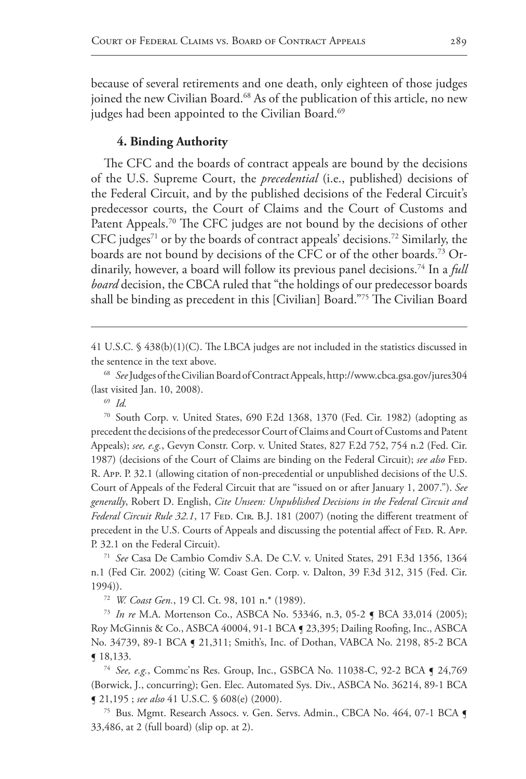because of several retirements and one death, only eighteen of those judges joined the new Civilian Board.<sup>68</sup> As of the publication of this article, no new judges had been appointed to the Civilian Board.<sup>69</sup>

## **4. Binding Authority**

The CFC and the boards of contract appeals are bound by the decisions of the U.S. Supreme Court, the *precedential* (i.e., published) decisions of the Federal Circuit, and by the published decisions of the Federal Circuit's predecessor courts, the Court of Claims and the Court of Customs and Patent Appeals.<sup>70</sup> The CFC judges are not bound by the decisions of other CFC judges<sup>71</sup> or by the boards of contract appeals' decisions.<sup>72</sup> Similarly, the boards are not bound by decisions of the CFC or of the other boards.<sup>73</sup> Ordinarily, however, a board will follow its previous panel decisions.<sup>74</sup> In a *full board* decision, the CBCA ruled that "the holdings of our predecessor boards shall be binding as precedent in this [Civilian] Board."75 The Civilian Board

41 U.S.C. § 438(b)(1)(C). The LBCA judges are not included in the statistics discussed in the sentence in the text above.

<sup>69</sup> *Id.*

<sup>70</sup> South Corp. v. United States, 690 F.2d 1368, 1370 (Fed. Cir. 1982) (adopting as precedent the decisions of the predecessor Court of Claims and Court of Customs and Patent Appeals); *see, e.g.*, Gevyn Constr. Corp. v. United States, 827 F.2d 752, 754 n.2 (Fed. Cir. 1987) (decisions of the Court of Claims are binding on the Federal Circuit); see also FED. R. App. P. 32.1 (allowing citation of non-precedential or unpublished decisions of the U.S. Court of Appeals of the Federal Circuit that are "issued on or after January 1, 2007."). *See generally*, Robert D. English, *Cite Unseen: Unpublished Decisions in the Federal Circuit and*  Federal Circuit Rule 32.1, 17 FED. CIR. B.J. 181 (2007) (noting the different treatment of precedent in the U.S. Courts of Appeals and discussing the potential affect of FED. R. App. P. 32.1 on the Federal Circuit).

<sup>71</sup> *See* Casa De Cambio Comdiv S.A. De C.V. v. United States, 291 F.3d 1356, 1364 n.1 (Fed Cir. 2002) (citing W. Coast Gen. Corp. v. Dalton, 39 F.3d 312, 315 (Fed. Cir. 1994)).

<sup>72</sup> *W. Coast Gen.*, 19 Cl. Ct. 98, 101 n.\* (1989).

<sup>73</sup> *In re* M.A. Mortenson Co., ASBCA No. 53346, n.3, 05-2 ¶ BCA 33,014 (2005); Roy McGinnis & Co., ASBCA 40004, 91-1 BCA ¶ 23,395; Dailing Roofing, Inc., ASBCA No. 34739, 89-1 BCA ¶ 21,311; Smith's, Inc. of Dothan, VABCA No. 2198, 85-2 BCA ¶ 18,133.

<sup>74</sup> *See, e.g.*, Commc'ns Res. Group, Inc., GSBCA No. 11038-C, 92-2 BCA ¶ 24,769 (Borwick, J., concurring); Gen. Elec. Automated Sys. Div., ASBCA No. 36214, 89-1 BCA ¶ 21,195 ; *see also* 41 U.S.C. § 608(e) (2000).

<sup>75</sup> Bus. Mgmt. Research Assocs. v. Gen. Servs. Admin., CBCA No. 464, 07-1 BCA ¶ 33,486, at 2 (full board) (slip op. at 2).

<sup>68</sup> *See* Judges of the Civilian Board of Contract Appeals, http://www.cbca.gsa.gov/jures304 (last visited Jan. 10, 2008).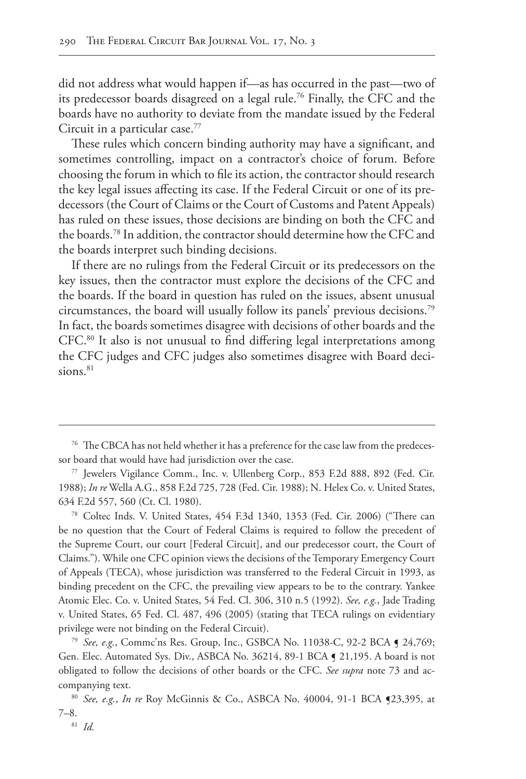did not address what would happen if—as has occurred in the past—two of its predecessor boards disagreed on a legal rule.76 Finally, the CFC and the boards have no authority to deviate from the mandate issued by the Federal Circuit in a particular case.77

These rules which concern binding authority may have a significant, and sometimes controlling, impact on a contractor's choice of forum. Before choosing the forum in which to file its action, the contractor should research the key legal issues affecting its case. If the Federal Circuit or one of its predecessors (the Court of Claims or the Court of Customs and Patent Appeals) has ruled on these issues, those decisions are binding on both the CFC and the boards.78 In addition, the contractor should determine how the CFC and the boards interpret such binding decisions.

If there are no rulings from the Federal Circuit or its predecessors on the key issues, then the contractor must explore the decisions of the CFC and the boards. If the board in question has ruled on the issues, absent unusual circumstances, the board will usually follow its panels' previous decisions.79 In fact, the boards sometimes disagree with decisions of other boards and the CFC.80 It also is not unusual to find differing legal interpretations among the CFC judges and CFC judges also sometimes disagree with Board decisions. $81$ 

<sup>79</sup> *See, e.g.*, Commc'ns Res. Group, Inc., GSBCA No. 11038-C, 92-2 BCA ¶ 24,769; Gen. Elec. Automated Sys. Div., ASBCA No. 36214, 89-1 BCA § 21,195. A board is not obligated to follow the decisions of other boards or the CFC. *See supra* note 73 and accompanying text.

<sup>&</sup>lt;sup>76</sup> The CBCA has not held whether it has a preference for the case law from the predecessor board that would have had jurisdiction over the case.

<sup>77</sup> Jewelers Vigilance Comm., Inc. v. Ullenberg Corp., 853 F.2d 888, 892 (Fed. Cir. 1988); *In re* Wella A.G., 858 F.2d 725, 728 (Fed. Cir. 1988); N. Helex Co. v. United States, 634 F.2d 557, 560 (Ct. Cl. 1980).

<sup>78</sup> Coltec Inds. V. United States, 454 F.3d 1340, 1353 (Fed. Cir. 2006) ("There can be no question that the Court of Federal Claims is required to follow the precedent of the Supreme Court, our court [Federal Circuit], and our predecessor court, the Court of Claims."). While one CFC opinion views the decisions of the Temporary Emergency Court of Appeals (TECA), whose jurisdiction was transferred to the Federal Circuit in 1993, as binding precedent on the CFC, the prevailing view appears to be to the contrary. Yankee Atomic Elec. Co. v. United States, 54 Fed. Cl. 306, 310 n.5 (1992). *See, e.g.*, Jade Trading v. United States, 65 Fed. Cl. 487, 496 (2005) (stating that TECA rulings on evidentiary privilege were not binding on the Federal Circuit).

<sup>80</sup> *See, e.g.*, *In re* Roy McGinnis & Co., ASBCA No. 40004, 91-1 BCA ¶23,395, at 7–8.81 *Id.*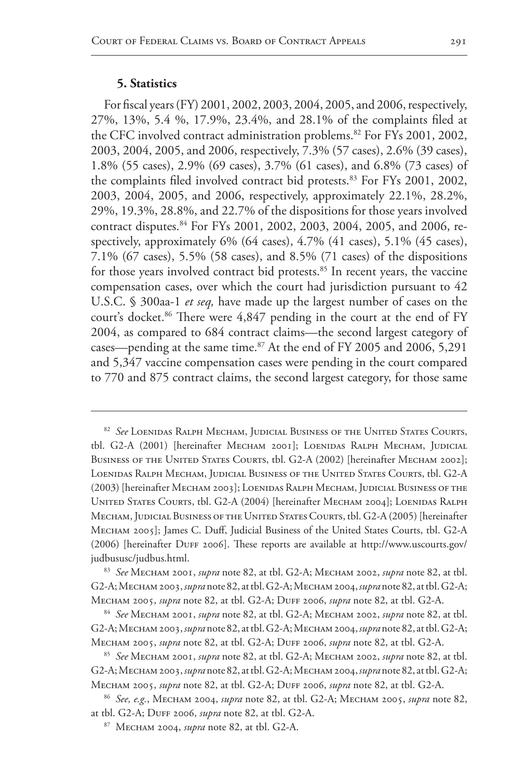#### **5. Statistics**

For fiscal years (FY) 2001, 2002, 2003, 2004, 2005, and 2006, respectively, 27%, 13%, 5.4 %, 17.9%, 23.4%, and 28.1% of the complaints filed at the CFC involved contract administration problems.<sup>82</sup> For FYs 2001, 2002, 2003, 2004, 2005, and 2006, respectively, 7.3% (57 cases), 2.6% (39 cases), 1.8% (55 cases), 2.9% (69 cases), 3.7% (61 cases), and 6.8% (73 cases) of the complaints filed involved contract bid protests.<sup>83</sup> For FYs 2001, 2002, 2003, 2004, 2005, and 2006, respectively, approximately 22.1%, 28.2%, 29%, 19.3%, 28.8%, and 22.7% of the dispositions for those years involved contract disputes.<sup>84</sup> For FYs 2001, 2002, 2003, 2004, 2005, and 2006, respectively, approximately 6% (64 cases), 4.7% (41 cases), 5.1% (45 cases), 7.1% (67 cases), 5.5% (58 cases), and 8.5% (71 cases) of the dispositions for those years involved contract bid protests.<sup>85</sup> In recent years, the vaccine compensation cases, over which the court had jurisdiction pursuant to 42 U.S.C. § 300aa-1 *et seq,* have made up the largest number of cases on the court's docket.<sup>86</sup> There were 4,847 pending in the court at the end of FY 2004, as compared to 684 contract claims—the second largest category of cases—pending at the same time.<sup>87</sup> At the end of FY 2005 and 2006, 5,291 and 5,347 vaccine compensation cases were pending in the court compared to 770 and 875 contract claims, the second largest category, for those same

<sup>82</sup> *See* Loenidas Ralph Mecham, Judicial Business of the United States Courts, tbl. G2-A (2001) [hereinafter MECHAM 2001]; LOENIDAS RALPH MECHAM, JUDICIAL BUSINESS OF THE UNITED STATES COURTS, tbl. G2-A (2002) [hereinafter MECHAM 2002]; Loenidas Ralph Mecham, Judicial Business of the United States Courts, tbl. G2-A (2003) [hereinafter Mecham 2003]; Loenidas Ralph Mecham, Judicial Business of the UNITED STATES COURTS, tbl. G2-A (2004) [hereinafter MECHAM 2004]; LOENIDAS RALPH Mecham, Judicial Business of the United States Courts, tbl. G2-A (2005) [hereinafter Mecham 2005]; James C. Duff, Judicial Business of the United States Courts, tbl. G2-A (2006) [hereinafter DUFF 2006]. These reports are available at http://www.uscourts.gov/ judbususc/judbus.html.

<sup>83</sup> *See* Mecham 2001, *supra* note 82, at tbl. G2-A; Mecham 2002, *supra* note 82, at tbl. G2-A; Mecham 2003,*supra* note 82, at tbl. G2-A; Mecham 2004,*supra* note 82, at tbl. G2-A; Mecham 2005, *supra* note 82, at tbl. G2-A; Duff 2006, *supra* note 82, at tbl. G2-A.

<sup>84</sup> *See* Mecham 2001, *supra* note 82, at tbl. G2-A; Mecham 2002, *supra* note 82, at tbl. G2-A; Mecham 2003,*supra* note 82, at tbl. G2-A; Mecham 2004,*supra* note 82, at tbl. G2-A; Mecham 2005, *supra* note 82, at tbl. G2-A; Duff 2006, *supra* note 82, at tbl. G2-A.

<sup>85</sup> *See* Mecham 2001, *supra* note 82, at tbl. G2-A; Mecham 2002, *supra* note 82, at tbl. G2-A; Mecham 2003,*supra* note 82, at tbl. G2-A; Mecham 2004,*supra* note 82, at tbl. G2-A; Mecham 2005, *supra* note 82, at tbl. G2-A; Duff 2006, *supra* note 82, at tbl. G2-A.

<sup>86</sup> *See, e.g.*, Mecham 2004, *supra* note 82, at tbl. G2-A; Mecham 2005, *supra* note 82, at tbl. G2-A; Duff 2006, *supra* note 82, at tbl. G2-A.

<sup>87</sup> Mecham 2004, *supra* note 82, at tbl. G2-A.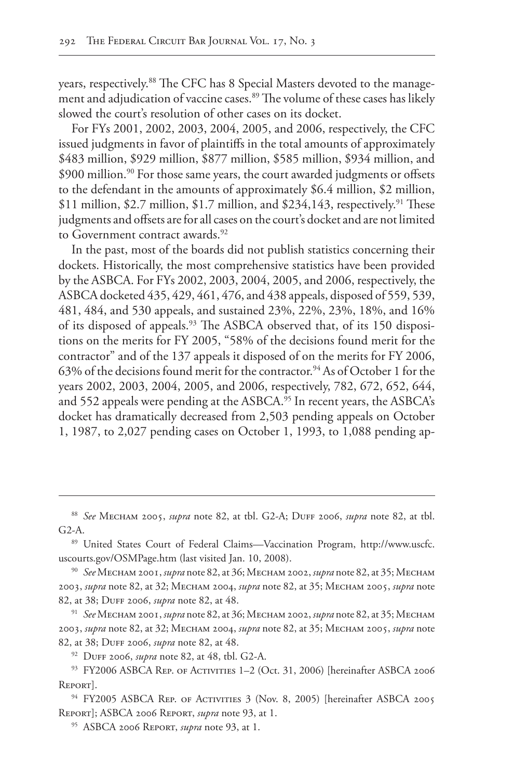years, respectively.<sup>88</sup> The CFC has 8 Special Masters devoted to the management and adjudication of vaccine cases.<sup>89</sup> The volume of these cases has likely slowed the court's resolution of other cases on its docket.

For FYs 2001, 2002, 2003, 2004, 2005, and 2006, respectively, the CFC issued judgments in favor of plaintiffs in the total amounts of approximately \$483 million, \$929 million, \$877 million, \$585 million, \$934 million, and \$900 million.<sup>90</sup> For those same years, the court awarded judgments or offsets to the defendant in the amounts of approximately \$6.4 million, \$2 million, \$11 million, \$2.7 million, \$1.7 million, and \$234,143, respectively.<sup>91</sup> These judgments and offsets are for all cases on the court's docket and are not limited to Government contract awards.<sup>92</sup>

In the past, most of the boards did not publish statistics concerning their dockets. Historically, the most comprehensive statistics have been provided by the ASBCA. For FYs 2002, 2003, 2004, 2005, and 2006, respectively, the ASBCA docketed 435, 429, 461, 476, and 438 appeals, disposed of 559, 539, 481, 484, and 530 appeals, and sustained 23%, 22%, 23%, 18%, and 16% of its disposed of appeals.<sup>93</sup> The ASBCA observed that, of its 150 dispositions on the merits for FY 2005, "58% of the decisions found merit for the contractor" and of the 137 appeals it disposed of on the merits for FY 2006, 63% of the decisions found merit for the contractor.<sup>94</sup> As of October 1 for the years 2002, 2003, 2004, 2005, and 2006, respectively, 782, 672, 652, 644, and 552 appeals were pending at the ASBCA.<sup>95</sup> In recent years, the ASBCA's docket has dramatically decreased from 2,503 pending appeals on October 1, 1987, to 2,027 pending cases on October 1, 1993, to 1,088 pending ap-

<sup>92</sup> Duff 2006, *supra* note 82, at 48, tbl. G2-A.

<sup>88</sup> *See* Mecham 2005, *supra* note 82, at tbl. G2-A; Duff 2006, *supra* note 82, at tbl. G2-A.

<sup>89</sup> United States Court of Federal Claims—Vaccination Program, http://www.uscfc. uscourts.gov/OSMPage.htm (last visited Jan. 10, 2008).

<sup>90</sup> *See* Mecham 2001, *supra* note 82, at 36; Mecham 2002, *supra* note 82, at 35; Mecham 2003, *supra* note 82, at 32; Mecham 2004, *supra* note 82, at 35; Mecham 2005, *supra* note 82, at 38; Duff 2006, *supra* note 82, at 48.

<sup>91</sup> *See* Mecham 2001, *supra* note 82, at 36; Mecham 2002, *supra* note 82, at 35; Mecham 2003, *supra* note 82, at 32; Mecham 2004, *supra* note 82, at 35; Mecham 2005, *supra* note 82, at 38; Duff 2006, *supra* note 82, at 48.

<sup>93</sup> FY2006 ASBCA REP. OF ACTIVITIES 1-2 (Oct. 31, 2006) [hereinafter ASBCA 2006 REPORT.

<sup>&</sup>lt;sup>94</sup> FY2005 ASBCA REP. OF ACTIVITIES 3 (Nov. 8, 2005) [hereinafter ASBCA 2005 Report]; ASBCA 2006 Report, *supra* note 93, at 1.

<sup>95</sup> ASBCA 2006 Report, *supra* note 93, at 1.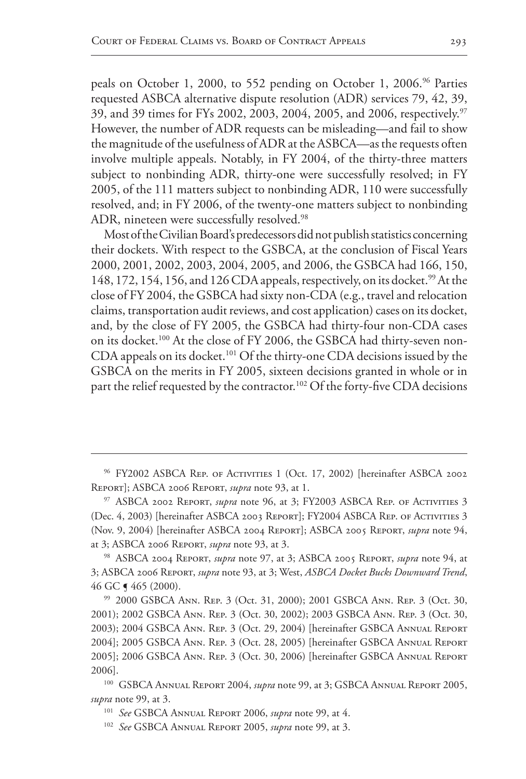peals on October 1, 2000, to 552 pending on October 1, 2006.<sup>96</sup> Parties requested ASBCA alternative dispute resolution (ADR) services 79, 42, 39, 39, and 39 times for FYs 2002, 2003, 2004, 2005, and 2006, respectively.<sup>97</sup> However, the number of ADR requests can be misleading—and fail to show the magnitude of the usefulness of ADR at the ASBCA—as the requests often involve multiple appeals. Notably, in FY 2004, of the thirty-three matters subject to nonbinding ADR, thirty-one were successfully resolved; in FY 2005, of the 111 matters subject to nonbinding ADR, 110 were successfully resolved, and; in FY 2006, of the twenty-one matters subject to nonbinding ADR, nineteen were successfully resolved.<sup>98</sup>

Most of the Civilian Board's predecessors did not publish statistics concerning their dockets. With respect to the GSBCA, at the conclusion of Fiscal Years 2000, 2001, 2002, 2003, 2004, 2005, and 2006, the GSBCA had 166, 150, 148, 172, 154, 156, and 126 CDA appeals, respectively, on its docket.<sup>99</sup> At the close of FY 2004, the GSBCA had sixty non-CDA (e.g., travel and relocation claims, transportation audit reviews, and cost application) cases on its docket, and, by the close of FY 2005, the GSBCA had thirty-four non-CDA cases on its docket.<sup>100</sup> At the close of FY 2006, the GSBCA had thirty-seven non-CDA appeals on its docket.<sup>101</sup> Of the thirty-one CDA decisions issued by the GSBCA on the merits in FY 2005, sixteen decisions granted in whole or in part the relief requested by the contractor.<sup>102</sup> Of the forty-five CDA decisions

<sup>&</sup>lt;sup>96</sup> FY2002 ASBCA REP. OF ACTIVITIES 1 (Oct. 17, 2002) [hereinafter ASBCA 2002 Report]; ASBCA 2006 Report, *supra* note 93, at 1.

<sup>&</sup>lt;sup>97</sup> ASBCA 2002 REPORT, *supra* note 96, at 3; FY2003 ASBCA REP. OF ACTIVITIES 3 (Dec. 4, 2003) [hereinafter ASBCA 2003 Report]; FY2004 ASBCA Rep. of Activities 3 (Nov. 9, 2004) [hereinafter ASBCA 2004 Report]; ASBCA 2005 Report, *supra* note 94, at 3; ASBCA 2006 Report, *supra* note 93, at 3.

<sup>98</sup> ASBCA 2004 Report, *supra* note 97, at 3; ASBCA 2005 Report, *supra* note 94, at 3; ASBCA 2006 Report, *supra* note 93, at 3; West, *ASBCA Docket Bucks Downward Trend*, 46 GC ¶ 465 (2000).

<sup>99</sup> 2000 GSBCA Ann. Rep. 3 (Oct. 31, 2000); 2001 GSBCA Ann. Rep. 3 (Oct. 30, 2001); 2002 GSBCA Ann. Rep. 3 (Oct. 30, 2002); 2003 GSBCA Ann. Rep. 3 (Oct. 30, 2003); 2004 GSBCA Ann. Rep. 3 (Oct. 29, 2004) [hereinafter GSBCA Annual Report 2004]; 2005 GSBCA Ann. Rep. 3 (Oct. 28, 2005) [hereinafter GSBCA Annual Report 2005]; 2006 GSBCA Ann. Rep. 3 (Oct. 30, 2006) [hereinafter GSBCA Annual Report 2006].

<sup>&</sup>lt;sup>100</sup> GSBCA Annual Report 2004, *supra* note 99, at 3; GSBCA Annual Report 2005, *supra* note 99, at 3.

<sup>101</sup> *See* GSBCA Annual Report 2006, *supra* note 99, at 4.

<sup>102</sup> *See* GSBCA Annual Report 2005, *supra* note 99, at 3.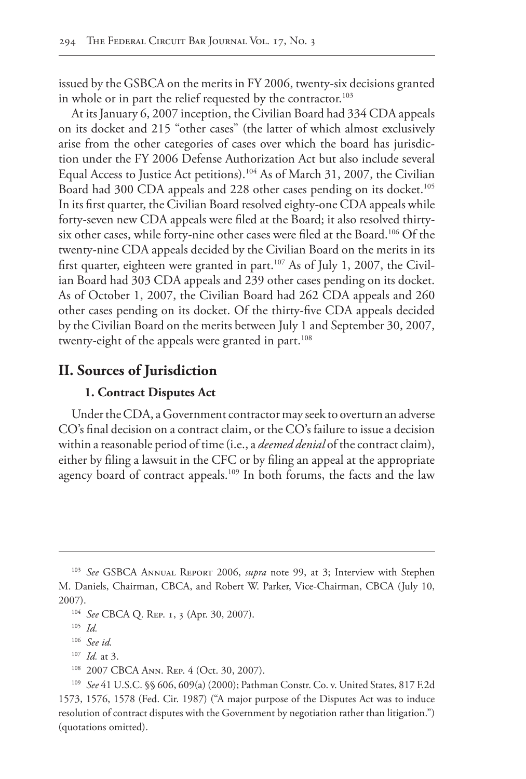issued by the GSBCA on the merits in FY 2006, twenty-six decisions granted in whole or in part the relief requested by the contractor.<sup>103</sup>

At its January 6, 2007 inception, the Civilian Board had 334 CDA appeals on its docket and 215 "other cases" (the latter of which almost exclusively arise from the other categories of cases over which the board has jurisdiction under the FY 2006 Defense Authorization Act but also include several Equal Access to Justice Act petitions).104 As of March 31, 2007, the Civilian Board had 300 CDA appeals and 228 other cases pending on its docket.<sup>105</sup> In its first quarter, the Civilian Board resolved eighty-one CDA appeals while forty-seven new CDA appeals were filed at the Board; it also resolved thirtysix other cases, while forty-nine other cases were filed at the Board.<sup>106</sup> Of the twenty-nine CDA appeals decided by the Civilian Board on the merits in its first quarter, eighteen were granted in part.<sup>107</sup> As of July 1, 2007, the Civilian Board had 303 CDA appeals and 239 other cases pending on its docket. As of October 1, 2007, the Civilian Board had 262 CDA appeals and 260 other cases pending on its docket. Of the thirty-five CDA appeals decided by the Civilian Board on the merits between July 1 and September 30, 2007, twenty-eight of the appeals were granted in part.<sup>108</sup>

# **II. Sources of Jurisdiction**

## **1. Contract Disputes Act**

Under the CDA, a Government contractor may seek to overturn an adverse CO's final decision on a contract claim, or the CO's failure to issue a decision within a reasonable period of time (i.e., a *deemed denial* of the contract claim), either by filing a lawsuit in the CFC or by filing an appeal at the appropriate agency board of contract appeals.<sup>109</sup> In both forums, the facts and the law

<sup>103</sup> *See* GSBCA Annual Report 2006, *supra* note 99, at 3; Interview with Stephen M. Daniels, Chairman, CBCA, and Robert W. Parker, Vice-Chairman, CBCA (July 10, 2007).

<sup>104</sup> *See* CBCA Q. Rep. 1, 3 (Apr. 30, 2007).

<sup>105</sup> *Id.*

<sup>106</sup> *See id.*

<sup>107</sup> *Id.* at 3.

<sup>108</sup> 2007 CBCA Ann. Rep. 4 (Oct. 30, 2007).

<sup>109</sup> *See* 41 U.S.C. §§ 606, 609(a) (2000); Pathman Constr. Co. v. United States, 817 F.2d 1573, 1576, 1578 (Fed. Cir. 1987) ("A major purpose of the Disputes Act was to induce resolution of contract disputes with the Government by negotiation rather than litigation.") (quotations omitted).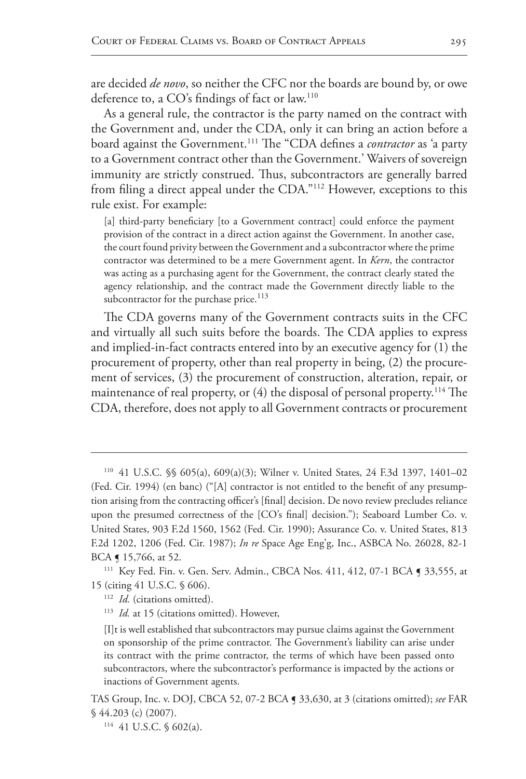are decided *de novo*, so neither the CFC nor the boards are bound by, or owe deference to, a CO's findings of fact or law.110

As a general rule, the contractor is the party named on the contract with the Government and, under the CDA, only it can bring an action before a board against the Government.111 The "CDA defines a *contractor* as 'a party to a Government contract other than the Government.' Waivers of sovereign immunity are strictly construed. Thus, subcontractors are generally barred from filing a direct appeal under the CDA."112 However, exceptions to this rule exist. For example:

[a] third-party beneficiary [to a Government contract] could enforce the payment provision of the contract in a direct action against the Government. In another case, the court found privity between the Government and a subcontractor where the prime contractor was determined to be a mere Government agent. In *Kern*, the contractor was acting as a purchasing agent for the Government, the contract clearly stated the agency relationship, and the contract made the Government directly liable to the subcontractor for the purchase price. $113$ 

The CDA governs many of the Government contracts suits in the CFC and virtually all such suits before the boards. The CDA applies to express and implied-in-fact contracts entered into by an executive agency for (1) the procurement of property, other than real property in being, (2) the procurement of services, (3) the procurement of construction, alteration, repair, or maintenance of real property, or (4) the disposal of personal property.<sup>114</sup> The CDA, therefore, does not apply to all Government contracts or procurement

<sup>110</sup> 41 U.S.C. §§ 605(a), 609(a)(3); Wilner v. United States, 24 F.3d 1397, 1401–02 (Fed. Cir. 1994) (en banc) ("[A] contractor is not entitled to the benefit of any presumption arising from the contracting officer's [final] decision. De novo review precludes reliance upon the presumed correctness of the [CO's final] decision."); Seaboard Lumber Co. v. United States, 903 F.2d 1560, 1562 (Fed. Cir. 1990); Assurance Co. v. United States, 813 F.2d 1202, 1206 (Fed. Cir. 1987); *In re* Space Age Eng'g, Inc., ASBCA No. 26028, 82-1 BCA ¶ 15,766, at 52.

<sup>&</sup>lt;sup>111</sup> Key Fed. Fin. v. Gen. Serv. Admin., CBCA Nos. 411, 412, 07-1 BCA **[ 33,555**, at 15 (citing 41 U.S.C. § 606).

<sup>&</sup>lt;sup>112</sup> *Id.* (citations omitted).

<sup>&</sup>lt;sup>113</sup> *Id.* at 15 (citations omitted). However,

<sup>[</sup>I]t is well established that subcontractors may pursue claims against the Government on sponsorship of the prime contractor. The Government's liability can arise under its contract with the prime contractor, the terms of which have been passed onto subcontractors, where the subcontractor's performance is impacted by the actions or inactions of Government agents.

TAS Group, Inc. v. DOJ, CBCA 52, 07-2 BCA ¶ 33,630, at 3 (citations omitted); *see* FAR § 44.203 (c) (2007).

<sup>114</sup> 41 U.S.C. § 602(a).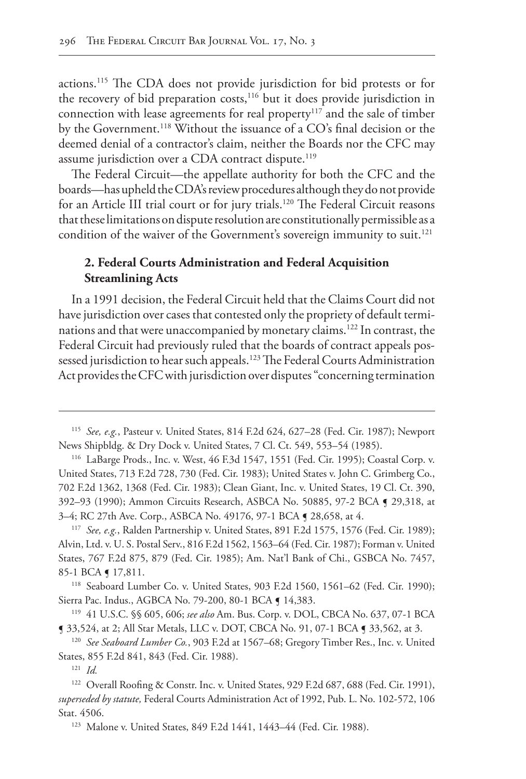actions.115 The CDA does not provide jurisdiction for bid protests or for the recovery of bid preparation costs,<sup>116</sup> but it does provide jurisdiction in connection with lease agreements for real property<sup>117</sup> and the sale of timber by the Government.<sup>118</sup> Without the issuance of a CO's final decision or the deemed denial of a contractor's claim, neither the Boards nor the CFC may assume jurisdiction over a CDA contract dispute.<sup>119</sup>

The Federal Circuit—the appellate authority for both the CFC and the boards—has upheld the CDA's review procedures although they do not provide for an Article III trial court or for jury trials.<sup>120</sup> The Federal Circuit reasons that these limitations on dispute resolution are constitutionally permissible as a condition of the waiver of the Government's sovereign immunity to suit.<sup>121</sup>

# **2. Federal Courts Administration and Federal Acquisition Streamlining Acts**

In a 1991 decision, the Federal Circuit held that the Claims Court did not have jurisdiction over cases that contested only the propriety of default terminations and that were unaccompanied by monetary claims.122 In contrast, the Federal Circuit had previously ruled that the boards of contract appeals possessed jurisdiction to hear such appeals.<sup>123</sup> The Federal Courts Administration Act provides the CFC with jurisdiction over disputes "concerning termination

<sup>118</sup> Seaboard Lumber Co. v. United States, 903 F.2d 1560, 1561–62 (Fed. Cir. 1990); Sierra Pac. Indus., AGBCA No. 79-200, 80-1 BCA § 14,383.

<sup>119</sup> 41 U.S.C. §§ 605, 606; *see also* Am. Bus. Corp. v. DOL, CBCA No. 637, 07-1 BCA ¶ 33,524, at 2; All Star Metals, LLC v. DOT, CBCA No. 91, 07-1 BCA ¶ 33,562, at 3.

<sup>120</sup> *See Seaboard Lumber Co.*, 903 F.2d at 1567–68; Gregory Timber Res., Inc. v. United States, 855 F.2d 841, 843 (Fed. Cir. 1988).

<sup>121</sup> *Id.*

<sup>115</sup> *See, e.g.*, Pasteur v. United States, 814 F.2d 624, 627–28 (Fed. Cir. 1987); Newport News Shipbldg. & Dry Dock v. United States, 7 Cl. Ct. 549, 553–54 (1985).

<sup>116</sup> LaBarge Prods., Inc. v. West, 46 F.3d 1547, 1551 (Fed. Cir. 1995); Coastal Corp. v. United States, 713 F.2d 728, 730 (Fed. Cir. 1983); United States v. John C. Grimberg Co., 702 F.2d 1362, 1368 (Fed. Cir. 1983); Clean Giant, Inc. v. United States, 19 Cl. Ct. 390, 392–93 (1990); Ammon Circuits Research, ASBCA No. 50885, 97-2 BCA ¶ 29,318, at 3–4; RC 27th Ave. Corp., ASBCA No. 49176, 97-1 BCA ¶ 28,658, at 4.

<sup>117</sup> *See, e.g.*, Ralden Partnership v. United States, 891 F.2d 1575, 1576 (Fed. Cir. 1989); Alvin, Ltd. v. U. S. Postal Serv., 816 F.2d 1562, 1563–64 (Fed. Cir. 1987); Forman v. United States, 767 F.2d 875, 879 (Fed. Cir. 1985); Am. Nat'l Bank of Chi., GSBCA No. 7457, 85-1 BCA **[** 17,811.

<sup>&</sup>lt;sup>122</sup> Overall Roofing & Constr. Inc. v. United States, 929 F.2d 687, 688 (Fed. Cir. 1991), *superseded by statute,* Federal Courts Administration Act of 1992, Pub. L. No. 102-572, 106 Stat. 4506.

<sup>123</sup> Malone v. United States, 849 F.2d 1441, 1443–44 (Fed. Cir. 1988).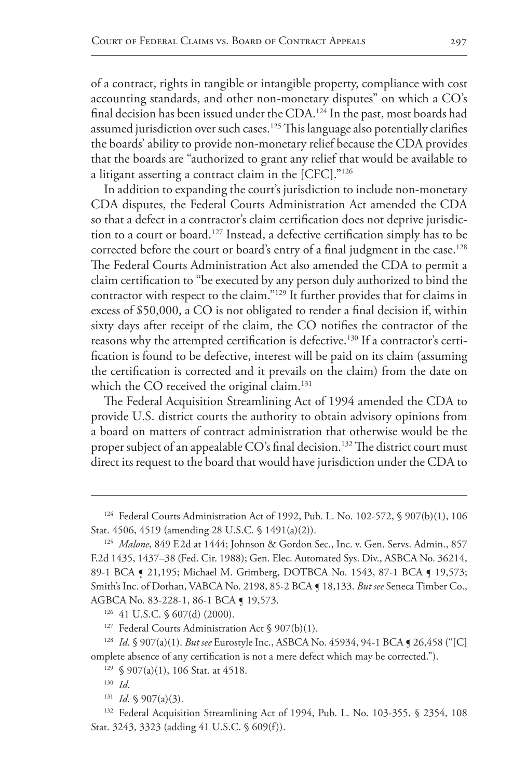of a contract, rights in tangible or intangible property, compliance with cost accounting standards, and other non-monetary disputes" on which a CO's final decision has been issued under the CDA.<sup>124</sup> In the past, most boards had assumed jurisdiction over such cases.<sup>125</sup> This language also potentially clarifies the boards' ability to provide non-monetary relief because the CDA provides that the boards are "authorized to grant any relief that would be available to a litigant asserting a contract claim in the [CFC]."126

In addition to expanding the court's jurisdiction to include non-monetary CDA disputes, the Federal Courts Administration Act amended the CDA so that a defect in a contractor's claim certification does not deprive jurisdiction to a court or board.<sup>127</sup> Instead, a defective certification simply has to be corrected before the court or board's entry of a final judgment in the case.<sup>128</sup> The Federal Courts Administration Act also amended the CDA to permit a claim certification to "be executed by any person duly authorized to bind the contractor with respect to the claim."129 It further provides that for claims in excess of \$50,000, a CO is not obligated to render a final decision if, within sixty days after receipt of the claim, the CO notifies the contractor of the reasons why the attempted certification is defective.<sup>130</sup> If a contractor's certification is found to be defective, interest will be paid on its claim (assuming the certification is corrected and it prevails on the claim) from the date on which the CO received the original claim.<sup>131</sup>

The Federal Acquisition Streamlining Act of 1994 amended the CDA to provide U.S. district courts the authority to obtain advisory opinions from a board on matters of contract administration that otherwise would be the proper subject of an appealable CO's final decision.<sup>132</sup> The district court must direct its request to the board that would have jurisdiction under the CDA to

<sup>128</sup> *Id.* § 907(a)(1). *But see* Eurostyle Inc., ASBCA No. 45934, 94-1 BCA ¶ 26,458 ("[C] omplete absence of any certification is not a mere defect which may be corrected.").

<sup>124</sup> Federal Courts Administration Act of 1992, Pub. L. No. 102-572, § 907(b)(1), 106 Stat. 4506, 4519 (amending 28 U.S.C. § 1491(a)(2)).

<sup>125</sup> *Malone*, 849 F.2d at 1444; Johnson & Gordon Sec., Inc. v. Gen. Servs. Admin., 857 F.2d 1435, 1437–38 (Fed. Cir. 1988); Gen. Elec. Automated Sys. Div., ASBCA No. 36214, 89-1 BCA § 21,195; Michael M. Grimberg, DOTBCA No. 1543, 87-1 BCA § 19,573; Smith's Inc. of Dothan, VABCA No. 2198, 85-2 BCA ¶ 18,133. *But see* Seneca Timber Co., AGBCA No. 83-228-1, 86-1 BCA ¶ 19,573.

<sup>126</sup> 41 U.S.C. § 607(d) (2000).

<sup>&</sup>lt;sup>127</sup> Federal Courts Administration Act § 907(b)(1).

 $129 \text{ }$  \$ 907(a)(1), 106 Stat. at 4518.

<sup>130</sup> *Id*.

 $131$  *Id.* § 907(a)(3).

<sup>&</sup>lt;sup>132</sup> Federal Acquisition Streamlining Act of 1994, Pub. L. No. 103-355, § 2354, 108 Stat. 3243, 3323 (adding 41 U.S.C. § 609(f)).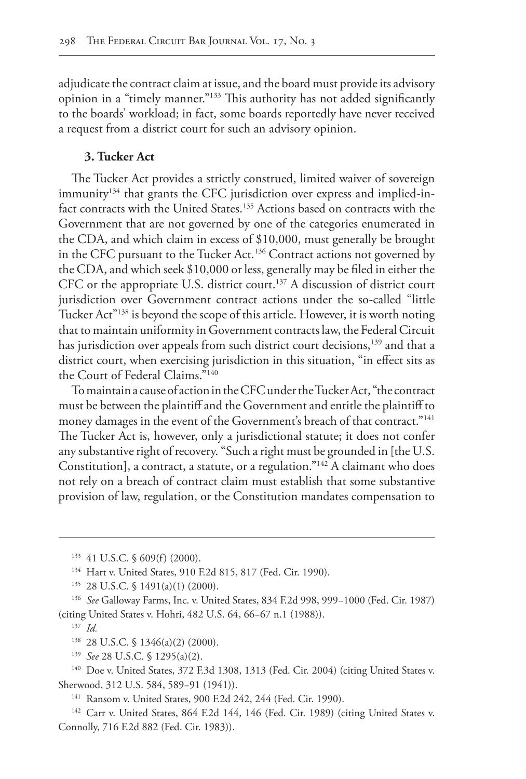adjudicate the contract claim at issue, and the board must provide its advisory opinion in a "timely manner."133 This authority has not added significantly to the boards' workload; in fact, some boards reportedly have never received a request from a district court for such an advisory opinion.

### **3. Tucker Act**

The Tucker Act provides a strictly construed, limited waiver of sovereign immunity<sup>134</sup> that grants the CFC jurisdiction over express and implied-infact contracts with the United States.<sup>135</sup> Actions based on contracts with the Government that are not governed by one of the categories enumerated in the CDA, and which claim in excess of \$10,000, must generally be brought in the CFC pursuant to the Tucker Act.136 Contract actions not governed by the CDA, and which seek \$10,000 or less, generally may be filed in either the CFC or the appropriate U.S. district court.<sup>137</sup> A discussion of district court jurisdiction over Government contract actions under the so-called "little Tucker Act"138 is beyond the scope of this article. However, it is worth noting that to maintain uniformity in Government contracts law, the Federal Circuit has jurisdiction over appeals from such district court decisions,<sup>139</sup> and that a district court, when exercising jurisdiction in this situation, "in effect sits as the Court of Federal Claims."140

To maintain a cause of action in the CFC under the Tucker Act, "the contract must be between the plaintiff and the Government and entitle the plaintiff to money damages in the event of the Government's breach of that contract."141 The Tucker Act is, however, only a jurisdictional statute; it does not confer any substantive right of recovery. "Such a right must be grounded in [the U.S. Constitution], a contract, a statute, or a regulation."142 A claimant who does not rely on a breach of contract claim must establish that some substantive provision of law, regulation, or the Constitution mandates compensation to

<sup>139</sup> *See* 28 U.S.C. § 1295(a)(2).

<sup>140</sup> Doe v. United States, 372 F.3d 1308, 1313 (Fed. Cir. 2004) (citing United States v. Sherwood, 312 U.S. 584, 589−91 (1941)).

<sup>141</sup> Ransom v. United States, 900 F.2d 242, 244 (Fed. Cir. 1990).

<sup>142</sup> Carr v. United States, 864 F.2d 144, 146 (Fed. Cir. 1989) (citing United States v. Connolly, 716 F.2d 882 (Fed. Cir. 1983)).

<sup>133</sup> 41 U.S.C. § 609(f) (2000).

<sup>134</sup> Hart v. United States, 910 F.2d 815, 817 (Fed. Cir. 1990).

<sup>135</sup> 28 U.S.C. § 1491(a)(1) (2000).

<sup>136</sup> *See* Galloway Farms, Inc. v. United States, 834 F.2d 998, 999−1000 (Fed. Cir. 1987) (citing United States v. Hohri, 482 U.S. 64, 66−67 n.1 (1988)).

<sup>137</sup> *Id.*

<sup>138</sup> 28 U.S.C. § 1346(a)(2) (2000).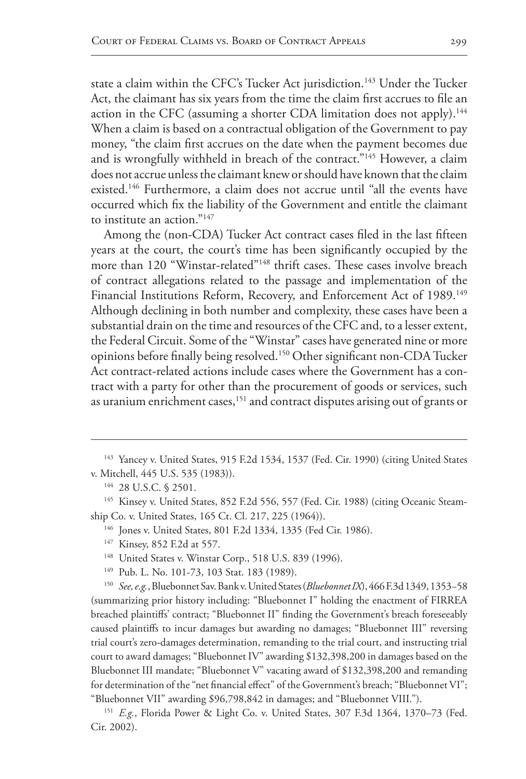state a claim within the CFC's Tucker Act jurisdiction.<sup>143</sup> Under the Tucker Act, the claimant has six years from the time the claim first accrues to file an action in the CFC (assuming a shorter CDA limitation does not apply).<sup>144</sup> When a claim is based on a contractual obligation of the Government to pay money, "the claim first accrues on the date when the payment becomes due and is wrongfully withheld in breach of the contract."145 However, a claim does not accrue unless the claimant knew or should have known that the claim existed.<sup>146</sup> Furthermore, a claim does not accrue until "all the events have occurred which fix the liability of the Government and entitle the claimant to institute an action."147

Among the (non-CDA) Tucker Act contract cases filed in the last fifteen years at the court, the court's time has been significantly occupied by the more than 120 "Winstar-related"148 thrift cases. These cases involve breach of contract allegations related to the passage and implementation of the Financial Institutions Reform, Recovery, and Enforcement Act of 1989.<sup>149</sup> Although declining in both number and complexity, these cases have been a substantial drain on the time and resources of the CFC and, to a lesser extent, the Federal Circuit. Some of the "Winstar" cases have generated nine or more opinions before finally being resolved.150 Other significant non-CDA Tucker Act contract-related actions include cases where the Government has a contract with a party for other than the procurement of goods or services, such as uranium enrichment cases,<sup>151</sup> and contract disputes arising out of grants or

- <sup>147</sup> Kinsey, 852 F.2d at 557.
- <sup>148</sup> United States v. Winstar Corp., 518 U.S. 839 (1996).
- <sup>149</sup> Pub. L. No. 101-73, 103 Stat. 183 (1989).

<sup>&</sup>lt;sup>143</sup> Yancey v. United States, 915 F.2d 1534, 1537 (Fed. Cir. 1990) (citing United States v. Mitchell, 445 U.S. 535 (1983)).

<sup>144</sup> 28 U.S.C. § 2501.

<sup>&</sup>lt;sup>145</sup> Kinsey v. United States, 852 F.2d 556, 557 (Fed. Cir. 1988) (citing Oceanic Steamship Co. v. United States, 165 Ct. Cl. 217, 225 (1964)).

<sup>146</sup> Jones v. United States, 801 F.2d 1334, 1335 (Fed Cir. 1986).

<sup>150</sup> *See, e.g.*, Bluebonnet Sav. Bank v. United States (*Bluebonnet IX*), 466 F.3d 1349, 1353−58 (summarizing prior history including: "Bluebonnet I" holding the enactment of FIRREA breached plaintiffs' contract; "Bluebonnet II" finding the Government's breach foreseeably caused plaintiffs to incur damages but awarding no damages; "Bluebonnet III" reversing trial court's zero-damages determination, remanding to the trial court, and instructing trial court to award damages; "Bluebonnet IV" awarding \$132,398,200 in damages based on the Bluebonnet III mandate; "Bluebonnet V" vacating award of \$132,398,200 and remanding for determination of the "net financial effect" of the Government's breach; "Bluebonnet VI"; "Bluebonnet VII" awarding \$96,798,842 in damages; and "Bluebonnet VIII.").

<sup>151</sup> *E.g.*, Florida Power & Light Co. v. United States, 307 F.3d 1364, 1370–73 (Fed. Cir. 2002).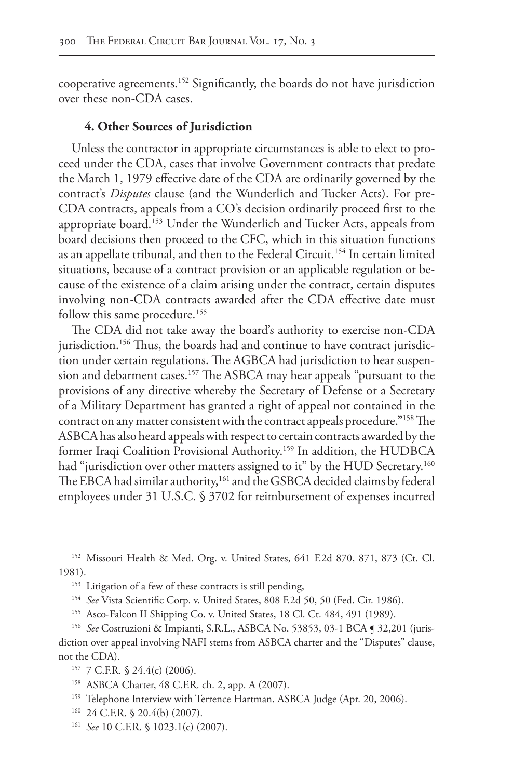cooperative agreements.152 Significantly, the boards do not have jurisdiction over these non-CDA cases.

#### **4. Other Sources of Jurisdiction**

Unless the contractor in appropriate circumstances is able to elect to proceed under the CDA, cases that involve Government contracts that predate the March 1, 1979 effective date of the CDA are ordinarily governed by the contract's *Disputes* clause (and the Wunderlich and Tucker Acts). For pre-CDA contracts, appeals from a CO's decision ordinarily proceed first to the appropriate board.153 Under the Wunderlich and Tucker Acts, appeals from board decisions then proceed to the CFC, which in this situation functions as an appellate tribunal, and then to the Federal Circuit.<sup>154</sup> In certain limited situations, because of a contract provision or an applicable regulation or because of the existence of a claim arising under the contract, certain disputes involving non-CDA contracts awarded after the CDA effective date must follow this same procedure.<sup>155</sup>

The CDA did not take away the board's authority to exercise non-CDA jurisdiction.<sup>156</sup> Thus, the boards had and continue to have contract jurisdiction under certain regulations. The AGBCA had jurisdiction to hear suspension and debarment cases.157 The ASBCA may hear appeals "pursuant to the provisions of any directive whereby the Secretary of Defense or a Secretary of a Military Department has granted a right of appeal not contained in the contract on any matter consistent with the contract appeals procedure."158 The ASBCA has also heard appeals with respect to certain contracts awarded by the former Iraqi Coalition Provisional Authority.159 In addition, the HUDBCA had "jurisdiction over other matters assigned to it" by the HUD Secretary.<sup>160</sup> The EBCA had similar authority,<sup>161</sup> and the GSBCA decided claims by federal employees under 31 U.S.C. § 3702 for reimbursement of expenses incurred

<sup>152</sup> Missouri Health & Med. Org. v. United States, 641 F.2d 870, 871, 873 (Ct. Cl. 1981).

<sup>&</sup>lt;sup>153</sup> Litigation of a few of these contracts is still pending,

<sup>154</sup> *See* Vista Scientific Corp. v. United States, 808 F.2d 50, 50 (Fed. Cir. 1986).

<sup>155</sup> Asco-Falcon II Shipping Co. v. United States, 18 Cl. Ct. 484, 491 (1989).

<sup>156</sup> *See* Costruzioni & Impianti, S.R.L., ASBCA No. 53853, 03-1 BCA ¶ 32,201 (jurisdiction over appeal involving NAFI stems from ASBCA charter and the "Disputes" clause, not the CDA).

<sup>157</sup> 7 C.F.R. § 24.4(c) (2006).

<sup>158</sup> ASBCA Charter, 48 C.F.R. ch. 2, app. A (2007).

<sup>&</sup>lt;sup>159</sup> Telephone Interview with Terrence Hartman, ASBCA Judge (Apr. 20, 2006).

<sup>160</sup> 24 C.F.R. § 20.4(b) (2007).

<sup>161</sup> *See* 10 C.F.R. § 1023.1(c) (2007).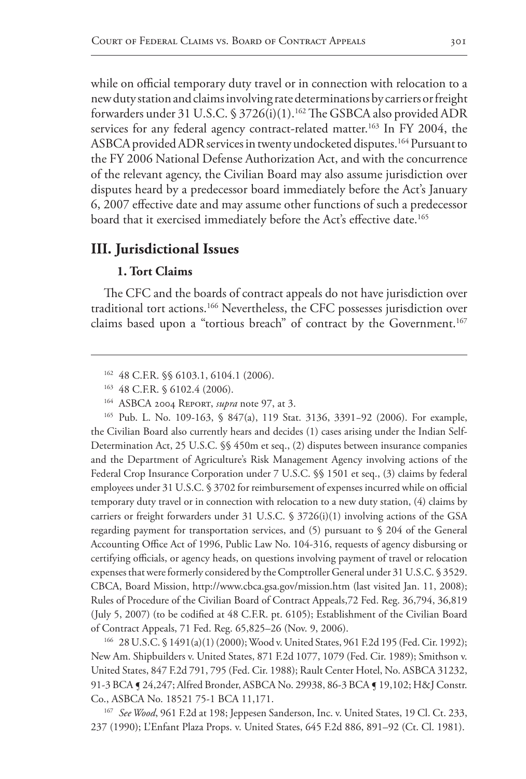while on official temporary duty travel or in connection with relocation to a new duty station and claims involving rate determinations by carriers or freight forwarders under 31 U.S.C. § 3726(i)(1).<sup>162</sup> The GSBCA also provided ADR services for any federal agency contract-related matter.<sup>163</sup> In FY 2004, the ASBCA provided ADR services in twenty undocketed disputes.<sup>164</sup> Pursuant to the FY 2006 National Defense Authorization Act, and with the concurrence of the relevant agency, the Civilian Board may also assume jurisdiction over disputes heard by a predecessor board immediately before the Act's January 6, 2007 effective date and may assume other functions of such a predecessor board that it exercised immediately before the Act's effective date.<sup>165</sup>

# **III. Jurisdictional Issues**

## **1. Tort Claims**

The CFC and the boards of contract appeals do not have jurisdiction over traditional tort actions.<sup>166</sup> Nevertheless, the CFC possesses jurisdiction over claims based upon a "tortious breach" of contract by the Government.<sup>167</sup>

<sup>165</sup> Pub. L. No. 109-163, § 847(a), 119 Stat. 3136, 3391−92 (2006). For example, the Civilian Board also currently hears and decides (1) cases arising under the Indian Self-Determination Act, 25 U.S.C. §§ 450m et seq., (2) disputes between insurance companies and the Department of Agriculture's Risk Management Agency involving actions of the Federal Crop Insurance Corporation under 7 U.S.C. §§ 1501 et seq., (3) claims by federal employees under 31 U.S.C. § 3702 for reimbursement of expenses incurred while on official temporary duty travel or in connection with relocation to a new duty station, (4) claims by carriers or freight forwarders under 31 U.S.C. § 3726(i)(1) involving actions of the GSA regarding payment for transportation services, and (5) pursuant to § 204 of the General Accounting Office Act of 1996, Public Law No. 104-316, requests of agency disbursing or certifying officials, or agency heads, on questions involving payment of travel or relocation expenses that were formerly considered by the Comptroller General under 31 U.S.C. § 3529. CBCA, Board Mission, http://www.cbca.gsa.gov/mission.htm (last visited Jan. 11, 2008); Rules of Procedure of the Civilian Board of Contract Appeals,72 Fed. Reg. 36,794, 36,819 (July 5, 2007) (to be codified at 48 C.F.R. pt. 6105); Establishment of the Civilian Board of Contract Appeals, 71 Fed. Reg. 65,825–26 (Nov. 9, 2006).

<sup>166</sup> 28 U.S.C. § 1491(a)(1) (2000); Wood v. United States, 961 F.2d 195 (Fed. Cir. 1992); New Am. Shipbuilders v. United States, 871 F.2d 1077, 1079 (Fed. Cir. 1989); Smithson v. United States, 847 F.2d 791, 795 (Fed. Cir. 1988); Rault Center Hotel, No. ASBCA 31232, 91-3 BCA ¶ 24,247; Alfred Bronder, ASBCA No. 29938, 86-3 BCA ¶ 19,102; H&J Constr. Co., ASBCA No. 18521 75-1 BCA 11,171.

<sup>167</sup> See Wood, 961 F.2d at 198; Jeppesen Sanderson, Inc. v. United States, 19 Cl. Ct. 233, 237 (1990); L'Enfant Plaza Props. v. United States, 645 F.2d 886, 891–92 (Ct. Cl. 1981).

<sup>162</sup> 48 C.F.R. §§ 6103.1, 6104.1 (2006).

<sup>163</sup> 48 C.F.R. § 6102.4 (2006).

<sup>164</sup> ASBCA 2004 Report, *supra* note 97, at 3.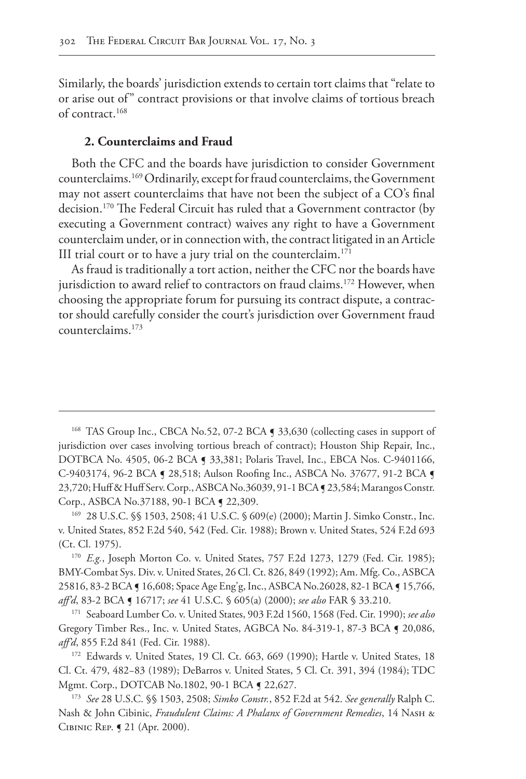Similarly, the boards' jurisdiction extends to certain tort claims that "relate to or arise out of" contract provisions or that involve claims of tortious breach of contract.168

## **2. Counterclaims and Fraud**

Both the CFC and the boards have jurisdiction to consider Government counterclaims.169 Ordinarily, except for fraud counterclaims, the Government may not assert counterclaims that have not been the subject of a CO's final decision.170 The Federal Circuit has ruled that a Government contractor (by executing a Government contract) waives any right to have a Government counterclaim under, or in connection with, the contract litigated in an Article III trial court or to have a jury trial on the counterclaim.<sup>171</sup>

As fraud is traditionally a tort action, neither the CFC nor the boards have jurisdiction to award relief to contractors on fraud claims.<sup>172</sup> However, when choosing the appropriate forum for pursuing its contract dispute, a contractor should carefully consider the court's jurisdiction over Government fraud counterclaims.173

<sup>&</sup>lt;sup>168</sup> TAS Group Inc., CBCA No.52, 07-2 BCA **[ 33,630** (collecting cases in support of jurisdiction over cases involving tortious breach of contract); Houston Ship Repair, Inc., DOTBCA No. 4505, 06-2 BCA ¶ 33,381; Polaris Travel, Inc., EBCA Nos. C-9401166, C-9403174, 96-2 BCA ¶ 28,518; Aulson Roofing Inc., ASBCA No. 37677, 91-2 BCA ¶ 23,720; Huff & Huff Serv. Corp., ASBCA No.36039, 91-1 BCA ¶ 23,584; Marangos Constr. Corp., ASBCA No.37188, 90-1 BCA ¶ 22,309.

<sup>169</sup> 28 U.S.C. §§ 1503, 2508; 41 U.S.C. § 609(e) (2000); Martin J. Simko Constr., Inc. v. United States, 852 F.2d 540, 542 (Fed. Cir. 1988); Brown v. United States, 524 F.2d 693 (Ct. Cl. 1975).

<sup>170</sup> *E.g.*, Joseph Morton Co. v. United States, 757 F.2d 1273, 1279 (Fed. Cir. 1985); BMY-Combat Sys. Div. v. United States, 26 Cl. Ct. 826, 849 (1992); Am. Mfg. Co., ASBCA 25816, 83-2 BCA ¶ 16,608; Space Age Eng'g, Inc., ASBCA No.26028, 82-1 BCA ¶ 15,766, *aff'd*, 83-2 BCA ¶ 16717; *see* 41 U.S.C. § 605(a) (2000); *see also* FAR § 33.210.

<sup>171</sup> Seaboard Lumber Co. v. United States, 903 F.2d 1560, 1568 (Fed. Cir. 1990); *see also* Gregory Timber Res., Inc. v. United States, AGBCA No. 84-319-1, 87-3 BCA ¶ 20,086, *aff'd*, 855 F.2d 841 (Fed. Cir. 1988).

<sup>&</sup>lt;sup>172</sup> Edwards v. United States, 19 Cl. Ct. 663, 669 (1990); Hartle v. United States, 18 Cl. Ct. 479, 482−83 (1989); DeBarros v. United States, 5 Cl. Ct. 391, 394 (1984); TDC Mgmt. Corp., DOTCAB No.1802, 90-1 BCA ¶ 22,627.

<sup>173</sup> *See* 28 U.S.C. §§ 1503, 2508; *Simko Constr.*, 852 F.2d at 542. *See generally* Ralph C. Nash & John Cibinic, *Fraudulent Claims: A Phalanx of Government Remedies*, 14 Nash & Cibinic Rep. ¶ 21 (Apr. 2000).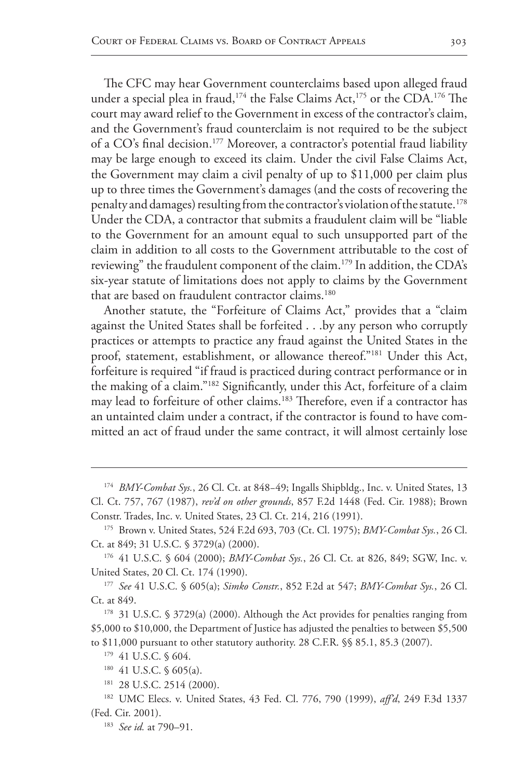The CFC may hear Government counterclaims based upon alleged fraud under a special plea in fraud,<sup>174</sup> the False Claims Act,<sup>175</sup> or the CDA.<sup>176</sup> The court may award relief to the Government in excess of the contractor's claim, and the Government's fraud counterclaim is not required to be the subject of a  $CO$ 's final decision.<sup>177</sup> Moreover, a contractor's potential fraud liability may be large enough to exceed its claim. Under the civil False Claims Act, the Government may claim a civil penalty of up to \$11,000 per claim plus up to three times the Government's damages (and the costs of recovering the penalty and damages) resulting from the contractor's violation of the statute.<sup>178</sup> Under the CDA, a contractor that submits a fraudulent claim will be "liable to the Government for an amount equal to such unsupported part of the claim in addition to all costs to the Government attributable to the cost of reviewing" the fraudulent component of the claim.179 In addition, the CDA's six-year statute of limitations does not apply to claims by the Government that are based on fraudulent contractor claims.<sup>180</sup>

Another statute, the "Forfeiture of Claims Act," provides that a "claim against the United States shall be forfeited . . .by any person who corruptly practices or attempts to practice any fraud against the United States in the proof, statement, establishment, or allowance thereof."181 Under this Act, forfeiture is required "if fraud is practiced during contract performance or in the making of a claim."182 Significantly, under this Act, forfeiture of a claim may lead to forfeiture of other claims.183 Therefore, even if a contractor has an untainted claim under a contract, if the contractor is found to have committed an act of fraud under the same contract, it will almost certainly lose

<sup>177</sup> *See* 41 U.S.C. § 605(a); *Simko Constr.*, 852 F.2d at 547; *BMY-Combat Sys.*, 26 Cl. Ct. at 849.

178 31 U.S.C. § 3729(a) (2000). Although the Act provides for penalties ranging from \$5,000 to \$10,000, the Department of Justice has adjusted the penalties to between \$5,500 to \$11,000 pursuant to other statutory authority. 28 C.F.R. §§ 85.1, 85.3 (2007).

179 41 U.S.C. § 604.

<sup>174</sup> *BMY-Combat Sys.*, 26 Cl. Ct. at 848−49; Ingalls Shipbldg., Inc. v. United States, 13 Cl. Ct. 757, 767 (1987), *rev'd on other grounds*, 857 F.2d 1448 (Fed. Cir. 1988); Brown Constr. Trades, Inc. v. United States, 23 Cl. Ct. 214, 216 (1991).

<sup>175</sup> Brown v. United States, 524 F.2d 693, 703 (Ct. Cl. 1975); *BMY-Combat Sys.*, 26 Cl. Ct. at 849; 31 U.S.C. § 3729(a) (2000).

<sup>176</sup> 41 U.S.C. § 604 (2000); *BMY-Combat Sys.*, 26 Cl. Ct. at 826, 849; SGW, Inc. v. United States, 20 Cl. Ct. 174 (1990).

<sup>180</sup> 41 U.S.C. § 605(a).

<sup>181</sup> 28 U.S.C. 2514 (2000).

<sup>182</sup> UMC Elecs. v. United States, 43 Fed. Cl. 776, 790 (1999), *aff'd*, 249 F.3d 1337 (Fed. Cir. 2001).

<sup>183</sup> *See id.* at 790–91.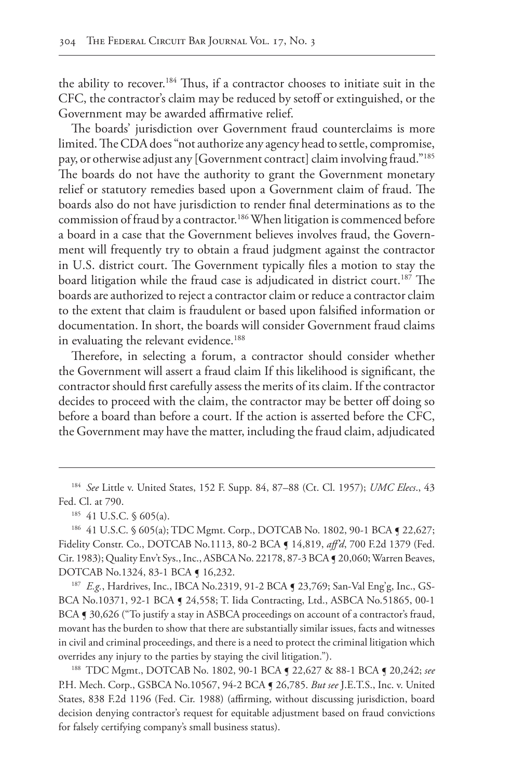the ability to recover.184 Thus, if a contractor chooses to initiate suit in the CFC, the contractor's claim may be reduced by setoff or extinguished, or the Government may be awarded affirmative relief.

The boards' jurisdiction over Government fraud counterclaims is more limited. The CDA does "not authorize any agency head to settle, compromise, pay, or otherwise adjust any [Government contract] claim involving fraud."185 The boards do not have the authority to grant the Government monetary relief or statutory remedies based upon a Government claim of fraud. The boards also do not have jurisdiction to render final determinations as to the commission of fraud by a contractor.186 When litigation is commenced before a board in a case that the Government believes involves fraud, the Government will frequently try to obtain a fraud judgment against the contractor in U.S. district court. The Government typically files a motion to stay the board litigation while the fraud case is adjudicated in district court.<sup>187</sup> The boards are authorized to reject a contractor claim or reduce a contractor claim to the extent that claim is fraudulent or based upon falsified information or documentation. In short, the boards will consider Government fraud claims in evaluating the relevant evidence.<sup>188</sup>

Therefore, in selecting a forum, a contractor should consider whether the Government will assert a fraud claim If this likelihood is significant, the contractor should first carefully assess the merits of its claim. If the contractor decides to proceed with the claim, the contractor may be better off doing so before a board than before a court. If the action is asserted before the CFC, the Government may have the matter, including the fraud claim, adjudicated

<sup>184</sup> *See* Little v. United States, 152 F. Supp. 84, 87–88 (Ct. Cl. 1957); *UMC Elecs*., 43 Fed. Cl. at 790.

<sup>185</sup> 41 U.S.C. § 605(a).

186 41 U.S.C. § 605(a); TDC Mgmt. Corp., DOTCAB No. 1802, 90-1 BCA ¶ 22,627; Fidelity Constr. Co., DOTCAB No.1113, 80-2 BCA ¶ 14,819, *aff'd*, 700 F.2d 1379 (Fed. Cir. 1983); Quality Env't Sys., Inc., ASBCA No. 22178, 87-3 BCA ¶ 20,060; Warren Beaves, DOTCAB No.1324, 83-1 BCA ¶ 16,232.

187 *E.g.*, Hardrives, Inc., IBCA No.2319, 91-2 BCA § 23,769; San-Val Eng'g, Inc., GS-BCA No.10371, 92-1 BCA ¶ 24,558; T. Iida Contracting, Ltd., ASBCA No.51865, 00-1 BCA § 30,626 ("To justify a stay in ASBCA proceedings on account of a contractor's fraud, movant has the burden to show that there are substantially similar issues, facts and witnesses in civil and criminal proceedings, and there is a need to protect the criminal litigation which overrides any injury to the parties by staying the civil litigation.").

<sup>188</sup> TDC Mgmt., DOTCAB No. 1802, 90-1 BCA ¶ 22,627 & 88-1 BCA ¶ 20,242; *see* P.H. Mech. Corp., GSBCA No.10567, 94-2 BCA ¶ 26,785. *But see* J.E.T.S., Inc. v. United States, 838 F.2d 1196 (Fed. Cir. 1988) (affirming, without discussing jurisdiction, board decision denying contractor's request for equitable adjustment based on fraud convictions for falsely certifying company's small business status).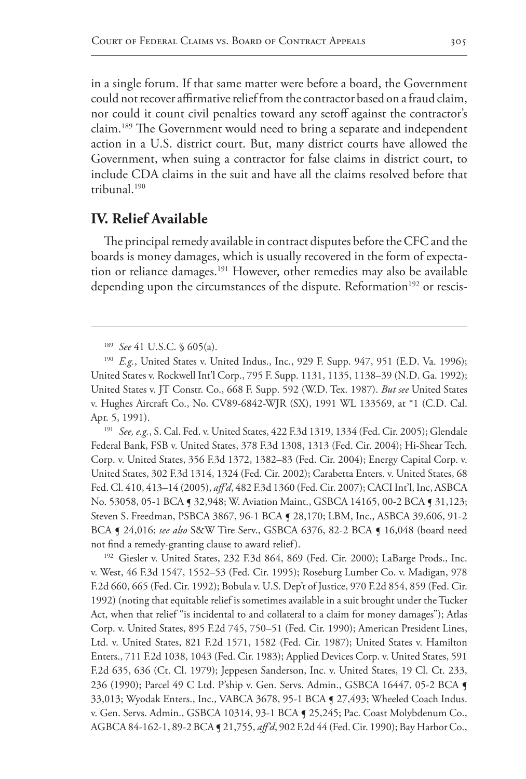in a single forum. If that same matter were before a board, the Government could not recover affirmative relief from the contractor based on a fraud claim, nor could it count civil penalties toward any setoff against the contractor's claim.189 The Government would need to bring a separate and independent action in a U.S. district court. But, many district courts have allowed the Government, when suing a contractor for false claims in district court, to include CDA claims in the suit and have all the claims resolved before that tribunal.190

# **IV. Relief Available**

The principal remedy available in contract disputes before the CFC and the boards is money damages, which is usually recovered in the form of expectation or reliance damages.<sup>191</sup> However, other remedies may also be available depending upon the circumstances of the dispute. Reformation<sup>192</sup> or rescis-

<sup>191</sup> *See, e.g.*, S. Cal. Fed. v. United States, 422 F.3d 1319, 1334 (Fed. Cir. 2005); Glendale Federal Bank, FSB v. United States, 378 F.3d 1308, 1313 (Fed. Cir. 2004); Hi-Shear Tech. Corp. v. United States, 356 F.3d 1372, 1382–83 (Fed. Cir. 2004); Energy Capital Corp. v. United States, 302 F.3d 1314, 1324 (Fed. Cir. 2002); Carabetta Enters. v. United States, 68 Fed. Cl. 410, 413–14 (2005), *aff'd*, 482 F.3d 1360 (Fed. Cir. 2007); CACI Int'l, Inc, ASBCA No. 53058, 05-1 BCA § 32,948; W. Aviation Maint., GSBCA 14165, 00-2 BCA § 31,123; Steven S. Freedman, PSBCA 3867, 96-1 BCA ¶ 28,170; LBM, Inc., ASBCA 39,606, 91-2 BCA ¶ 24,016; *see also* S&W Tire Serv., GSBCA 6376, 82-2 BCA ¶ 16,048 (board need not find a remedy-granting clause to award relief).

<sup>192</sup> Giesler v. United States, 232 F.3d 864, 869 (Fed. Cir. 2000); LaBarge Prods., Inc. v. West, 46 F.3d 1547, 1552–53 (Fed. Cir. 1995); Roseburg Lumber Co. v. Madigan, 978 F.2d 660, 665 (Fed. Cir. 1992); Bobula v. U.S. Dep't of Justice, 970 F.2d 854, 859 (Fed. Cir. 1992) (noting that equitable relief is sometimes available in a suit brought under the Tucker Act, when that relief "is incidental to and collateral to a claim for money damages"); Atlas Corp. v. United States, 895 F.2d 745, 750–51 (Fed. Cir. 1990); American President Lines, Ltd. v. United States, 821 F.2d 1571, 1582 (Fed. Cir. 1987); United States v. Hamilton Enters., 711 F.2d 1038, 1043 (Fed. Cir. 1983); Applied Devices Corp. v. United States, 591 F.2d 635, 636 (Ct. Cl. 1979); Jeppesen Sanderson, Inc. v. United States, 19 Cl. Ct. 233, 236 (1990); Parcel 49 C Ltd. P'ship v. Gen. Servs. Admin., GSBCA 16447, 05-2 BCA ¶ 33,013; Wyodak Enters., Inc., VABCA 3678, 95-1 BCA ¶ 27,493; Wheeled Coach Indus. v. Gen. Servs. Admin., GSBCA 10314, 93-1 BCA ¶ 25,245; Pac. Coast Molybdenum Co., AGBCA 84-162-1, 89-2 BCA ¶ 21,755, *aff'd*, 902 F.2d 44 (Fed. Cir. 1990); Bay Harbor Co.,

<sup>189</sup> *See* 41 U.S.C. § 605(a).

<sup>190</sup> *E.g.*, United States v. United Indus., Inc., 929 F. Supp. 947, 951 (E.D. Va. 1996); United States v. Rockwell Int'l Corp., 795 F. Supp. 1131, 1135, 1138–39 (N.D. Ga. 1992); United States v. JT Constr. Co., 668 F. Supp. 592 (W.D. Tex. 1987). *But see* United States v. Hughes Aircraft Co., No. CV89-6842-WJR (SX), 1991 WL 133569, at \*1 (C.D. Cal. Apr. 5, 1991).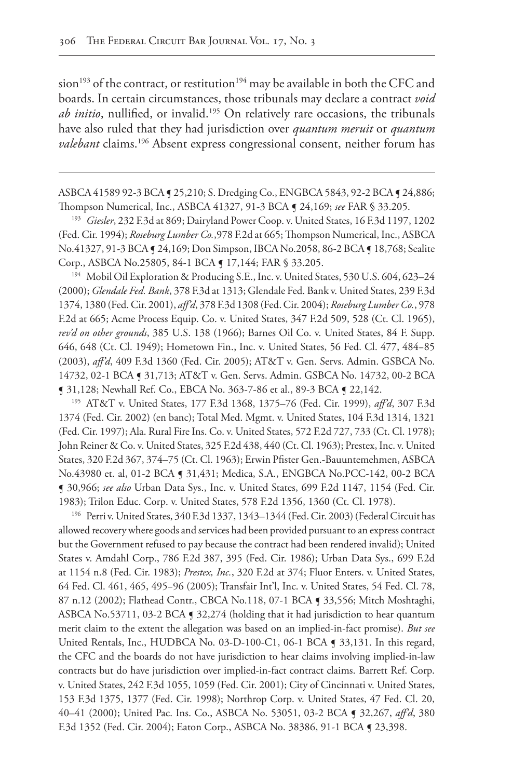sion<sup>193</sup> of the contract, or restitution<sup>194</sup> may be available in both the CFC and boards. In certain circumstances, those tribunals may declare a contract *void ab initio*, nullified, or invalid.195 On relatively rare occasions, the tribunals have also ruled that they had jurisdiction over *quantum meruit* or *quantum valebant* claims.<sup>196</sup> Absent express congressional consent, neither forum has

ASBCA 41589 92-3 BCA ¶ 25,210; S. Dredging Co., ENGBCA 5843, 92-2 BCA ¶ 24,886; Thompson Numerical, Inc., ASBCA 41327, 91-3 BCA ¶ 24,169; *see* FAR § 33.205.

<sup>193</sup> *Giesler*, 232 F.3d at 869; Dairyland Power Coop. v. United States, 16 F.3d 1197, 1202 (Fed. Cir. 1994); *Roseburg Lumber Co.*,978 F.2d at 665; Thompson Numerical, Inc., ASBCA No.41327, 91-3 BCA ¶ 24,169; Don Simpson, IBCA No.2058, 86-2 BCA ¶ 18,768; Sealite Corp., ASBCA No.25805, 84-1 BCA ¶ 17,144; FAR § 33.205.

<sup>194</sup> Mobil Oil Exploration & Producing S.E., Inc. v. United States, 530 U.S. 604, 623–24 (2000); *Glendale Fed. Bank*, 378 F.3d at 1313; Glendale Fed. Bank v. United States, 239 F.3d 1374, 1380 (Fed. Cir. 2001), *aff'd*, 378 F.3d 1308 (Fed. Cir. 2004); *Roseburg Lumber Co.*, 978 F.2d at 665; Acme Process Equip. Co. v. United States, 347 F.2d 509, 528 (Ct. Cl. 1965), *rev'd on other grounds*, 385 U.S. 138 (1966); Barnes Oil Co. v. United States, 84 F. Supp. 646, 648 (Ct. Cl. 1949); Hometown Fin., Inc. v. United States, 56 Fed. Cl. 477, 484−85 (2003), *aff'd*, 409 F.3d 1360 (Fed. Cir. 2005); AT&T v. Gen. Servs. Admin. GSBCA No. 14732, 02-1 BCA ¶ 31,713; AT&T v. Gen. Servs. Admin. GSBCA No. 14732, 00-2 BCA ¶ 31,128; Newhall Ref. Co., EBCA No. 363-7-86 et al., 89-3 BCA ¶ 22,142.

<sup>195</sup> AT&T v. United States, 177 F.3d 1368, 1375–76 (Fed. Cir. 1999), *aff'd*, 307 F.3d 1374 (Fed. Cir. 2002) (en banc); Total Med. Mgmt. v. United States, 104 F.3d 1314, 1321 (Fed. Cir. 1997); Ala. Rural Fire Ins. Co. v. United States, 572 F.2d 727, 733 (Ct. Cl. 1978); John Reiner & Co. v. United States, 325 F.2d 438, 440 (Ct. Cl. 1963); Prestex, Inc. v. United States, 320 F.2d 367, 374–75 (Ct. Cl. 1963); Erwin Pfister Gen.-Bauuntemehmen, ASBCA No.43980 et. al, 01-2 BCA ¶ 31,431; Medica, S.A., ENGBCA No.PCC-142, 00-2 BCA ¶ 30,966; *see also* Urban Data Sys., Inc. v. United States, 699 F.2d 1147, 1154 (Fed. Cir. 1983); Trilon Educ. Corp. v. United States, 578 F.2d 1356, 1360 (Ct. Cl. 1978).

<sup>196</sup> Perri v. United States, 340 F.3d 1337, 1343–1344 (Fed. Cir. 2003) (Federal Circuit has allowed recovery where goods and services had been provided pursuant to an express contract but the Government refused to pay because the contract had been rendered invalid); United States v. Amdahl Corp., 786 F.2d 387, 395 (Fed. Cir. 1986); Urban Data Sys., 699 F.2d at 1154 n.8 (Fed. Cir. 1983); *Prestex, Inc.*, 320 F.2d at 374; Fluor Enters. v. United States, 64 Fed. Cl. 461, 465, 495−96 (2005); Transfair Int'l, Inc. v. United States, 54 Fed. Cl. 78, 87 n.12 (2002); Flathead Contr., CBCA No.118, 07-1 BCA ¶ 33,556; Mitch Moshtaghi, ASBCA No.53711, 03-2 BCA § 32,274 (holding that it had jurisdiction to hear quantum merit claim to the extent the allegation was based on an implied-in-fact promise). *But see* United Rentals, Inc., HUDBCA No. 03-D-100-C1, 06-1 BCA [ 33,131. In this regard, the CFC and the boards do not have jurisdiction to hear claims involving implied-in-law contracts but do have jurisdiction over implied-in-fact contract claims. Barrett Ref. Corp. v. United States, 242 F.3d 1055, 1059 (Fed. Cir. 2001); City of Cincinnati v. United States, 153 F.3d 1375, 1377 (Fed. Cir. 1998); Northrop Corp. v. United States, 47 Fed. Cl. 20, 40–41 (2000); United Pac. Ins. Co., ASBCA No. 53051, 03-2 BCA ¶ 32,267, *aff'd*, 380 F.3d 1352 (Fed. Cir. 2004); Eaton Corp., ASBCA No. 38386, 91-1 BCA ¶ 23,398.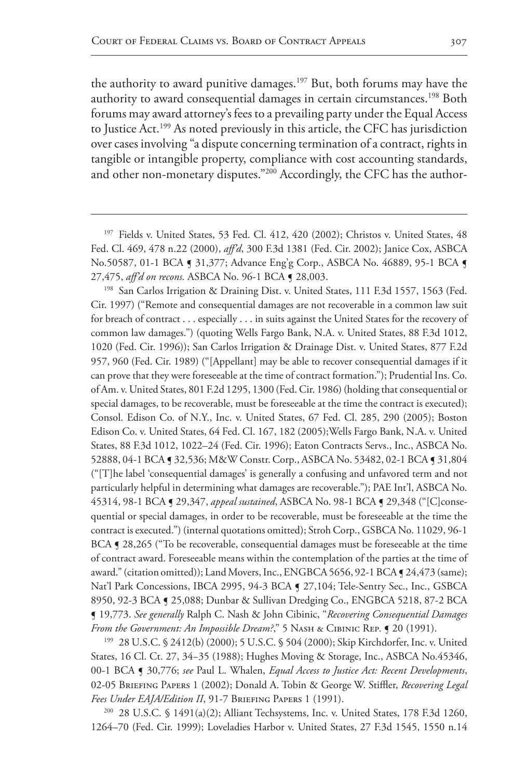the authority to award punitive damages.<sup>197</sup> But, both forums may have the authority to award consequential damages in certain circumstances.<sup>198</sup> Both forums may award attorney's fees to a prevailing party under the Equal Access to Justice Act.199 As noted previously in this article, the CFC has jurisdiction over cases involving "a dispute concerning termination of a contract, rights in tangible or intangible property, compliance with cost accounting standards, and other non-monetary disputes."<sup>200</sup> Accordingly, the CFC has the author-

<sup>198</sup> San Carlos Irrigation & Draining Dist. v. United States, 111 F.3d 1557, 1563 (Fed. Cir. 1997) ("Remote and consequential damages are not recoverable in a common law suit for breach of contract . . . especially . . . in suits against the United States for the recovery of common law damages.") (quoting Wells Fargo Bank, N.A. v. United States, 88 F.3d 1012, 1020 (Fed. Cir. 1996)); San Carlos Irrigation & Drainage Dist. v. United States, 877 F.2d 957, 960 (Fed. Cir. 1989) ("[Appellant] may be able to recover consequential damages if it can prove that they were foreseeable at the time of contract formation."); Prudential Ins. Co. of Am. v. United States, 801 F.2d 1295, 1300 (Fed. Cir. 1986) (holding that consequential or special damages, to be recoverable, must be foreseeable at the time the contract is executed); Consol. Edison Co. of N.Y., Inc. v. United States, 67 Fed. Cl. 285, 290 (2005); Boston Edison Co. v. United States, 64 Fed. Cl. 167, 182 (2005);Wells Fargo Bank, N.A. v. United States, 88 F.3d 1012, 1022–24 (Fed. Cir. 1996); Eaton Contracts Servs., Inc., ASBCA No. 52888, 04-1 BCA ¶ 32,536; M&W Constr. Corp., ASBCA No. 53482, 02-1 BCA ¶ 31,804 ("[T]he label 'consequential damages' is generally a confusing and unfavored term and not particularly helpful in determining what damages are recoverable."); PAE Int'l, ASBCA No. 45314, 98-1 BCA ¶ 29,347, *appeal sustained*, ASBCA No. 98-1 BCA ¶ 29,348 ("[C]consequential or special damages, in order to be recoverable, must be foreseeable at the time the contract is executed.") (internal quotations omitted); Stroh Corp., GSBCA No. 11029, 96-1 BCA **[ 28,265** ("To be recoverable, consequential damages must be foreseeable at the time of contract award. Foreseeable means within the contemplation of the parties at the time of award." (citation omitted)); Land Movers, Inc., ENGBCA 5656, 92-1 BCA ¶ 24,473 (same); Nat'l Park Concessions, IBCA 2995, 94-3 BCA ¶ 27,104; Tele-Sentry Sec., Inc., GSBCA 8950, 92-3 BCA ¶ 25,088; Dunbar & Sullivan Dredging Co., ENGBCA 5218, 87-2 BCA ¶ 19,773. *See generally* Ralph C. Nash & John Cibinic, "*Recovering Consequential Damages From the Government: An Impossible Dream?*," 5 Nas $H$  & CIBINIC REP. **[9** 20 (1991).

<sup>199</sup> 28 U.S.C. § 2412(b) (2000); 5 U.S.C. § 504 (2000); Skip Kirchdorfer, Inc. v. United States, 16 Cl. Ct. 27, 34−35 (1988); Hughes Moving & Storage, Inc., ASBCA No.45346, 00-1 BCA ¶ 30,776; *see* Paul L. Whalen, *Equal Access to Justice Act: Recent Developments*, 02-05 Briefing Papers 1 (2002); Donald A. Tobin & George W. Stiffler, *Recovering Legal Fees Under EAJA/Edition II*, 91-7 Briefing Papers 1 (1991).

<sup>200</sup> 28 U.S.C. § 1491(a)(2); Alliant Techsystems, Inc. v. United States, 178 F.3d 1260, 1264–70 (Fed. Cir. 1999); Loveladies Harbor v. United States, 27 F.3d 1545, 1550 n.14

<sup>&</sup>lt;sup>197</sup> Fields v. United States, 53 Fed. Cl. 412, 420 (2002); Christos v. United States, 48 Fed. Cl. 469, 478 n.22 (2000), *aff'd*, 300 F.3d 1381 (Fed. Cir. 2002); Janice Cox, ASBCA No.50587, 01-1 BCA § 31,377; Advance Eng'g Corp., ASBCA No. 46889, 95-1 BCA § 27,475, *aff'd on recons.* ASBCA No. 96-1 BCA ¶ 28,003.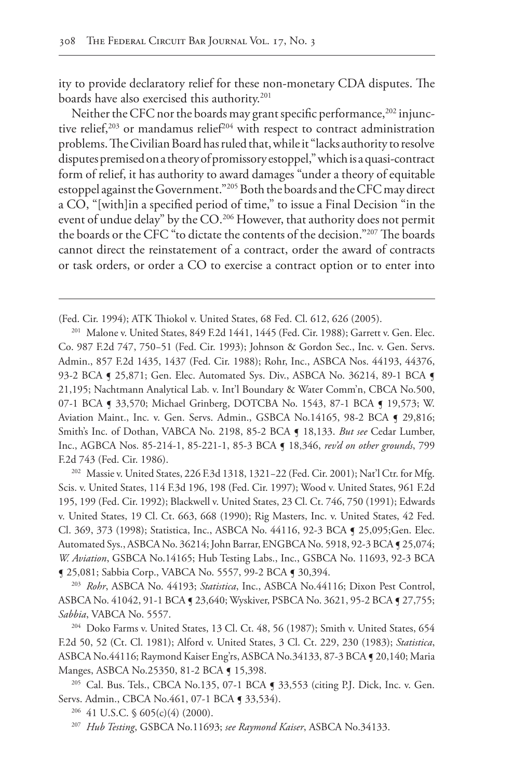ity to provide declaratory relief for these non-monetary CDA disputes. The boards have also exercised this authority.<sup>201</sup>

Neither the CFC nor the boards may grant specific performance,<sup>202</sup> injunctive relief,<sup>203</sup> or mandamus relief<sup>204</sup> with respect to contract administration problems. The Civilian Board has ruled that, while it "lacks authority to resolve disputes premised on a theory of promissory estoppel," which is a quasi-contract form of relief, it has authority to award damages "under a theory of equitable estoppel against the Government."205 Both the boards and the CFC may direct a CO, "[with]in a specified period of time," to issue a Final Decision "in the event of undue delay" by the CO.<sup>206</sup> However, that authority does not permit the boards or the CFC "to dictate the contents of the decision."207 The boards cannot direct the reinstatement of a contract, order the award of contracts or task orders, or order a CO to exercise a contract option or to enter into

<sup>202</sup> Massie v. United States, 226 F.3d 1318, 1321−22 (Fed. Cir. 2001); Nat'l Ctr. for Mfg. Scis. v. United States, 114 F.3d 196, 198 (Fed. Cir. 1997); Wood v. United States, 961 F.2d 195, 199 (Fed. Cir. 1992); Blackwell v. United States, 23 Cl. Ct. 746, 750 (1991); Edwards v. United States, 19 Cl. Ct. 663, 668 (1990); Rig Masters, Inc. v. United States, 42 Fed. Cl. 369, 373 (1998); Statistica, Inc., ASBCA No. 44116, 92-3 BCA ¶ 25,095;Gen. Elec. Automated Sys., ASBCA No. 36214; John Barrar, ENGBCA No. 5918, 92-3 BCA § 25,074; *W. Aviation*, GSBCA No.14165; Hub Testing Labs., Inc., GSBCA No. 11693, 92-3 BCA ¶ 25,081; Sabbia Corp., VABCA No. 5557, 99-2 BCA ¶ 30,394.

<sup>203</sup> *Rohr*, ASBCA No. 44193; *Statistica*, Inc., ASBCA No.44116; Dixon Pest Control, ASBCA No. 41042, 91-1 BCA ¶ 23,640; Wyskiver, PSBCA No. 3621, 95-2 BCA ¶ 27,755; *Sabbia*, VABCA No. 5557.

<sup>204</sup> Doko Farms v. United States, 13 Cl. Ct. 48, 56 (1987); Smith v. United States, 654 F.2d 50, 52 (Ct. Cl. 1981); Alford v. United States, 3 Cl. Ct. 229, 230 (1983); *Statistica*, ASBCA No.44116; Raymond Kaiser Eng'rs, ASBCA No.34133, 87-3 BCA ¶ 20,140; Maria Manges, ASBCA No.25350, 81-2 BCA ¶ 15,398.

<sup>205</sup> Cal. Bus. Tels., CBCA No.135, 07-1 BCA **[ 33,553** (citing P.J. Dick, Inc. v. Gen. Servs. Admin., CBCA No.461, 07-1 BCA § 33,534).

<sup>206</sup> 41 U.S.C. § 605(c)(4) (2000).

<sup>207</sup> *Hub Testing*, GSBCA No.11693; *see Raymond Kaiser*, ASBCA No.34133.

<sup>(</sup>Fed. Cir. 1994); ATK Thiokol v. United States, 68 Fed. Cl. 612, 626 (2005).

<sup>201</sup> Malone v. United States, 849 F.2d 1441, 1445 (Fed. Cir. 1988); Garrett v. Gen. Elec. Co. 987 F.2d 747, 750−51 (Fed. Cir. 1993); Johnson & Gordon Sec., Inc. v. Gen. Servs. Admin., 857 F.2d 1435, 1437 (Fed. Cir. 1988); Rohr, Inc., ASBCA Nos. 44193, 44376, 93-2 BCA § 25,871; Gen. Elec. Automated Sys. Div., ASBCA No. 36214, 89-1 BCA § 21,195; Nachtmann Analytical Lab. v. Int'l Boundary & Water Comm'n, CBCA No.500, 07-1 BCA § 33,570; Michael Grinberg, DOTCBA No. 1543, 87-1 BCA § 19,573; W. Aviation Maint., Inc. v. Gen. Servs. Admin., GSBCA No.14165, 98-2 BCA § 29,816; Smith's Inc. of Dothan, VABCA No. 2198, 85-2 BCA ¶ 18,133. *But see* Cedar Lumber, Inc., AGBCA Nos. 85-214-1, 85-221-1, 85-3 BCA ¶ 18,346, *rev'd on other grounds*, 799 F.2d 743 (Fed. Cir. 1986).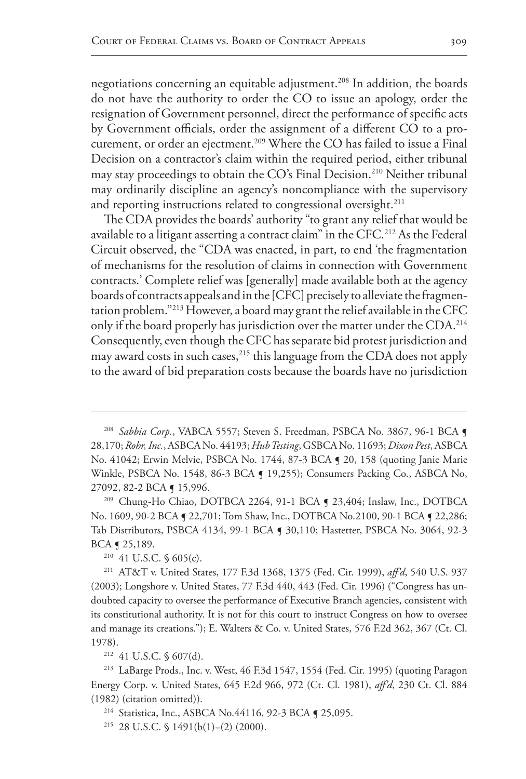negotiations concerning an equitable adjustment.<sup>208</sup> In addition, the boards do not have the authority to order the CO to issue an apology, order the resignation of Government personnel, direct the performance of specific acts by Government officials, order the assignment of a different CO to a procurement, or order an ejectment.<sup>209</sup> Where the CO has failed to issue a Final Decision on a contractor's claim within the required period, either tribunal may stay proceedings to obtain the CO's Final Decision.<sup>210</sup> Neither tribunal may ordinarily discipline an agency's noncompliance with the supervisory and reporting instructions related to congressional oversight.<sup>211</sup>

The CDA provides the boards' authority "to grant any relief that would be available to a litigant asserting a contract claim" in the CFC.<sup>212</sup> As the Federal Circuit observed, the "CDA was enacted, in part, to end 'the fragmentation of mechanisms for the resolution of claims in connection with Government contracts.' Complete relief was [generally] made available both at the agency boards of contracts appeals and in the [CFC] precisely to alleviate the fragmentation problem."213 However, a board may grant the relief available in the CFC only if the board properly has jurisdiction over the matter under the CDA.<sup>214</sup> Consequently, even though the CFC has separate bid protest jurisdiction and may award costs in such cases,<sup>215</sup> this language from the CDA does not apply to the award of bid preparation costs because the boards have no jurisdiction

<sup>209</sup> Chung-Ho Chiao, DOTBCA 2264, 91-1 BCA ¶ 23,404; Inslaw, Inc., DOTBCA No. 1609, 90-2 BCA § 22,701; Tom Shaw, Inc., DOTBCA No.2100, 90-1 BCA § 22,286; Tab Distributors, PSBCA 4134, 99-1 BCA ¶ 30,110; Hastetter, PSBCA No. 3064, 92-3 BCA ¶ 25,189.

<sup>210</sup> 41 U.S.C. § 605(c).

<sup>211</sup> AT&T v. United States, 177 F.3d 1368, 1375 (Fed. Cir. 1999), *aff'd*, 540 U.S. 937 (2003); Longshore v. United States, 77 F.3d 440, 443 (Fed. Cir. 1996) ("Congress has undoubted capacity to oversee the performance of Executive Branch agencies, consistent with its constitutional authority. It is not for this court to instruct Congress on how to oversee and manage its creations."); E. Walters & Co. v. United States, 576 F.2d 362, 367 (Ct. Cl. 1978).

<sup>212</sup> 41 U.S.C. § 607(d).

<sup>213</sup> LaBarge Prods., Inc. v. West, 46 F.3d 1547, 1554 (Fed. Cir. 1995) (quoting Paragon Energy Corp. v. United States, 645 F.2d 966, 972 (Ct. Cl. 1981), *aff'd*, 230 Ct. Cl. 884 (1982) (citation omitted)).

<sup>214</sup> Statistica, Inc., ASBCA No.44116, 92-3 BCA ¶ 25,095.

<sup>215</sup> 28 U.S.C. § 1491(b(1)−(2) (2000).

<sup>&</sup>lt;sup>208</sup> Sabbia Corp., VABCA 5557; Steven S. Freedman, PSBCA No. 3867, 96-1 BCA  $\blacksquare$ 28,170; *Rohr, Inc.*, ASBCA No. 44193; *Hub Testing*, GSBCA No. 11693; *Dixon Pest*, ASBCA No. 41042; Erwin Melvie, PSBCA No. 1744, 87-3 BCA ¶ 20, 158 (quoting Janie Marie Winkle, PSBCA No. 1548, 86-3 BCA ¶ 19,255); Consumers Packing Co., ASBCA No, 27092, 82-2 BCA ¶ 15,996.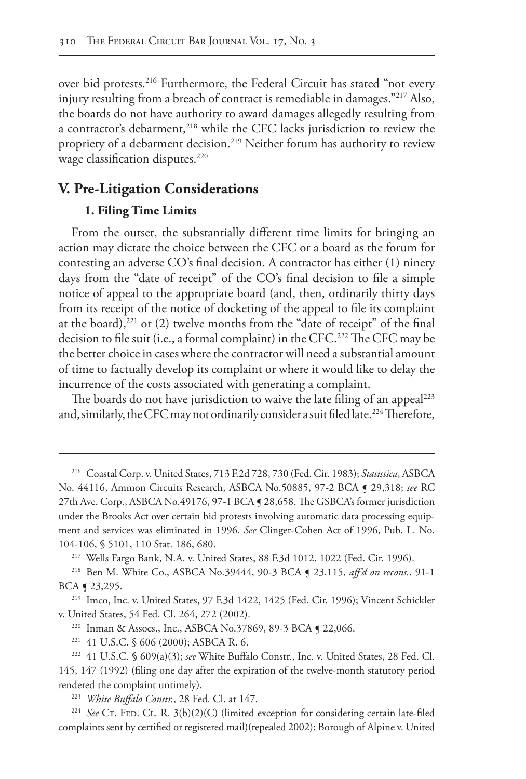over bid protests.<sup>216</sup> Furthermore, the Federal Circuit has stated "not every injury resulting from a breach of contract is remediable in damages."217 Also, the boards do not have authority to award damages allegedly resulting from a contractor's debarment,<sup>218</sup> while the CFC lacks jurisdiction to review the propriety of a debarment decision.<sup>219</sup> Neither forum has authority to review wage classification disputes.<sup>220</sup>

# **V. Pre-Litigation Considerations**

## **1. Filing Time Limits**

From the outset, the substantially different time limits for bringing an action may dictate the choice between the CFC or a board as the forum for contesting an adverse CO's final decision. A contractor has either (1) ninety days from the "date of receipt" of the CO's final decision to file a simple notice of appeal to the appropriate board (and, then, ordinarily thirty days from its receipt of the notice of docketing of the appeal to file its complaint at the board), $221$  or (2) twelve months from the "date of receipt" of the final decision to file suit (i.e., a formal complaint) in the CFC.<sup>222</sup> The CFC may be the better choice in cases where the contractor will need a substantial amount of time to factually develop its complaint or where it would like to delay the incurrence of the costs associated with generating a complaint.

The boards do not have jurisdiction to waive the late filing of an appeal<sup>223</sup> and, similarly, the CFC may not ordinarily consider a suit filed late.<sup>224</sup> Therefore,

<sup>216</sup> Coastal Corp. v. United States, 713 F.2d 728, 730 (Fed. Cir. 1983); *Statistica*, ASBCA No. 44116, Ammon Circuits Research, ASBCA No.50885, 97-2 BCA ¶ 29,318; *see* RC 27th Ave. Corp., ASBCA No.49176, 97-1 BCA ¶ 28,658. The GSBCA's former jurisdiction under the Brooks Act over certain bid protests involving automatic data processing equipment and services was eliminated in 1996. *See* Clinger-Cohen Act of 1996, Pub. L. No. 104-106, § 5101, 110 Stat. 186, 680.

<sup>217</sup> Wells Fargo Bank, N.A. v. United States, 88 F.3d 1012, 1022 (Fed. Cir. 1996).

<sup>218</sup> Ben M. White Co., ASBCA No.39444, 90-3 BCA ¶ 23,115, *aff'd on recons.*, 91-1 BCA ¶ 23,295.

<sup>219</sup> Imco, Inc. v. United States, 97 F.3d 1422, 1425 (Fed. Cir. 1996); Vincent Schickler v. United States, 54 Fed. Cl. 264, 272 (2002).

<sup>&</sup>lt;sup>220</sup> Inman & Assocs., Inc., ASBCA No.37869, 89-3 BCA ¶ 22,066.

<sup>221</sup> 41 U.S.C. § 606 (2000); ASBCA R. 6.

<sup>222</sup> 41 U.S.C. § 609(a)(3); *see* White Buffalo Constr., Inc. v. United States, 28 Fed. Cl. 145, 147 (1992) (filing one day after the expiration of the twelve-month statutory period rendered the complaint untimely).

<sup>223</sup> *White Buffalo Constr.*, 28 Fed. Cl. at 147.

<sup>&</sup>lt;sup>224</sup> See CT. FED. CL. R. 3(b)(2)(C) (limited exception for considering certain late-filed complaints sent by certified or registered mail)(repealed 2002); Borough of Alpine v. United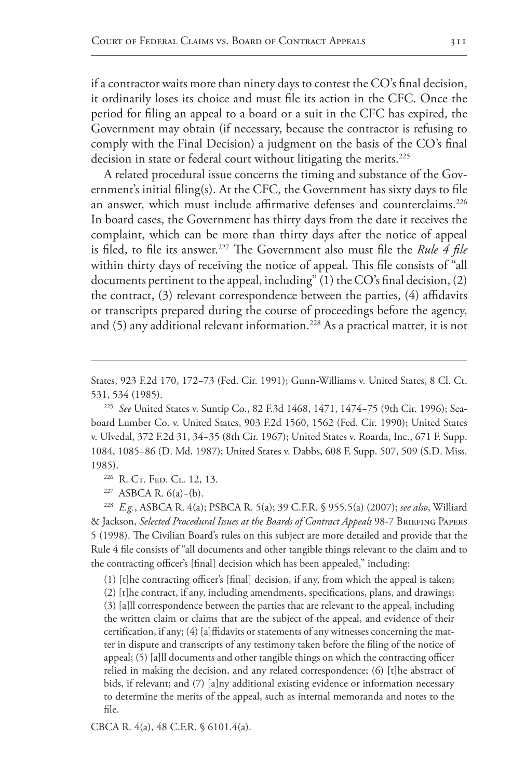if a contractor waits more than ninety days to contest the CO's final decision, it ordinarily loses its choice and must file its action in the CFC. Once the period for filing an appeal to a board or a suit in the CFC has expired, the Government may obtain (if necessary, because the contractor is refusing to comply with the Final Decision) a judgment on the basis of the CO's final decision in state or federal court without litigating the merits.<sup>225</sup>

A related procedural issue concerns the timing and substance of the Government's initial filing(s). At the CFC, the Government has sixty days to file an answer, which must include affirmative defenses and counterclaims.<sup>226</sup> In board cases, the Government has thirty days from the date it receives the complaint, which can be more than thirty days after the notice of appeal is filed, to file its answer.<sup>227</sup> The Government also must file the *Rule 4 file* within thirty days of receiving the notice of appeal. This file consists of "all documents pertinent to the appeal, including" (1) the CO's final decision, (2) the contract, (3) relevant correspondence between the parties, (4) affidavits or transcripts prepared during the course of proceedings before the agency, and  $(5)$  any additional relevant information.<sup>228</sup> As a practical matter, it is not

States, 923 F.2d 170, 172−73 (Fed. Cir. 1991); Gunn-Williams v. United States, 8 Cl. Ct. 531, 534 (1985).

<sup>225</sup> *See* United States v. Suntip Co., 82 F.3d 1468, 1471, 1474−75 (9th Cir. 1996); Seaboard Lumber Co. v. United States, 903 F.2d 1560, 1562 (Fed. Cir. 1990); United States v. Ulvedal, 372 F.2d 31, 34−35 (8th Cir. 1967); United States v. Roarda, Inc., 671 F. Supp. 1084, 1085−86 (D. Md. 1987); United States v. Dabbs, 608 F. Supp. 507, 509 (S.D. Miss. 1985).

<sup>226</sup> R. Cr. Fed. Cl. 12, 13.

<sup>227</sup> ASBCA R. 6(a)−(b).

<sup>228</sup> *E.g.*, ASBCA R. 4(a); PSBCA R. 5(a); 39 C.F.R. § 955.5(a) (2007); *see also*, Williard & Jackson, *Selected Procedural Issues at the Boards of Contract Appeals* 98-7 Briefing Papers 5 (1998). The Civilian Board's rules on this subject are more detailed and provide that the Rule 4 file consists of "all documents and other tangible things relevant to the claim and to the contracting officer's [final] decision which has been appealed," including:

(1) [t]he contracting officer's [final] decision, if any, from which the appeal is taken;

(2) [t]he contract, if any, including amendments, specifications, plans, and drawings; (3) [a]ll correspondence between the parties that are relevant to the appeal, including the written claim or claims that are the subject of the appeal, and evidence of their certification, if any; (4) [a]ffidavits or statements of any witnesses concerning the matter in dispute and transcripts of any testimony taken before the filing of the notice of appeal; (5) [a]ll documents and other tangible things on which the contracting officer relied in making the decision, and any related correspondence; (6) [t]he abstract of bids, if relevant; and (7) [a]ny additional existing evidence or information necessary to determine the merits of the appeal, such as internal memoranda and notes to the file.

CBCA R. 4(a), 48 C.F.R. § 6101.4(a).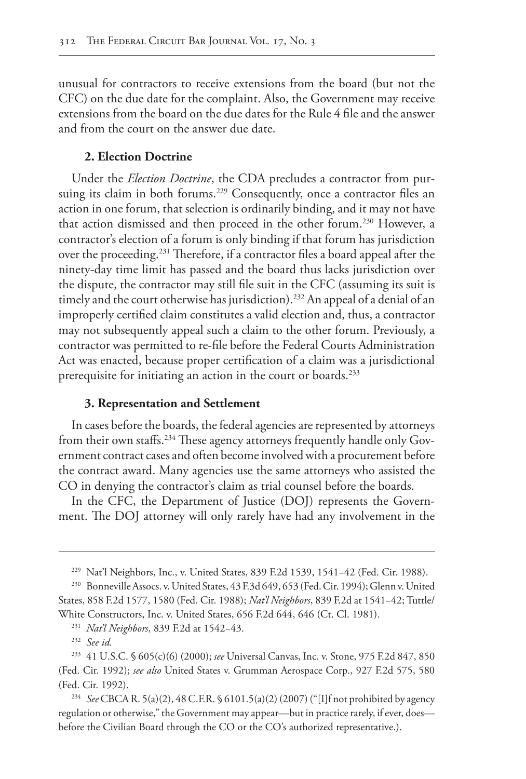unusual for contractors to receive extensions from the board (but not the CFC) on the due date for the complaint. Also, the Government may receive extensions from the board on the due dates for the Rule 4 file and the answer and from the court on the answer due date.

## **2. Election Doctrine**

Under the *Election Doctrine*, the CDA precludes a contractor from pursuing its claim in both forums.<sup>229</sup> Consequently, once a contractor files an action in one forum, that selection is ordinarily binding, and it may not have that action dismissed and then proceed in the other forum.<sup>230</sup> However, a contractor's election of a forum is only binding if that forum has jurisdiction over the proceeding.231 Therefore, if a contractor files a board appeal after the ninety-day time limit has passed and the board thus lacks jurisdiction over the dispute, the contractor may still file suit in the CFC (assuming its suit is timely and the court otherwise has jurisdiction).<sup>232</sup> An appeal of a denial of an improperly certified claim constitutes a valid election and, thus, a contractor may not subsequently appeal such a claim to the other forum. Previously, a contractor was permitted to re-file before the Federal Courts Administration Act was enacted, because proper certification of a claim was a jurisdictional prerequisite for initiating an action in the court or boards.<sup>233</sup>

## **3. Representation and Settlement**

In cases before the boards, the federal agencies are represented by attorneys from their own staffs.234 These agency attorneys frequently handle only Government contract cases and often become involved with a procurement before the contract award. Many agencies use the same attorneys who assisted the CO in denying the contractor's claim as trial counsel before the boards.

In the CFC, the Department of Justice (DOJ) represents the Government. The DOJ attorney will only rarely have had any involvement in the

<sup>231</sup> *Nat'l Neighbors*, 839 F.2d at 1542−43.

<sup>229</sup> Nat'l Neighbors, Inc., v. United States, 839 F.2d 1539, 1541−42 (Fed. Cir. 1988).

<sup>230</sup> Bonneville Assocs. v. United States, 43 F.3d 649, 653 (Fed. Cir. 1994); Glenn v. United States, 858 F.2d 1577, 1580 (Fed. Cir. 1988); *Nat'l Neighbors*, 839 F.2d at 1541−42; Tuttle/ White Constructors, Inc. v. United States, 656 F.2d 644, 646 (Ct. Cl. 1981).

<sup>232</sup> *See id.*

<sup>233</sup> 41 U.S.C. § 605(c)(6) (2000); *see* Universal Canvas, Inc. v. Stone, 975 F.2d 847, 850 (Fed. Cir. 1992); *see also* United States v. Grumman Aerospace Corp., 927 F.2d 575, 580 (Fed. Cir. 1992).

<sup>234</sup> *See* CBCA R. 5(a)(2), 48 C.F.R. § 6101.5(a)(2) (2007) ("[I]f not prohibited by agency regulation or otherwise," the Government may appear—but in practice rarely, if ever, does before the Civilian Board through the CO or the CO's authorized representative.).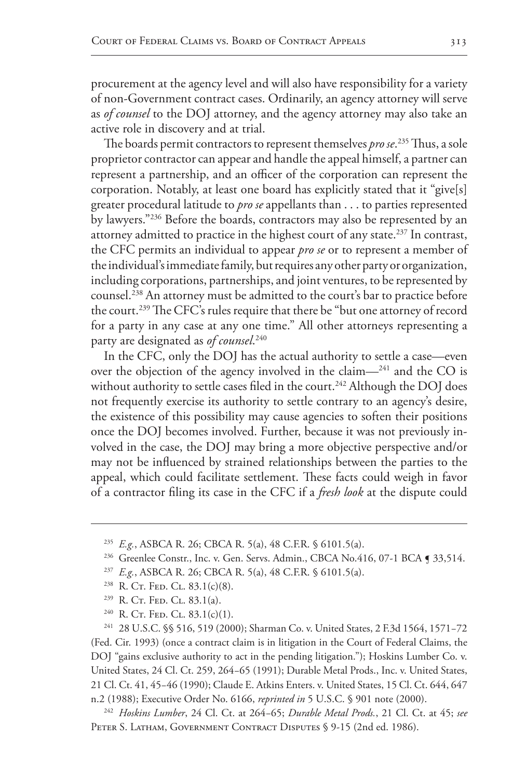procurement at the agency level and will also have responsibility for a variety of non-Government contract cases. Ordinarily, an agency attorney will serve as *of counsel* to the DOJ attorney, and the agency attorney may also take an active role in discovery and at trial.

The boards permit contractors to represent themselves *pro se*. 235 Thus, a sole proprietor contractor can appear and handle the appeal himself, a partner can represent a partnership, and an officer of the corporation can represent the corporation. Notably, at least one board has explicitly stated that it "give[s] greater procedural latitude to *pro se* appellants than . . . to parties represented by lawyers."236 Before the boards, contractors may also be represented by an attorney admitted to practice in the highest court of any state.<sup>237</sup> In contrast, the CFC permits an individual to appear *pro se* or to represent a member of the individual's immediate family, but requires any other party or organization, including corporations, partnerships, and joint ventures, to be represented by counsel.238 An attorney must be admitted to the court's bar to practice before the court.239 The CFC's rules require that there be "but one attorney of record for a party in any case at any one time." All other attorneys representing a party are designated as *of counsel*. 240

In the CFC, only the DOJ has the actual authority to settle a case—even over the objection of the agency involved in the claim—241 and the CO is without authority to settle cases filed in the court.<sup>242</sup> Although the DOJ does not frequently exercise its authority to settle contrary to an agency's desire, the existence of this possibility may cause agencies to soften their positions once the DOJ becomes involved. Further, because it was not previously involved in the case, the DOJ may bring a more objective perspective and/or may not be influenced by strained relationships between the parties to the appeal, which could facilitate settlement. These facts could weigh in favor of a contractor filing its case in the CFC if a *fresh look* at the dispute could

- $238$  R. Ct. Fed. Cl. 83.1(c)(8).
- <sup>239</sup> R. Cr. Fep. Cl. 83.1(a).
- $240$  R. Ct. Fed. Cl. 83.1(c)(1).

<sup>241</sup> 28 U.S.C. §§ 516, 519 (2000); Sharman Co. v. United States, 2 F.3d 1564, 1571−72 (Fed. Cir. 1993) (once a contract claim is in litigation in the Court of Federal Claims, the DOJ "gains exclusive authority to act in the pending litigation."); Hoskins Lumber Co. v. United States, 24 Cl. Ct. 259, 264−65 (1991); Durable Metal Prods., Inc. v. United States, 21 Cl. Ct. 41, 45−46 (1990); Claude E. Atkins Enters. v. United States, 15 Cl. Ct. 644, 647 n.2 (1988); Executive Order No. 6166, *reprinted in* 5 U.S.C. § 901 note (2000).

<sup>242</sup> *Hoskins Lumber*, 24 Cl. Ct. at 264−65; *Durable Metal Prods.*, 21 Cl. Ct. at 45; *see* PETER S. LATHAM, GOVERNMENT CONTRACT DISPUTES § 9-15 (2nd ed. 1986).

<sup>235</sup> *E.g.*, ASBCA R. 26; CBCA R. 5(a), 48 C.F.R. § 6101.5(a).

<sup>&</sup>lt;sup>236</sup> Greenlee Constr., Inc. v. Gen. Servs. Admin., CBCA No.416, 07-1 BCA ¶ 33,514.

<sup>237</sup> *E.g.*, ASBCA R. 26; CBCA R. 5(a), 48 C.F.R. § 6101.5(a).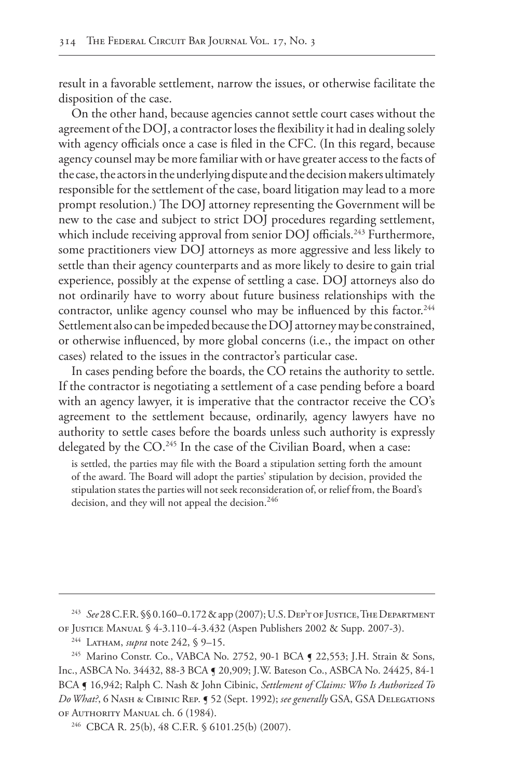result in a favorable settlement, narrow the issues, or otherwise facilitate the disposition of the case.

On the other hand, because agencies cannot settle court cases without the agreement of the DOJ, a contractor loses the flexibility it had in dealing solely with agency officials once a case is filed in the CFC. (In this regard, because agency counsel may be more familiar with or have greater access to the facts of the case, the actors in the underlying dispute and the decision makers ultimately responsible for the settlement of the case, board litigation may lead to a more prompt resolution.) The DOJ attorney representing the Government will be new to the case and subject to strict DOJ procedures regarding settlement, which include receiving approval from senior DOJ officials.<sup>243</sup> Furthermore, some practitioners view DOJ attorneys as more aggressive and less likely to settle than their agency counterparts and as more likely to desire to gain trial experience, possibly at the expense of settling a case. DOJ attorneys also do not ordinarily have to worry about future business relationships with the contractor, unlike agency counsel who may be influenced by this factor.<sup>244</sup> Settlement also can be impeded because the DOJ attorney may be constrained, or otherwise influenced, by more global concerns (i.e., the impact on other cases) related to the issues in the contractor's particular case.

In cases pending before the boards, the CO retains the authority to settle. If the contractor is negotiating a settlement of a case pending before a board with an agency lawyer, it is imperative that the contractor receive the CO's agreement to the settlement because, ordinarily, agency lawyers have no authority to settle cases before the boards unless such authority is expressly delegated by the CO.<sup>245</sup> In the case of the Civilian Board, when a case:

is settled, the parties may file with the Board a stipulation setting forth the amount of the award. The Board will adopt the parties' stipulation by decision, provided the stipulation states the parties will not seek reconsideration of, or relief from, the Board's decision, and they will not appeal the decision.<sup>246</sup>

<sup>243</sup> *See* 28 C.F.R. §§0.160–0.172 & app (2007); U.S. Dep't of Justice, The Department of Justice Manual § 4-3.110−4-3.432 (Aspen Publishers 2002 & Supp. 2007-3).

<sup>244</sup> Latham, *supra* note 242, § 9–15.

<sup>&</sup>lt;sup>245</sup> Marino Constr. Co., VABCA No. 2752, 90-1 BCA ¶ 22,553; J.H. Strain & Sons, Inc., ASBCA No. 34432, 88-3 BCA ¶ 20,909; J.W. Bateson Co., ASBCA No. 24425, 84-1 BCA ¶ 16,942; Ralph C. Nash & John Cibinic, *Settlement of Claims: Who Is Authorized To Do What?*, 6 Nash & Cibinic Rep. ¶ 52 (Sept. 1992); *see generally* GSA, GSA Delegations of Authority Manual ch. 6 (1984).

<sup>246</sup> CBCA R. 25(b), 48 C.F.R. § 6101.25(b) (2007).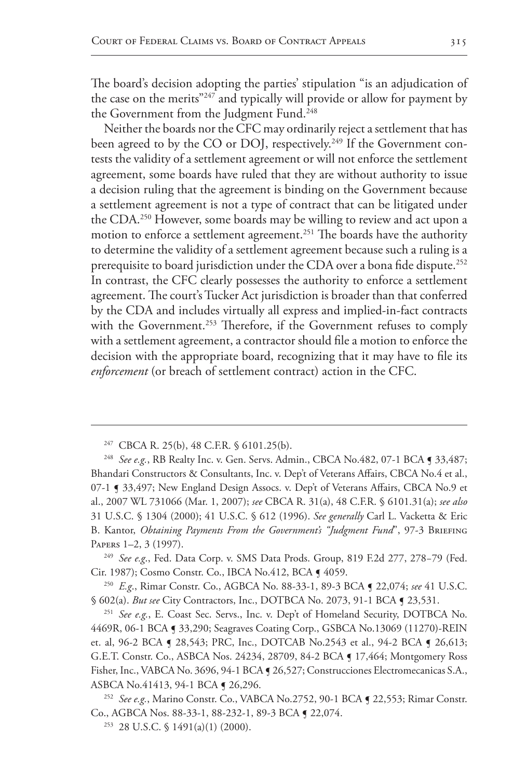The board's decision adopting the parties' stipulation "is an adjudication of the case on the merits"247 and typically will provide or allow for payment by the Government from the Judgment Fund.<sup>248</sup>

Neither the boards nor the CFC may ordinarily reject a settlement that has been agreed to by the CO or DOJ, respectively.<sup>249</sup> If the Government contests the validity of a settlement agreement or will not enforce the settlement agreement, some boards have ruled that they are without authority to issue a decision ruling that the agreement is binding on the Government because a settlement agreement is not a type of contract that can be litigated under the CDA.<sup>250</sup> However, some boards may be willing to review and act upon a motion to enforce a settlement agreement.<sup>251</sup> The boards have the authority to determine the validity of a settlement agreement because such a ruling is a prerequisite to board jurisdiction under the CDA over a bona fide dispute.<sup>252</sup> In contrast, the CFC clearly possesses the authority to enforce a settlement agreement. The court's Tucker Act jurisdiction is broader than that conferred by the CDA and includes virtually all express and implied-in-fact contracts with the Government.<sup>253</sup> Therefore, if the Government refuses to comply with a settlement agreement, a contractor should file a motion to enforce the decision with the appropriate board, recognizing that it may have to file its *enforcement* (or breach of settlement contract) action in the CFC.

<sup>249</sup> *See e.g*., Fed. Data Corp. v. SMS Data Prods. Group, 819 F.2d 277, 278−79 (Fed. Cir. 1987); Cosmo Constr. Co., IBCA No.412, BCA ¶ 4059.

<sup>250</sup> *E.g*., Rimar Constr. Co., AGBCA No. 88-33-1, 89-3 BCA ¶ 22,074; *see* 41 U.S.C. § 602(a). *But see* City Contractors, Inc., DOTBCA No. 2073, 91-1 BCA ¶ 23,531.

<sup>251</sup> *See e.g.*, E. Coast Sec. Servs., Inc. v. Dep't of Homeland Security, DOTBCA No. 4469R, 06-1 BCA ¶ 33,290; Seagraves Coating Corp., GSBCA No.13069 (11270)-REIN et. al, 96-2 BCA ¶ 28,543; PRC, Inc., DOTCAB No.2543 et al., 94-2 BCA ¶ 26,613; G.E.T. Constr. Co., ASBCA Nos. 24234, 28709, 84-2 BCA ¶ 17,464; Montgomery Ross Fisher, Inc., VABCA No. 3696, 94-1 BCA ¶ 26,527; Construcciones Electromecanicas S.A., ASBCA No.41413, 94-1 BCA ¶ 26,296.

<sup>252</sup> *See e.g.*, Marino Constr. Co., VABCA No.2752, 90-1 BCA ¶ 22,553; Rimar Constr. Co., AGBCA Nos. 88-33-1, 88-232-1, 89-3 BCA ¶ 22,074.

 $253$  28 U.S.C. § 1491(a)(1) (2000).

<sup>247</sup> CBCA R. 25(b), 48 C.F.R. § 6101.25(b).

<sup>&</sup>lt;sup>248</sup> *See e.g.*, RB Realty Inc. v. Gen. Servs. Admin., CBCA No.482, 07-1 BCA ¶ 33,487; Bhandari Constructors & Consultants, Inc. v. Dep't of Veterans Affairs, CBCA No.4 et al., 07-1 ¶ 33,497; New England Design Assocs. v. Dep't of Veterans Affairs, CBCA No.9 et al., 2007 WL 731066 (Mar. 1, 2007); *see* CBCA R. 31(a), 48 C.F.R. § 6101.31(a); *see also* 31 U.S.C. § 1304 (2000); 41 U.S.C. § 612 (1996). *See generally* Carl L. Vacketta & Eric B. Kantor, *Obtaining Payments From the Government's "Judgment Fund*", 97-3 Briefing Papers 1–2, 3 (1997).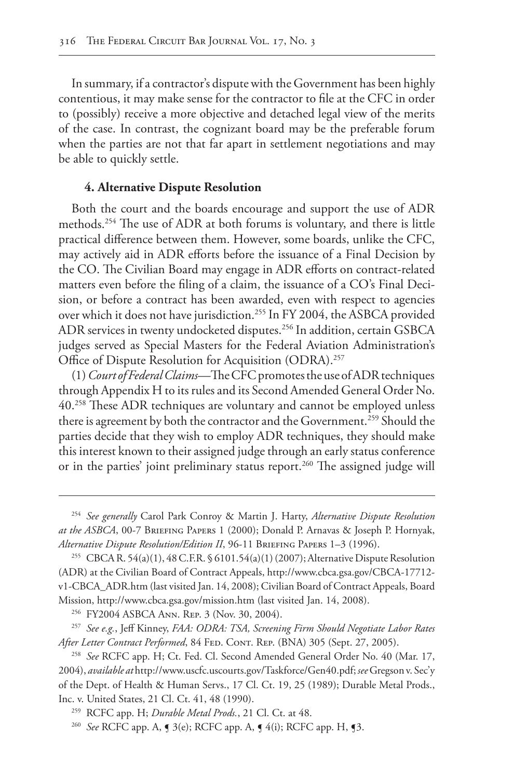In summary, if a contractor's dispute with the Government has been highly contentious, it may make sense for the contractor to file at the CFC in order to (possibly) receive a more objective and detached legal view of the merits of the case. In contrast, the cognizant board may be the preferable forum when the parties are not that far apart in settlement negotiations and may be able to quickly settle.

## **4. Alternative Dispute Resolution**

Both the court and the boards encourage and support the use of ADR methods.254 The use of ADR at both forums is voluntary, and there is little practical difference between them. However, some boards, unlike the CFC, may actively aid in ADR efforts before the issuance of a Final Decision by the CO. The Civilian Board may engage in ADR efforts on contract-related matters even before the filing of a claim, the issuance of a CO's Final Decision, or before a contract has been awarded, even with respect to agencies over which it does not have jurisdiction.255 In FY 2004, the ASBCA provided ADR services in twenty undocketed disputes.256 In addition, certain GSBCA judges served as Special Masters for the Federal Aviation Administration's Office of Dispute Resolution for Acquisition (ODRA).<sup>257</sup>

(1) *Court of Federal Claims*—The CFC promotes the use of ADR techniques through Appendix H to its rules and its Second Amended General Order No. 40.258 These ADR techniques are voluntary and cannot be employed unless there is agreement by both the contractor and the Government.<sup>259</sup> Should the parties decide that they wish to employ ADR techniques, they should make this interest known to their assigned judge through an early status conference or in the parties' joint preliminary status report.<sup>260</sup> The assigned judge will

<sup>256</sup> FY2004 ASBCA Ann. Rep. 3 (Nov. 30, 2004).

<sup>257</sup> *See e.g.*, Jeff Kinney, *FAA: ODRA: TSA, Screening Firm Should Negotiate Labor Rates*  After Letter Contract Performed, 84 FED. CONT. REP. (BNA) 305 (Sept. 27, 2005).

<sup>254</sup> *See generally* Carol Park Conroy & Martin J. Harty, *Alternative Dispute Resolution at the ASBCA*, 00-7 Briefing Papers 1 (2000); Donald P. Arnavas & Joseph P. Hornyak, *Alternative Dispute Resolution/Edition II*, 96-11 Briefing Papers 1–3 (1996).

<sup>255</sup> CBCA R. 54(a)(1), 48 C.F.R. § 6101.54(a)(1) (2007); Alternative Dispute Resolution (ADR) at the Civilian Board of Contract Appeals, http://www.cbca.gsa.gov/CBCA-17712 v1-CBCA\_ADR.htm (last visited Jan. 14, 2008); Civilian Board of Contract Appeals, Board Mission, http://www.cbca.gsa.gov/mission.htm (last visited Jan. 14, 2008).

<sup>258</sup> *See* RCFC app. H; Ct. Fed. Cl. Second Amended General Order No. 40 (Mar. 17, 2004), *available at* http://www.uscfc.uscourts.gov/Taskforce/Gen40.pdf; *see* Gregson v. Sec'y of the Dept. of Health & Human Servs., 17 Cl. Ct. 19, 25 (1989); Durable Metal Prods., Inc. v. United States, 21 Cl. Ct. 41, 48 (1990).

<sup>259</sup> RCFC app. H; *Durable Metal Prods.*, 21 Cl. Ct. at 48.

<sup>260</sup> *See* RCFC app. A, ¶ 3(e); RCFC app. A, ¶ 4(i); RCFC app. H, ¶3.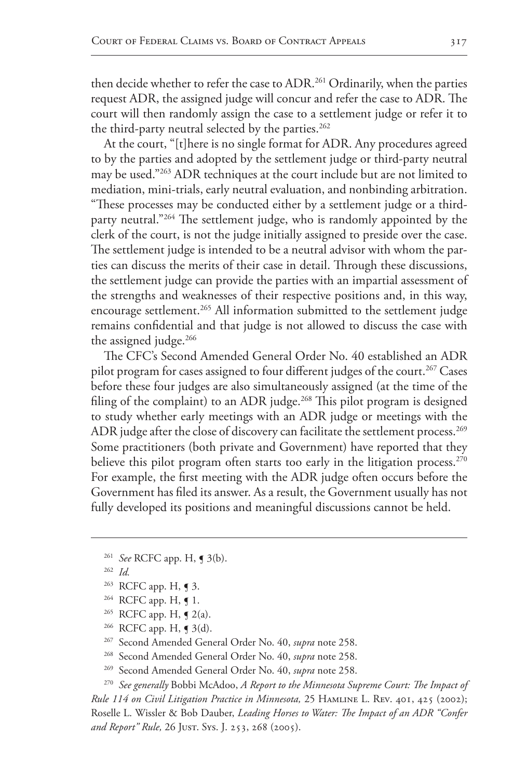then decide whether to refer the case to ADR.<sup>261</sup> Ordinarily, when the parties request ADR, the assigned judge will concur and refer the case to ADR. The court will then randomly assign the case to a settlement judge or refer it to the third-party neutral selected by the parties.<sup>262</sup>

At the court, "[t]here is no single format for ADR. Any procedures agreed to by the parties and adopted by the settlement judge or third-party neutral may be used."263 ADR techniques at the court include but are not limited to mediation, mini-trials, early neutral evaluation, and nonbinding arbitration. "These processes may be conducted either by a settlement judge or a thirdparty neutral."264 The settlement judge, who is randomly appointed by the clerk of the court, is not the judge initially assigned to preside over the case. The settlement judge is intended to be a neutral advisor with whom the parties can discuss the merits of their case in detail. Through these discussions, the settlement judge can provide the parties with an impartial assessment of the strengths and weaknesses of their respective positions and, in this way, encourage settlement.<sup>265</sup> All information submitted to the settlement judge remains confidential and that judge is not allowed to discuss the case with the assigned judge.<sup>266</sup>

The CFC's Second Amended General Order No. 40 established an ADR pilot program for cases assigned to four different judges of the court.<sup>267</sup> Cases before these four judges are also simultaneously assigned (at the time of the filing of the complaint) to an ADR judge.<sup>268</sup> This pilot program is designed to study whether early meetings with an ADR judge or meetings with the ADR judge after the close of discovery can facilitate the settlement process.<sup>269</sup> Some practitioners (both private and Government) have reported that they believe this pilot program often starts too early in the litigation process.<sup>270</sup> For example, the first meeting with the ADR judge often occurs before the Government has filed its answer. As a result, the Government usually has not fully developed its positions and meaningful discussions cannot be held.

- <sup>261</sup> *See* RCFC app. H, ¶ 3(b).
- <sup>262</sup> *Id.*
- <sup>263</sup> RCFC app. H, **¶** 3.
- $264$  RCFC app. H, **[** 1.
- <sup>265</sup> RCFC app. H,  $\leq 2(a)$ .
- <sup>266</sup> RCFC app. H, **[** 3(d).
- <sup>267</sup> Second Amended General Order No. 40, *supra* note 258.
- <sup>268</sup> Second Amended General Order No. 40, *supra* note 258.
- <sup>269</sup> Second Amended General Order No. 40, *supra* note 258.

<sup>270</sup> *See generally* Bobbi McAdoo, *A Report to the Minnesota Supreme Court: The Impact of Rule 114 on Civil Litigation Practice in Minnesota,* 25 Hamline L. Rev. 401, 425 (2002); Roselle L. Wissler & Bob Dauber, *Leading Horses to Water: The Impact of an ADR "Confer and Report" Rule,* 26 Just. Sys. J. 253, 268 (2005).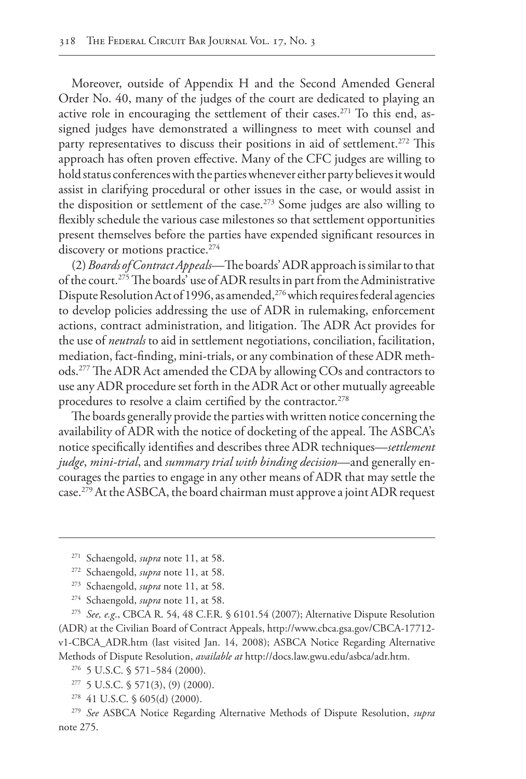Moreover, outside of Appendix H and the Second Amended General Order No. 40, many of the judges of the court are dedicated to playing an active role in encouraging the settlement of their cases.<sup>271</sup> To this end, assigned judges have demonstrated a willingness to meet with counsel and party representatives to discuss their positions in aid of settlement.<sup>272</sup> This approach has often proven effective. Many of the CFC judges are willing to hold status conferences with the parties whenever either party believes it would assist in clarifying procedural or other issues in the case, or would assist in the disposition or settlement of the case.273 Some judges are also willing to flexibly schedule the various case milestones so that settlement opportunities present themselves before the parties have expended significant resources in discovery or motions practice.<sup>274</sup>

(2) *Boards of Contract Appeals*—The boards' ADR approach is similar to that of the court.275 The boards' use of ADR results in part from the Administrative Dispute Resolution Act of 1996, as amended,<sup>276</sup> which requires federal agencies to develop policies addressing the use of ADR in rulemaking, enforcement actions, contract administration, and litigation. The ADR Act provides for the use of *neutrals* to aid in settlement negotiations, conciliation, facilitation, mediation, fact-finding, mini-trials, or any combination of these ADR methods.277 The ADR Act amended the CDA by allowing COs and contractors to use any ADR procedure set forth in the ADR Act or other mutually agreeable procedures to resolve a claim certified by the contractor.<sup>278</sup>

The boards generally provide the parties with written notice concerning the availability of ADR with the notice of docketing of the appeal. The ASBCA's notice specifically identifies and describes three ADR techniques—*settlement judge*, *mini-trial*, and *summary trial with binding decision*—and generally encourages the parties to engage in any other means of ADR that may settle the case.279 At the ASBCA, the board chairman must approve a joint ADR request

<sup>275</sup> *See, e.g*., CBCA R. 54, 48 C.F.R. § 6101.54 (2007); Alternative Dispute Resolution (ADR) at the Civilian Board of Contract Appeals, http://www.cbca.gsa.gov/CBCA-17712 v1-CBCA\_ADR.htm (last visited Jan. 14, 2008); ASBCA Notice Regarding Alternative Methods of Dispute Resolution, *available at* http://docs.law.gwu.edu/asbca/adr.htm.

<sup>271</sup> Schaengold, *supra* note 11, at 58.

<sup>272</sup> Schaengold, *supra* note 11, at 58.

<sup>273</sup> Schaengold, *supra* note 11, at 58.

<sup>274</sup> Schaengold, *supra* note 11, at 58.

<sup>276</sup> 5 U.S.C. § 571−584 (2000).

 $277$  5 U.S.C. § 571(3), (9) (2000).

<sup>278</sup> 41 U.S.C. § 605(d) (2000).

<sup>279</sup> *See* ASBCA Notice Regarding Alternative Methods of Dispute Resolution, *supra*  note 275.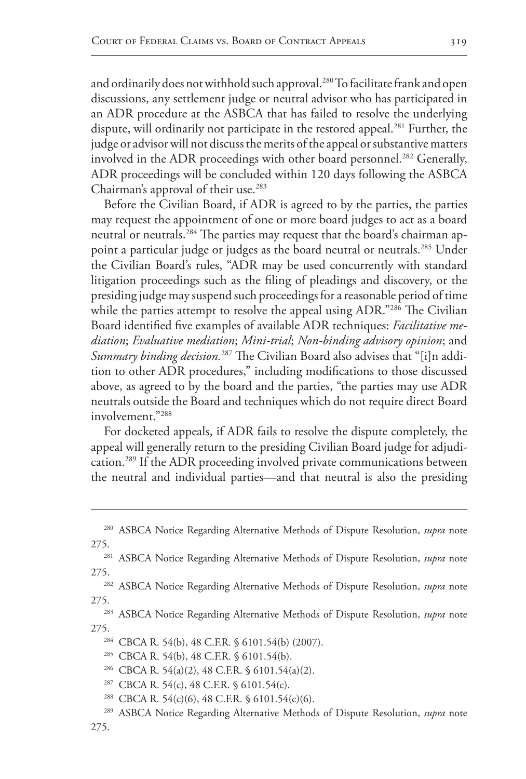and ordinarily does not withhold such approval.<sup>280</sup> To facilitate frank and open discussions, any settlement judge or neutral advisor who has participated in an ADR procedure at the ASBCA that has failed to resolve the underlying dispute, will ordinarily not participate in the restored appeal.<sup>281</sup> Further, the judge or advisor will not discuss the merits of the appeal or substantive matters involved in the ADR proceedings with other board personnel.<sup>282</sup> Generally, ADR proceedings will be concluded within 120 days following the ASBCA Chairman's approval of their use. $283$ 

Before the Civilian Board, if ADR is agreed to by the parties, the parties may request the appointment of one or more board judges to act as a board neutral or neutrals.<sup>284</sup> The parties may request that the board's chairman appoint a particular judge or judges as the board neutral or neutrals.<sup>285</sup> Under the Civilian Board's rules, "ADR may be used concurrently with standard litigation proceedings such as the filing of pleadings and discovery, or the presiding judge may suspend such proceedings for a reasonable period of time while the parties attempt to resolve the appeal using ADR."286 The Civilian Board identified five examples of available ADR techniques: *Facilitative mediation*; *Evaluative mediation*; *Mini-trial*; *Non-binding advisory opinion*; and *Summary binding decision.*287 The Civilian Board also advises that "[i]n addition to other ADR procedures," including modifications to those discussed above, as agreed to by the board and the parties, "the parties may use ADR neutrals outside the Board and techniques which do not require direct Board involvement."288

For docketed appeals, if ADR fails to resolve the dispute completely, the appeal will generally return to the presiding Civilian Board judge for adjudication.289 If the ADR proceeding involved private communications between the neutral and individual parties—and that neutral is also the presiding

<sup>288</sup> CBCA R. 54(c)(6), 48 C.F.R. § 6101.54(c)(6).

<sup>280</sup> ASBCA Notice Regarding Alternative Methods of Dispute Resolution, *supra* note

<sup>275.281</sup> ASBCA Notice Regarding Alternative Methods of Dispute Resolution, *supra* note

<sup>275.282</sup> ASBCA Notice Regarding Alternative Methods of Dispute Resolution, *supra* note 275.283 ASBCA Notice Regarding Alternative Methods of Dispute Resolution, *supra* note

<sup>275.&</sup>lt;br><sup>284</sup> CBCA R. 54(b), 48 C.F.R. § 6101.54(b) (2007).

<sup>285</sup> CBCA R. 54(b), 48 C.F.R. § 6101.54(b).

<sup>286</sup> CBCA R. 54(a)(2), 48 C.F.R. § 6101.54(a)(2).

<sup>287</sup> CBCA R. 54(c), 48 C.F.R. § 6101.54(c).

<sup>289</sup> ASBCA Notice Regarding Alternative Methods of Dispute Resolution, *supra* note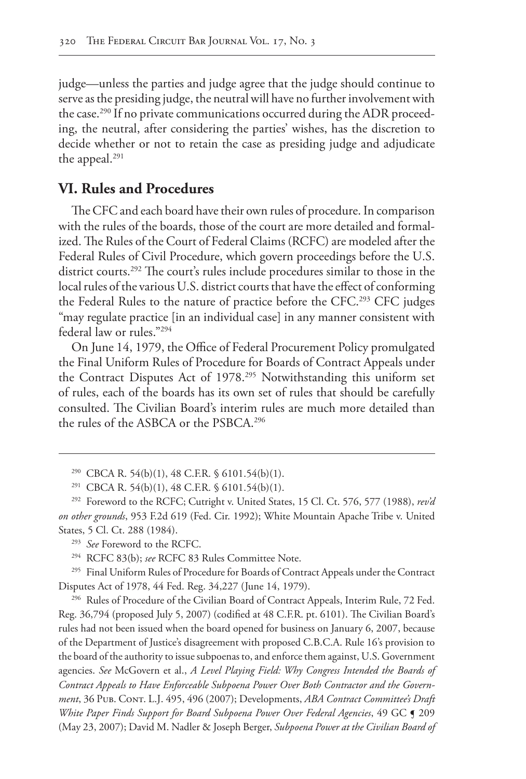judge—unless the parties and judge agree that the judge should continue to serve as the presiding judge, the neutral will have no further involvement with the case.<sup>290</sup> If no private communications occurred during the ADR proceeding, the neutral, after considering the parties' wishes, has the discretion to decide whether or not to retain the case as presiding judge and adjudicate the appeal.<sup>291</sup>

# **VI. Rules and Procedures**

The CFC and each board have their own rules of procedure. In comparison with the rules of the boards, those of the court are more detailed and formalized. The Rules of the Court of Federal Claims (RCFC) are modeled after the Federal Rules of Civil Procedure, which govern proceedings before the U.S. district courts.292 The court's rules include procedures similar to those in the local rules of the various U.S. district courts that have the effect of conforming the Federal Rules to the nature of practice before the CFC.<sup>293</sup> CFC judges "may regulate practice [in an individual case] in any manner consistent with federal law or rules."294

On June 14, 1979, the Office of Federal Procurement Policy promulgated the Final Uniform Rules of Procedure for Boards of Contract Appeals under the Contract Disputes Act of 1978.295 Notwithstanding this uniform set of rules, each of the boards has its own set of rules that should be carefully consulted. The Civilian Board's interim rules are much more detailed than the rules of the ASBCA or the PSBCA.296

<sup>293</sup> *See* Foreword to the RCFC.

<sup>294</sup> RCFC 83(b); *see* RCFC 83 Rules Committee Note.

<sup>295</sup> Final Uniform Rules of Procedure for Boards of Contract Appeals under the Contract Disputes Act of 1978, 44 Fed. Reg. 34,227 (June 14, 1979).

<sup>296</sup> Rules of Procedure of the Civilian Board of Contract Appeals, Interim Rule, 72 Fed. Reg. 36,794 (proposed July 5, 2007) (codified at 48 C.F.R. pt. 6101). The Civilian Board's rules had not been issued when the board opened for business on January 6, 2007, because of the Department of Justice's disagreement with proposed C.B.C.A. Rule 16's provision to the board of the authority to issue subpoenas to, and enforce them against, U.S. Government agencies. *See* McGovern et al., *A Level Playing Field: Why Congress Intended the Boards of Contract Appeals to Have Enforceable Subpoena Power Over Both Contractor and the Government*, 36 Pub. Cont. L.J. 495, 496 (2007); Developments, *ABA Contract Committee's Draft White Paper Finds Support for Board Subpoena Power Over Federal Agencies*, 49 GC ¶ 209 (May 23, 2007); David M. Nadler & Joseph Berger, *Subpoena Power at the Civilian Board of* 

<sup>&</sup>lt;sup>290</sup> CBCA R. 54(b)(1), 48 C.F.R. § 6101.54(b)(1).

<sup>&</sup>lt;sup>291</sup> CBCA R. 54(b)(1), 48 C.F.R. § 6101.54(b)(1).

<sup>292</sup> Foreword to the RCFC; Cutright v. United States, 15 Cl. Ct. 576, 577 (1988), *rev'd on other grounds*, 953 F.2d 619 (Fed. Cir. 1992); White Mountain Apache Tribe v. United States, 5 Cl. Ct. 288 (1984).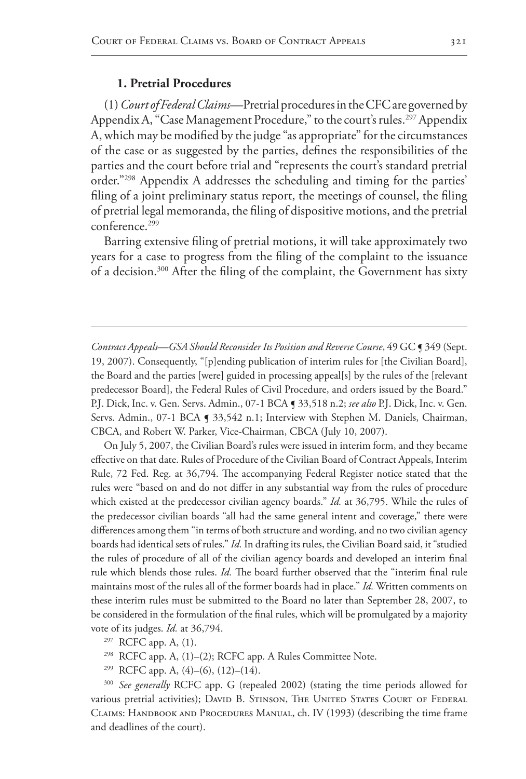### **1. Pretrial Procedures**

(1) *Court of Federal Claims*—Pretrial procedures in the CFC are governed by Appendix A, "Case Management Procedure," to the court's rules.<sup>297</sup> Appendix A, which may be modified by the judge "as appropriate" for the circumstances of the case or as suggested by the parties, defines the responsibilities of the parties and the court before trial and "represents the court's standard pretrial order."298 Appendix A addresses the scheduling and timing for the parties' filing of a joint preliminary status report, the meetings of counsel, the filing of pretrial legal memoranda, the filing of dispositive motions, and the pretrial conference.<sup>299</sup>

Barring extensive filing of pretrial motions, it will take approximately two years for a case to progress from the filing of the complaint to the issuance of a decision.<sup>300</sup> After the filing of the complaint, the Government has sixty

*Contract Appeals—GSA Should Reconsider Its Position and Reverse Course*, 49 GC ¶ 349 (Sept. 19, 2007). Consequently, "[p]ending publication of interim rules for [the Civilian Board], the Board and the parties [were] guided in processing appeal[s] by the rules of the [relevant predecessor Board], the Federal Rules of Civil Procedure, and orders issued by the Board." P.J. Dick, Inc. v. Gen. Servs. Admin., 07-1 BCA ¶ 33,518 n.2; *see also* P.J. Dick, Inc. v. Gen. Servs. Admin., 07-1 BCA § 33,542 n.1; Interview with Stephen M. Daniels, Chairman, CBCA, and Robert W. Parker, Vice-Chairman, CBCA (July 10, 2007).

On July 5, 2007, the Civilian Board's rules were issued in interim form, and they became effective on that date. Rules of Procedure of the Civilian Board of Contract Appeals, Interim Rule, 72 Fed. Reg. at 36,794. The accompanying Federal Register notice stated that the rules were "based on and do not differ in any substantial way from the rules of procedure which existed at the predecessor civilian agency boards." *Id.* at 36,795. While the rules of the predecessor civilian boards "all had the same general intent and coverage," there were differences among them "in terms of both structure and wording, and no two civilian agency boards had identical sets of rules." *Id.* In drafting its rules, the Civilian Board said, it "studied the rules of procedure of all of the civilian agency boards and developed an interim final rule which blends those rules. *Id.* The board further observed that the "interim final rule maintains most of the rules all of the former boards had in place." *Id.* Written comments on these interim rules must be submitted to the Board no later than September 28, 2007, to be considered in the formulation of the final rules, which will be promulgated by a majority vote of its judges. *Id.* at 36,794.

- <sup>297</sup> RCFC app. A, (1).
- <sup>298</sup> RCFC app. A, (1)–(2); RCFC app. A Rules Committee Note.
- <sup>299</sup> RCFC app. A,  $(4)$ – $(6)$ ,  $(12)$ – $(14)$ .

<sup>300</sup> *See generally* RCFC app. G (repealed 2002) (stating the time periods allowed for various pretrial activities); DAVID B. STINSON, THE UNITED STATES COURT OF FEDERAL Claims: Handbook and Procedures Manual, ch. IV (1993) (describing the time frame and deadlines of the court).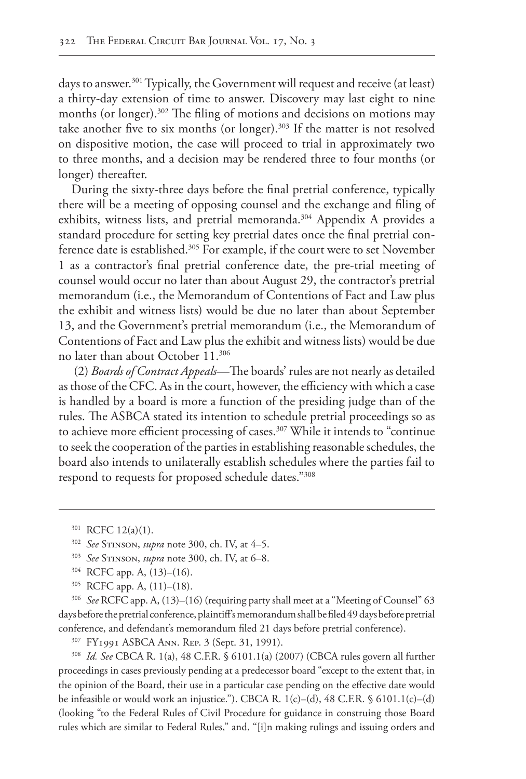days to answer.<sup>301</sup> Typically, the Government will request and receive (at least) a thirty-day extension of time to answer. Discovery may last eight to nine months (or longer).302 The filing of motions and decisions on motions may take another five to six months (or longer).<sup>303</sup> If the matter is not resolved on dispositive motion, the case will proceed to trial in approximately two to three months, and a decision may be rendered three to four months (or longer) thereafter.

During the sixty-three days before the final pretrial conference, typically there will be a meeting of opposing counsel and the exchange and filing of exhibits, witness lists, and pretrial memoranda.<sup>304</sup> Appendix A provides a standard procedure for setting key pretrial dates once the final pretrial conference date is established.<sup>305</sup> For example, if the court were to set November 1 as a contractor's final pretrial conference date, the pre-trial meeting of counsel would occur no later than about August 29, the contractor's pretrial memorandum (i.e., the Memorandum of Contentions of Fact and Law plus the exhibit and witness lists) would be due no later than about September 13, and the Government's pretrial memorandum (i.e., the Memorandum of Contentions of Fact and Law plus the exhibit and witness lists) would be due no later than about October 11.306

 (2) *Boards of Contract Appeals*—The boards' rules are not nearly as detailed as those of the CFC. As in the court, however, the efficiency with which a case is handled by a board is more a function of the presiding judge than of the rules. The ASBCA stated its intention to schedule pretrial proceedings so as to achieve more efficient processing of cases.<sup>307</sup> While it intends to "continue to seek the cooperation of the parties in establishing reasonable schedules, the board also intends to unilaterally establish schedules where the parties fail to respond to requests for proposed schedule dates."308

<sup>305</sup> RCFC app. A, (11)–(18).

<sup>306</sup> *See* RCFC app. A, (13)–(16) (requiring party shall meet at a "Meeting of Counsel" 63 days before the pretrial conference, plaintiff's memorandum shall be filed 49 days before pretrial conference, and defendant's memorandum filed 21 days before pretrial conference).

<sup>307</sup> FY1991 ASBCA Ann. Rep. 3 (Sept. 31, 1991).

<sup>308</sup> *Id. See* CBCA R. 1(a), 48 C.F.R. § 6101.1(a) (2007) (CBCA rules govern all further proceedings in cases previously pending at a predecessor board "except to the extent that, in the opinion of the Board, their use in a particular case pending on the effective date would be infeasible or would work an injustice."). CBCA R. 1(c)–(d), 48 C.F.R. § 6101.1(c)–(d) (looking "to the Federal Rules of Civil Procedure for guidance in construing those Board rules which are similar to Federal Rules," and, "[i]n making rulings and issuing orders and

<sup>301</sup> RCFC 12(a)(1).

<sup>302</sup> *See* Stinson, *supra* note 300, ch. IV, at 4–5.

<sup>303</sup> *See* Stinson, *supra* note 300, ch. IV, at 6–8.

<sup>304</sup> RCFC app. A, (13)–(16).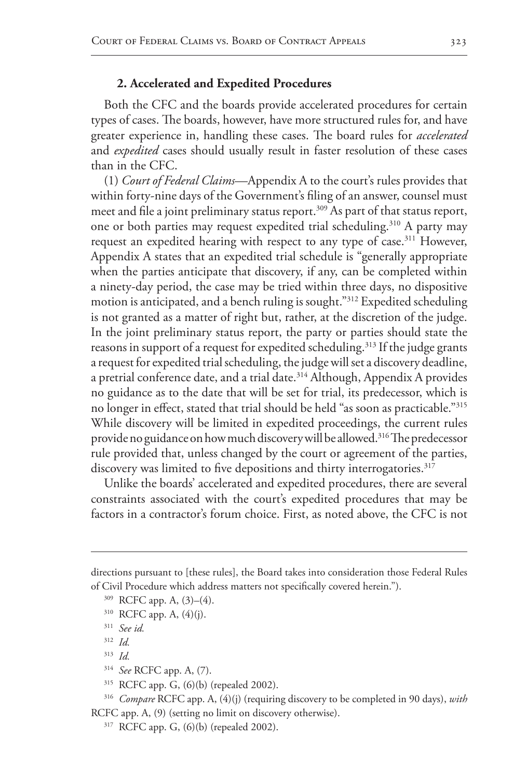## **2. Accelerated and Expedited Procedures**

Both the CFC and the boards provide accelerated procedures for certain types of cases. The boards, however, have more structured rules for, and have greater experience in, handling these cases. The board rules for *accelerated* and *expedited* cases should usually result in faster resolution of these cases than in the CFC.

(1) *Court of Federal Claims*—Appendix A to the court's rules provides that within forty-nine days of the Government's filing of an answer, counsel must meet and file a joint preliminary status report.<sup>309</sup> As part of that status report, one or both parties may request expedited trial scheduling.<sup>310</sup> A party may request an expedited hearing with respect to any type of case.<sup>311</sup> However, Appendix A states that an expedited trial schedule is "generally appropriate when the parties anticipate that discovery, if any, can be completed within a ninety-day period, the case may be tried within three days, no dispositive motion is anticipated, and a bench ruling is sought."312 Expedited scheduling is not granted as a matter of right but, rather, at the discretion of the judge. In the joint preliminary status report, the party or parties should state the reasons in support of a request for expedited scheduling.<sup>313</sup> If the judge grants a request for expedited trial scheduling, the judge will set a discovery deadline, a pretrial conference date, and a trial date.<sup>314</sup> Although, Appendix A provides no guidance as to the date that will be set for trial, its predecessor, which is no longer in effect, stated that trial should be held "as soon as practicable."315 While discovery will be limited in expedited proceedings, the current rules provide no guidance on how much discovery will be allowed.<sup>316</sup> The predecessor rule provided that, unless changed by the court or agreement of the parties, discovery was limited to five depositions and thirty interrogatories.<sup>317</sup>

Unlike the boards' accelerated and expedited procedures, there are several constraints associated with the court's expedited procedures that may be factors in a contractor's forum choice. First, as noted above, the CFC is not

<sup>314</sup> *See* RCFC app. A, (7).

directions pursuant to [these rules], the Board takes into consideration those Federal Rules of Civil Procedure which address matters not specifically covered herein.").

<sup>309</sup> RCFC app. A, (3)–(4).

 $310$  RCFC app. A,  $(4)(j)$ .

<sup>311</sup> *See id.*

<sup>312</sup> *Id.*

<sup>313</sup> *Id.*

<sup>315</sup> RCFC app. G, (6)(b) (repealed 2002).

<sup>316</sup> *Compare* RCFC app. A, (4)(j) (requiring discovery to be completed in 90 days), *with* RCFC app. A, (9) (setting no limit on discovery otherwise).

<sup>317</sup> RCFC app. G, (6)(b) (repealed 2002).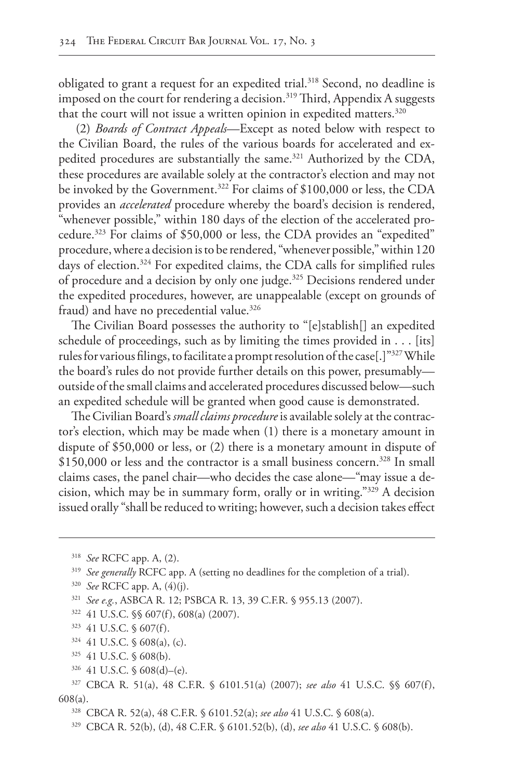obligated to grant a request for an expedited trial.<sup>318</sup> Second, no deadline is imposed on the court for rendering a decision.<sup>319</sup> Third, Appendix A suggests that the court will not issue a written opinion in expedited matters.<sup>320</sup>

 (2) *Boards of Contract Appeals*—Except as noted below with respect to the Civilian Board, the rules of the various boards for accelerated and expedited procedures are substantially the same.<sup>321</sup> Authorized by the CDA, these procedures are available solely at the contractor's election and may not be invoked by the Government.<sup>322</sup> For claims of \$100,000 or less, the CDA provides an *accelerated* procedure whereby the board's decision is rendered, "whenever possible," within 180 days of the election of the accelerated procedure.323 For claims of \$50,000 or less, the CDA provides an "expedited" procedure, where a decision is to be rendered, "whenever possible," within 120 days of election.<sup>324</sup> For expedited claims, the CDA calls for simplified rules of procedure and a decision by only one judge.<sup>325</sup> Decisions rendered under the expedited procedures, however, are unappealable (except on grounds of fraud) and have no precedential value.<sup>326</sup>

The Civilian Board possesses the authority to "[e]stablish[] an expedited schedule of proceedings, such as by limiting the times provided in . . . [its] rules for various filings, to facilitate a prompt resolution of the case[.]"327 While the board's rules do not provide further details on this power, presumably outside of the small claims and accelerated procedures discussed below—such an expedited schedule will be granted when good cause is demonstrated.

The Civilian Board's *small claims procedure* is available solely at the contractor's election, which may be made when (1) there is a monetary amount in dispute of \$50,000 or less, or (2) there is a monetary amount in dispute of \$150,000 or less and the contractor is a small business concern.<sup>328</sup> In small claims cases, the panel chair—who decides the case alone—"may issue a decision, which may be in summary form, orally or in writing."329 A decision issued orally "shall be reduced to writing; however, such a decision takes effect

- $324$  41 U.S.C. § 608(a), (c).
- <sup>325</sup> 41 U.S.C. § 608(b).
- <sup>326</sup> 41 U.S.C. § 608(d)–(e).

<sup>318</sup> *See* RCFC app. A, (2).

<sup>&</sup>lt;sup>319</sup> *See generally* RCFC app. A (setting no deadlines for the completion of a trial).

<sup>320</sup> *See* RCFC app. A, (4)(j).

<sup>321</sup> *See e.g.*, ASBCA R. 12; PSBCA R. 13, 39 C.F.R. § 955.13 (2007).

<sup>322</sup> 41 U.S.C. §§ 607(f), 608(a) (2007).

<sup>323</sup> 41 U.S.C. § 607(f).

<sup>327</sup> CBCA R. 51(a), 48 C.F.R. § 6101.51(a) (2007); *see also* 41 U.S.C. §§ 607(f), 608(a).

<sup>328</sup> CBCA R. 52(a), 48 C.F.R. § 6101.52(a); *see also* 41 U.S.C. § 608(a).

<sup>329</sup> CBCA R. 52(b), (d), 48 C.F.R. § 6101.52(b), (d), *see also* 41 U.S.C. § 608(b).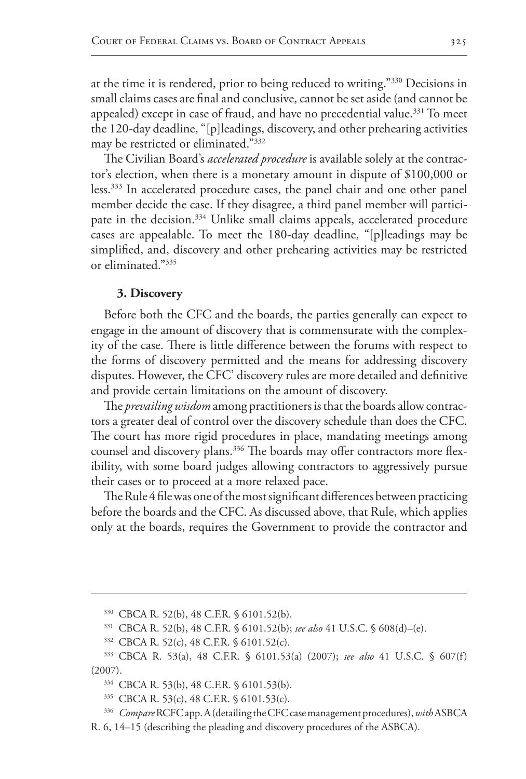at the time it is rendered, prior to being reduced to writing."<sup>330</sup> Decisions in small claims cases are final and conclusive, cannot be set aside (and cannot be appealed) except in case of fraud, and have no precedential value.<sup>331</sup> To meet the 120-day deadline, "[p]leadings, discovery, and other prehearing activities may be restricted or eliminated."332

The Civilian Board's *accelerated procedure* is available solely at the contractor's election, when there is a monetary amount in dispute of \$100,000 or less.333 In accelerated procedure cases, the panel chair and one other panel member decide the case. If they disagree, a third panel member will participate in the decision.<sup>334</sup> Unlike small claims appeals, accelerated procedure cases are appealable. To meet the 180-day deadline, "[p]leadings may be simplified, and, discovery and other prehearing activities may be restricted or eliminated."335

#### **3. Discovery**

Before both the CFC and the boards, the parties generally can expect to engage in the amount of discovery that is commensurate with the complexity of the case. There is little difference between the forums with respect to the forms of discovery permitted and the means for addressing discovery disputes. However, the CFC' discovery rules are more detailed and definitive and provide certain limitations on the amount of discovery.

The *prevailing wisdom* among practitioners is that the boards allow contractors a greater deal of control over the discovery schedule than does the CFC. The court has more rigid procedures in place, mandating meetings among counsel and discovery plans.<sup>336</sup> The boards may offer contractors more flexibility, with some board judges allowing contractors to aggressively pursue their cases or to proceed at a more relaxed pace.

The Rule 4 file was one of the most significant differences between practicing before the boards and the CFC. As discussed above, that Rule, which applies only at the boards, requires the Government to provide the contractor and

- <sup>331</sup> CBCA R. 52(b), 48 C.F.R. § 6101.52(b); *see also* 41 U.S.C. § 608(d)–(e).
- <sup>332</sup> CBCA R. 52(c), 48 C.F.R. § 6101.52(c).

<sup>335</sup> CBCA R. 53(c), 48 C.F.R. § 6101.53(c).

<sup>330</sup> CBCA R. 52(b), 48 C.F.R. § 6101.52(b).

<sup>333</sup> CBCA R. 53(a), 48 C.F.R. § 6101.53(a) (2007); *see also* 41 U.S.C. § 607(f) (2007).

<sup>334</sup> CBCA R. 53(b), 48 C.F.R. § 6101.53(b).

<sup>336</sup> *Compare* RCFC app. A (detailing the CFC case management procedures), *with*ASBCA R. 6, 14–15 (describing the pleading and discovery procedures of the ASBCA).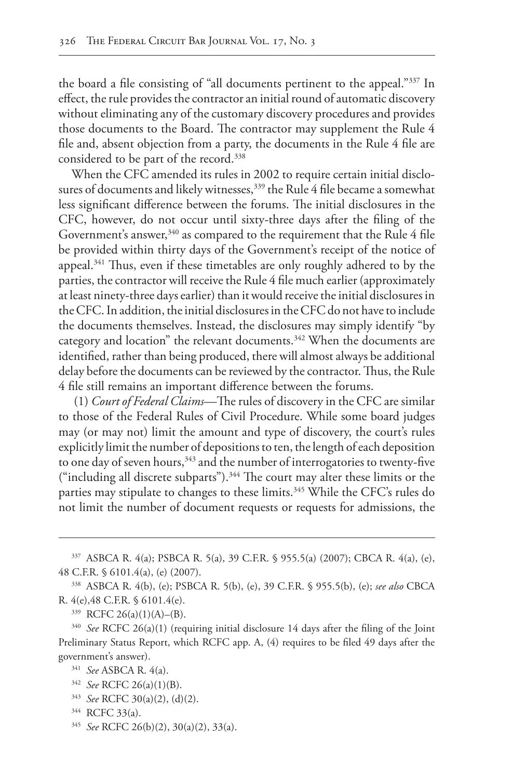the board a file consisting of "all documents pertinent to the appeal."337 In effect, the rule provides the contractor an initial round of automatic discovery without eliminating any of the customary discovery procedures and provides those documents to the Board. The contractor may supplement the Rule 4 file and, absent objection from a party, the documents in the Rule 4 file are considered to be part of the record.338

When the CFC amended its rules in 2002 to require certain initial disclosures of documents and likely witnesses,<sup>339</sup> the Rule 4 file became a somewhat less significant difference between the forums. The initial disclosures in the CFC, however, do not occur until sixty-three days after the filing of the Government's answer,  $340$  as compared to the requirement that the Rule 4 file be provided within thirty days of the Government's receipt of the notice of appeal.341 Thus, even if these timetables are only roughly adhered to by the parties, the contractor will receive the Rule 4 file much earlier (approximately at least ninety-three days earlier) than it would receive the initial disclosures in the CFC. In addition, the initial disclosures in the CFC do not have to include the documents themselves. Instead, the disclosures may simply identify "by category and location" the relevant documents.<sup>342</sup> When the documents are identified, rather than being produced, there will almost always be additional delay before the documents can be reviewed by the contractor. Thus, the Rule 4 file still remains an important difference between the forums.

 (1) *Court of Federal Claims*—The rules of discovery in the CFC are similar to those of the Federal Rules of Civil Procedure. While some board judges may (or may not) limit the amount and type of discovery, the court's rules explicitly limit the number of depositions to ten, the length of each deposition to one day of seven hours,<sup>343</sup> and the number of interrogatories to twenty-five ("including all discrete subparts").344 The court may alter these limits or the parties may stipulate to changes to these limits.<sup>345</sup> While the CFC's rules do not limit the number of document requests or requests for admissions, the

- <sup>342</sup> *See* RCFC 26(a)(1)(B).
- <sup>343</sup> *See* RCFC 30(a)(2), (d)(2).
- <sup>344</sup> RCFC 33(a).
- <sup>345</sup> *See* RCFC 26(b)(2), 30(a)(2), 33(a).

<sup>337</sup> ASBCA R. 4(a); PSBCA R. 5(a), 39 C.F.R. § 955.5(a) (2007); CBCA R. 4(a), (e), 48 C.F.R. § 6101.4(a), (e) (2007).

<sup>338</sup> ASBCA R. 4(b), (e); PSBCA R. 5(b), (e), 39 C.F.R. § 955.5(b), (e); *see also* CBCA R. 4(e),48 C.F.R. § 6101.4(e).

<sup>339</sup> RCFC 26(a)(1)(A)–(B).

<sup>340</sup> *See* RCFC 26(a)(1) (requiring initial disclosure 14 days after the filing of the Joint Preliminary Status Report, which RCFC app. A, (4) requires to be filed 49 days after the government's answer).

<sup>341</sup> *See* ASBCA R. 4(a).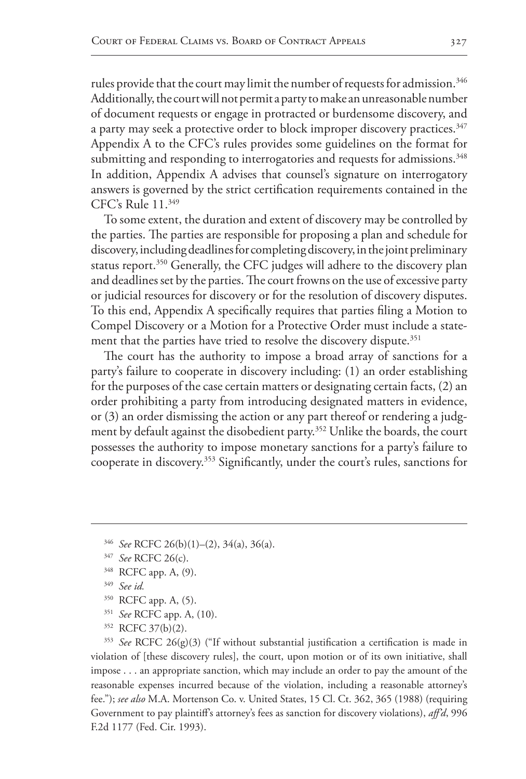rules provide that the court may limit the number of requests for admission.<sup>346</sup> Additionally, the court will not permit a party to make an unreasonable number of document requests or engage in protracted or burdensome discovery, and a party may seek a protective order to block improper discovery practices.<sup>347</sup> Appendix A to the CFC's rules provides some guidelines on the format for submitting and responding to interrogatories and requests for admissions.<sup>348</sup> In addition, Appendix A advises that counsel's signature on interrogatory answers is governed by the strict certification requirements contained in the CFC's Rule 11.349

To some extent, the duration and extent of discovery may be controlled by the parties. The parties are responsible for proposing a plan and schedule for discovery, including deadlines for completing discovery, in the joint preliminary status report.<sup>350</sup> Generally, the CFC judges will adhere to the discovery plan and deadlines set by the parties. The court frowns on the use of excessive party or judicial resources for discovery or for the resolution of discovery disputes. To this end, Appendix A specifically requires that parties filing a Motion to Compel Discovery or a Motion for a Protective Order must include a statement that the parties have tried to resolve the discovery dispute.<sup>351</sup>

The court has the authority to impose a broad array of sanctions for a party's failure to cooperate in discovery including: (1) an order establishing for the purposes of the case certain matters or designating certain facts, (2) an order prohibiting a party from introducing designated matters in evidence, or (3) an order dismissing the action or any part thereof or rendering a judgment by default against the disobedient party.<sup>352</sup> Unlike the boards, the court possesses the authority to impose monetary sanctions for a party's failure to cooperate in discovery.353 Significantly, under the court's rules, sanctions for

- <sup>350</sup> RCFC app. A, (5).
- <sup>351</sup> *See* RCFC app. A, (10).
- <sup>352</sup> RCFC 37(b)(2).

<sup>353</sup> *See* RCFC 26(g)(3) ("If without substantial justification a certification is made in violation of [these discovery rules], the court, upon motion or of its own initiative, shall impose . . . an appropriate sanction, which may include an order to pay the amount of the reasonable expenses incurred because of the violation, including a reasonable attorney's fee."); *see also* M.A. Mortenson Co. v. United States, 15 Cl. Ct. 362, 365 (1988) (requiring Government to pay plaintiff's attorney's fees as sanction for discovery violations), *aff'd*, 996 F.2d 1177 (Fed. Cir. 1993).

<sup>346</sup> *See* RCFC 26(b)(1)–(2), 34(a), 36(a).

<sup>347</sup> *See* RCFC 26(c).

<sup>348</sup> RCFC app. A, (9).

<sup>349</sup> *See id.*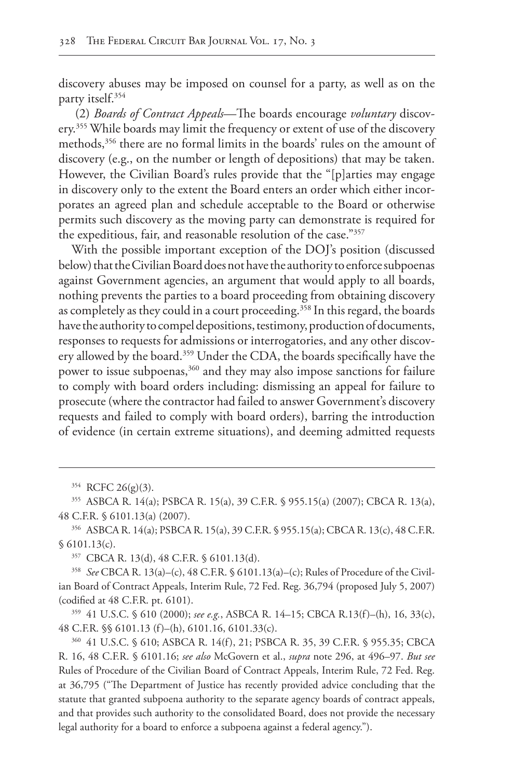discovery abuses may be imposed on counsel for a party, as well as on the party itself.354

 (2) *Boards of Contract Appeals*—The boards encourage *voluntary* discovery.355 While boards may limit the frequency or extent of use of the discovery methods,356 there are no formal limits in the boards' rules on the amount of discovery (e.g., on the number or length of depositions) that may be taken. However, the Civilian Board's rules provide that the "[p]arties may engage in discovery only to the extent the Board enters an order which either incorporates an agreed plan and schedule acceptable to the Board or otherwise permits such discovery as the moving party can demonstrate is required for the expeditious, fair, and reasonable resolution of the case."357

With the possible important exception of the DOJ's position (discussed below) that the Civilian Board does not have the authority to enforce subpoenas against Government agencies, an argument that would apply to all boards, nothing prevents the parties to a board proceeding from obtaining discovery as completely as they could in a court proceeding.<sup>358</sup> In this regard, the boards have the authority to compel depositions, testimony, production of documents, responses to requests for admissions or interrogatories, and any other discovery allowed by the board.<sup>359</sup> Under the CDA, the boards specifically have the power to issue subpoenas,<sup>360</sup> and they may also impose sanctions for failure to comply with board orders including: dismissing an appeal for failure to prosecute (where the contractor had failed to answer Government's discovery requests and failed to comply with board orders), barring the introduction of evidence (in certain extreme situations), and deeming admitted requests

<sup>359</sup> 41 U.S.C. § 610 (2000); *see e.g.*, ASBCA R. 14–15; CBCA R.13(f)–(h), 16, 33(c), 48 C.F.R. §§ 6101.13 (f)–(h), 6101.16, 6101.33(c).

<sup>354</sup> RCFC 26(g)(3).

<sup>355</sup> ASBCA R. 14(a); PSBCA R. 15(a), 39 C.F.R. § 955.15(a) (2007); CBCA R. 13(a), 48 C.F.R. § 6101.13(a) (2007).

<sup>356</sup> ASBCA R. 14(a); PSBCA R. 15(a), 39 C.F.R. § 955.15(a); CBCA R. 13(c), 48 C.F.R. § 6101.13(c).

<sup>357</sup> CBCA R. 13(d), 48 C.F.R. § 6101.13(d).

<sup>358</sup> *See* CBCA R. 13(a)–(c), 48 C.F.R. § 6101.13(a)–(c); Rules of Procedure of the Civilian Board of Contract Appeals, Interim Rule, 72 Fed. Reg. 36,794 (proposed July 5, 2007) (codified at 48 C.F.R. pt. 6101).

<sup>360</sup> 41 U.S.C. § 610; ASBCA R. 14(f), 21; PSBCA R. 35, 39 C.F.R. § 955.35; CBCA R. 16, 48 C.F.R. § 6101.16; *see also* McGovern et al., *supra* note 296, at 496–97. *But see* Rules of Procedure of the Civilian Board of Contract Appeals, Interim Rule, 72 Fed. Reg. at 36,795 ("The Department of Justice has recently provided advice concluding that the statute that granted subpoena authority to the separate agency boards of contract appeals, and that provides such authority to the consolidated Board, does not provide the necessary legal authority for a board to enforce a subpoena against a federal agency.").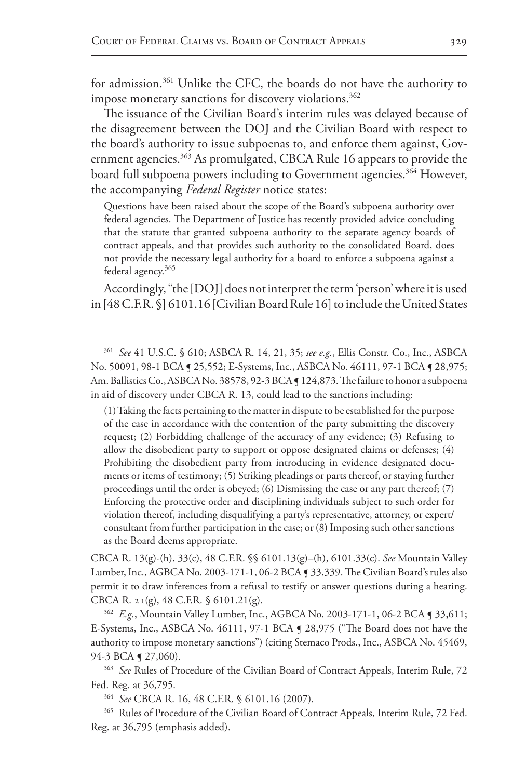for admission.361 Unlike the CFC, the boards do not have the authority to impose monetary sanctions for discovery violations.<sup>362</sup>

The issuance of the Civilian Board's interim rules was delayed because of the disagreement between the DOJ and the Civilian Board with respect to the board's authority to issue subpoenas to, and enforce them against, Government agencies.<sup>363</sup> As promulgated, CBCA Rule 16 appears to provide the board full subpoena powers including to Government agencies.<sup>364</sup> However, the accompanying *Federal Register* notice states:

Questions have been raised about the scope of the Board's subpoena authority over federal agencies. The Department of Justice has recently provided advice concluding that the statute that granted subpoena authority to the separate agency boards of contract appeals, and that provides such authority to the consolidated Board, does not provide the necessary legal authority for a board to enforce a subpoena against a federal agency.365

Accordingly, "the [DOJ] does not interpret the term 'person' where it is used in [48 C.F.R. §] 6101.16 [Civilian Board Rule 16] to include the United States

<sup>361</sup> *See* 41 U.S.C. § 610; ASBCA R. 14, 21, 35; *see e.g.*, Ellis Constr. Co., Inc., ASBCA No. 50091, 98-1 BCA § 25,552; E-Systems, Inc., ASBCA No. 46111, 97-1 BCA § 28,975; Am. Ballistics Co., ASBCA No. 38578, 92-3 BCA [124,873. The failure to honor a subpoena in aid of discovery under CBCA R. 13, could lead to the sanctions including:

(1) Taking the facts pertaining to the matter in dispute to be established for the purpose of the case in accordance with the contention of the party submitting the discovery request; (2) Forbidding challenge of the accuracy of any evidence; (3) Refusing to allow the disobedient party to support or oppose designated claims or defenses; (4) Prohibiting the disobedient party from introducing in evidence designated documents or items of testimony; (5) Striking pleadings or parts thereof, or staying further proceedings until the order is obeyed; (6) Dismissing the case or any part thereof; (7) Enforcing the protective order and disciplining individuals subject to such order for violation thereof, including disqualifying a party's representative, attorney, or expert/ consultant from further participation in the case; or (8) Imposing such other sanctions as the Board deems appropriate.

CBCA R. 13(g)-(h), 33(c), 48 C.F.R. §§ 6101.13(g)–(h), 6101.33(c). *See* Mountain Valley Lumber, Inc., AGBCA No. 2003-171-1, 06-2 BCA ¶ 33,339. The Civilian Board's rules also permit it to draw inferences from a refusal to testify or answer questions during a hearing. CBCA R. 21(g), 48 C.F.R. § 6101.21(g).

<sup>362</sup> *E.g.*, Mountain Valley Lumber, Inc., AGBCA No. 2003-171-1, 06-2 BCA ¶ 33,611; E-Systems, Inc., ASBCA No. 46111, 97-1 BCA ¶ 28,975 ("The Board does not have the authority to impose monetary sanctions") (citing Stemaco Prods., Inc., ASBCA No. 45469, 94-3 BCA **[** 27,060).

<sup>363</sup> *See* Rules of Procedure of the Civilian Board of Contract Appeals, Interim Rule, 72 Fed. Reg. at 36,795.

<sup>364</sup> *See* CBCA R. 16, 48 C.F.R. § 6101.16 (2007).

<sup>365</sup> Rules of Procedure of the Civilian Board of Contract Appeals, Interim Rule, 72 Fed. Reg. at 36,795 (emphasis added).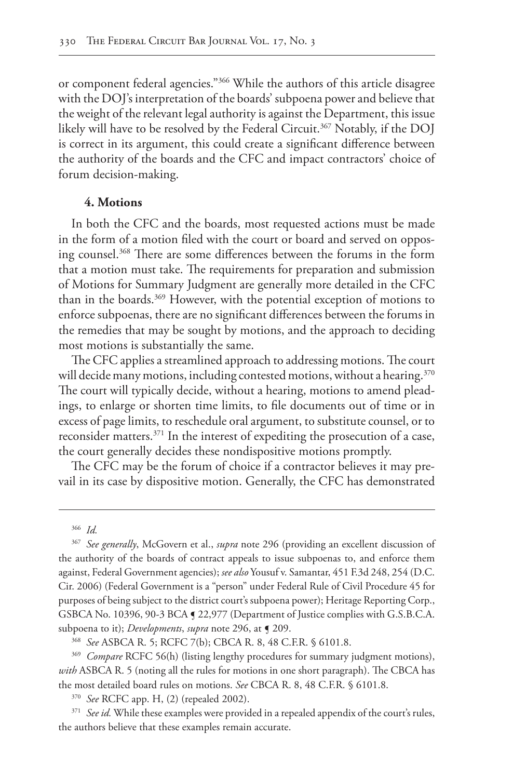or component federal agencies."366 While the authors of this article disagree with the DOJ's interpretation of the boards' subpoena power and believe that the weight of the relevant legal authority is against the Department, this issue likely will have to be resolved by the Federal Circuit.<sup>367</sup> Notably, if the DOJ is correct in its argument, this could create a significant difference between the authority of the boards and the CFC and impact contractors' choice of forum decision-making.

#### **4. Motions**

In both the CFC and the boards, most requested actions must be made in the form of a motion filed with the court or board and served on opposing counsel.368 There are some differences between the forums in the form that a motion must take. The requirements for preparation and submission of Motions for Summary Judgment are generally more detailed in the CFC than in the boards.369 However, with the potential exception of motions to enforce subpoenas, there are no significant differences between the forums in the remedies that may be sought by motions, and the approach to deciding most motions is substantially the same.

The CFC applies a streamlined approach to addressing motions. The court will decide many motions, including contested motions, without a hearing.<sup>370</sup> The court will typically decide, without a hearing, motions to amend pleadings, to enlarge or shorten time limits, to file documents out of time or in excess of page limits, to reschedule oral argument, to substitute counsel, or to reconsider matters.371 In the interest of expediting the prosecution of a case, the court generally decides these nondispositive motions promptly.

The CFC may be the forum of choice if a contractor believes it may prevail in its case by dispositive motion. Generally, the CFC has demonstrated

<sup>368</sup> *See* ASBCA R. 5; RCFC 7(b); CBCA R. 8, 48 C.F.R. § 6101.8.

<sup>369</sup> *Compare* RCFC 56(h) (listing lengthy procedures for summary judgment motions), *with* ASBCA R. 5 (noting all the rules for motions in one short paragraph). The CBCA has the most detailed board rules on motions. *See* CBCA R. 8, 48 C.F.R. § 6101.8.

<sup>370</sup> *See* RCFC app. H, (2) (repealed 2002).

<sup>371</sup> *See id.* While these examples were provided in a repealed appendix of the court's rules, the authors believe that these examples remain accurate.

<sup>366</sup> *Id.*

<sup>367</sup> *See generally*, McGovern et al., *supra* note 296 (providing an excellent discussion of the authority of the boards of contract appeals to issue subpoenas to, and enforce them against, Federal Government agencies); *see also* Yousuf v. Samantar, 451 F.3d 248, 254 (D.C. Cir. 2006) (Federal Government is a "person" under Federal Rule of Civil Procedure 45 for purposes of being subject to the district court's subpoena power); Heritage Reporting Corp., GSBCA No. 10396, 90-3 BCA ¶ 22,977 (Department of Justice complies with G.S.B.C.A. subpoena to it); *Developments*, *supra* note 296, at ¶ 209.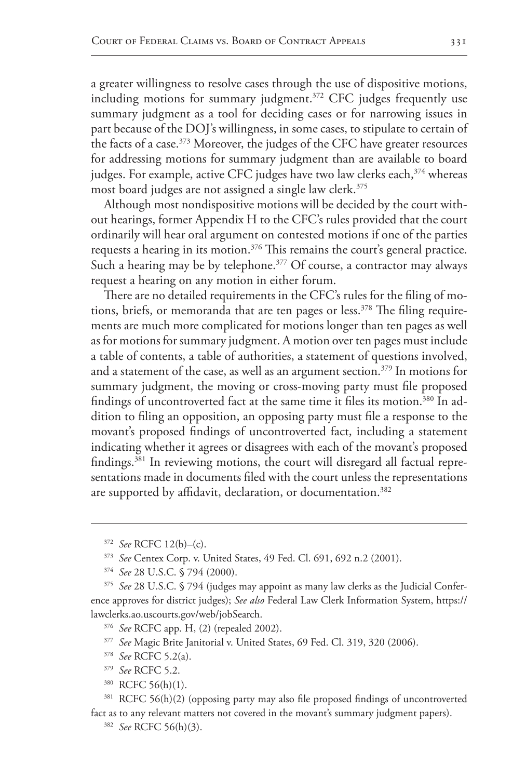a greater willingness to resolve cases through the use of dispositive motions, including motions for summary judgment.<sup>372</sup> CFC judges frequently use summary judgment as a tool for deciding cases or for narrowing issues in part because of the DOJ's willingness, in some cases, to stipulate to certain of the facts of a case.<sup>373</sup> Moreover, the judges of the CFC have greater resources for addressing motions for summary judgment than are available to board judges. For example, active CFC judges have two law clerks each,<sup>374</sup> whereas most board judges are not assigned a single law clerk.<sup>375</sup>

Although most nondispositive motions will be decided by the court without hearings, former Appendix H to the CFC's rules provided that the court ordinarily will hear oral argument on contested motions if one of the parties requests a hearing in its motion.<sup>376</sup> This remains the court's general practice. Such a hearing may be by telephone.<sup>377</sup> Of course, a contractor may always request a hearing on any motion in either forum.

There are no detailed requirements in the CFC's rules for the filing of motions, briefs, or memoranda that are ten pages or less.<sup>378</sup> The filing requirements are much more complicated for motions longer than ten pages as well as for motions for summary judgment. A motion over ten pages must include a table of contents, a table of authorities, a statement of questions involved, and a statement of the case, as well as an argument section.<sup>379</sup> In motions for summary judgment, the moving or cross-moving party must file proposed findings of uncontroverted fact at the same time it files its motion.<sup>380</sup> In addition to filing an opposition, an opposing party must file a response to the movant's proposed findings of uncontroverted fact, including a statement indicating whether it agrees or disagrees with each of the movant's proposed findings.<sup>381</sup> In reviewing motions, the court will disregard all factual representations made in documents filed with the court unless the representations are supported by affidavit, declaration, or documentation.<sup>382</sup>

- <sup>379</sup> *See* RCFC 5.2.
- <sup>380</sup> RCFC 56(h)(1).

<sup>372</sup> *See* RCFC 12(b)–(c).

<sup>373</sup> *See* Centex Corp. v. United States, 49 Fed. Cl. 691, 692 n.2 (2001).

<sup>374</sup> *See* 28 U.S.C. § 794 (2000).

<sup>375</sup> *See* 28 U.S.C. § 794 (judges may appoint as many law clerks as the Judicial Conference approves for district judges); *See also* Federal Law Clerk Information System, https:// lawclerks.ao.uscourts.gov/web/jobSearch.

<sup>376</sup> *See* RCFC app. H, (2) (repealed 2002).

<sup>377</sup> *See* Magic Brite Janitorial v. United States, 69 Fed. Cl. 319, 320 (2006).

<sup>378</sup> *See* RCFC 5.2(a).

<sup>381</sup> RCFC 56(h)(2) (opposing party may also file proposed findings of uncontroverted fact as to any relevant matters not covered in the movant's summary judgment papers).

<sup>382</sup> *See* RCFC 56(h)(3).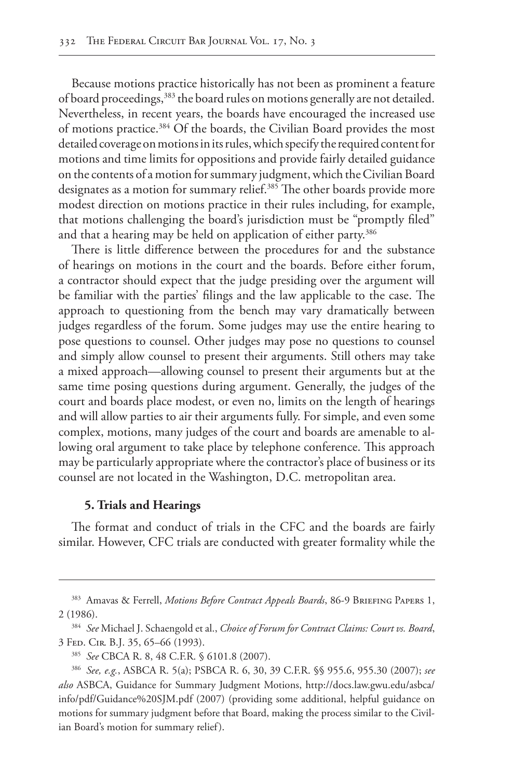Because motions practice historically has not been as prominent a feature of board proceedings,<sup>383</sup> the board rules on motions generally are not detailed. Nevertheless, in recent years, the boards have encouraged the increased use of motions practice.<sup>384</sup> Of the boards, the Civilian Board provides the most detailed coverage on motions in its rules, which specify the required content for motions and time limits for oppositions and provide fairly detailed guidance on the contents of a motion for summary judgment, which the Civilian Board designates as a motion for summary relief.<sup>385</sup> The other boards provide more modest direction on motions practice in their rules including, for example, that motions challenging the board's jurisdiction must be "promptly filed" and that a hearing may be held on application of either party.<sup>386</sup>

There is little difference between the procedures for and the substance of hearings on motions in the court and the boards. Before either forum, a contractor should expect that the judge presiding over the argument will be familiar with the parties' filings and the law applicable to the case. The approach to questioning from the bench may vary dramatically between judges regardless of the forum. Some judges may use the entire hearing to pose questions to counsel. Other judges may pose no questions to counsel and simply allow counsel to present their arguments. Still others may take a mixed approach—allowing counsel to present their arguments but at the same time posing questions during argument. Generally, the judges of the court and boards place modest, or even no, limits on the length of hearings and will allow parties to air their arguments fully. For simple, and even some complex, motions, many judges of the court and boards are amenable to allowing oral argument to take place by telephone conference. This approach may be particularly appropriate where the contractor's place of business or its counsel are not located in the Washington, D.C. metropolitan area.

## **5. Trials and Hearings**

The format and conduct of trials in the CFC and the boards are fairly similar. However, CFC trials are conducted with greater formality while the

<sup>&</sup>lt;sup>383</sup> Amavas & Ferrell, *Motions Before Contract Appeals Boards*, 86-9 BRIEFING PAPERS 1, 2 (1986).

<sup>384</sup> *See* Michael J. Schaengold et al., *Choice of Forum for Contract Claims: Court vs. Board*, 3 Fed. Cir. B.J. 35, 65–66 (1993).

<sup>385</sup> *See* CBCA R. 8, 48 C.F.R. § 6101.8 (2007).

<sup>386</sup> *See, e.g.*, ASBCA R. 5(a); PSBCA R. 6, 30, 39 C.F.R. §§ 955.6, 955.30 (2007); *see also* ASBCA, Guidance for Summary Judgment Motions, http://docs.law.gwu.edu/asbca/ info/pdf/Guidance%20SJM.pdf (2007) (providing some additional, helpful guidance on motions for summary judgment before that Board, making the process similar to the Civilian Board's motion for summary relief).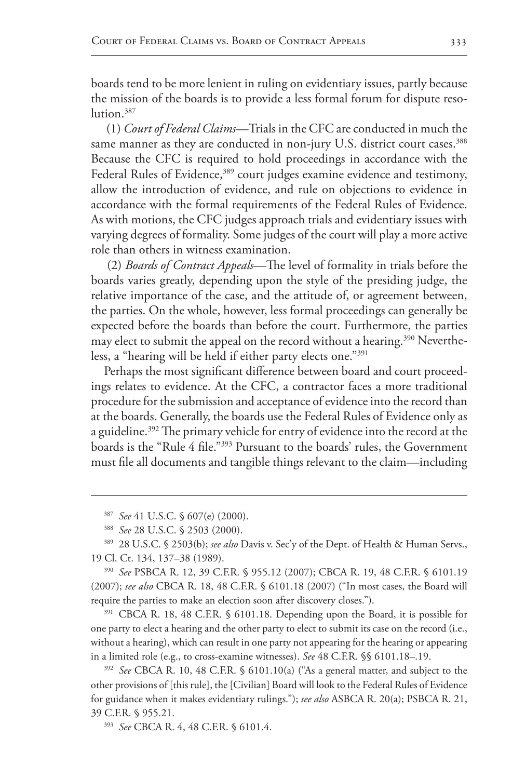boards tend to be more lenient in ruling on evidentiary issues, partly because the mission of the boards is to provide a less formal forum for dispute resolution.<sup>387</sup>

 (1) *Court of Federal Claims*—Trials in the CFC are conducted in much the same manner as they are conducted in non-jury U.S. district court cases.<sup>388</sup> Because the CFC is required to hold proceedings in accordance with the Federal Rules of Evidence,<sup>389</sup> court judges examine evidence and testimony, allow the introduction of evidence, and rule on objections to evidence in accordance with the formal requirements of the Federal Rules of Evidence. As with motions, the CFC judges approach trials and evidentiary issues with varying degrees of formality. Some judges of the court will play a more active role than others in witness examination.

 (2) *Boards of Contract Appeals*—The level of formality in trials before the boards varies greatly, depending upon the style of the presiding judge, the relative importance of the case, and the attitude of, or agreement between, the parties. On the whole, however, less formal proceedings can generally be expected before the boards than before the court. Furthermore, the parties may elect to submit the appeal on the record without a hearing.<sup>390</sup> Nevertheless, a "hearing will be held if either party elects one."391

Perhaps the most significant difference between board and court proceedings relates to evidence. At the CFC, a contractor faces a more traditional procedure for the submission and acceptance of evidence into the record than at the boards. Generally, the boards use the Federal Rules of Evidence only as a guideline.<sup>392</sup> The primary vehicle for entry of evidence into the record at the boards is the "Rule 4 file."393 Pursuant to the boards' rules, the Government must file all documents and tangible things relevant to the claim—including

<sup>390</sup> *See* PSBCA R. 12, 39 C.F.R. § 955.12 (2007); CBCA R. 19, 48 C.F.R. § 6101.19 (2007); *see also* CBCA R. 18, 48 C.F.R. § 6101.18 (2007) ("In most cases, the Board will require the parties to make an election soon after discovery closes.").

<sup>391</sup> CBCA R. 18, 48 C.F.R. § 6101.18. Depending upon the Board, it is possible for one party to elect a hearing and the other party to elect to submit its case on the record (i.e., without a hearing), which can result in one party not appearing for the hearing or appearing in a limited role (e.g., to cross-examine witnesses). *See* 48 C.F.R. §§ 6101.18–.19.

<sup>392</sup> *See* CBCA R. 10, 48 C.F.R. § 6101.10(a) ("As a general matter, and subject to the other provisions of [this rule], the [Civilian] Board will look to the Federal Rules of Evidence for guidance when it makes evidentiary rulings."); *see also* ASBCA R. 20(a); PSBCA R. 21, 39 C.F.R. § 955.21.

<sup>393</sup> *See* CBCA R. 4, 48 C.F.R. § 6101.4.

<sup>387</sup> *See* 41 U.S.C. § 607(e) (2000).

<sup>388</sup> *See* 28 U.S.C. § 2503 (2000).

<sup>389</sup> 28 U.S.C. § 2503(b); *see also* Davis v. Sec'y of the Dept. of Health & Human Servs., 19 Cl. Ct. 134, 137–38 (1989).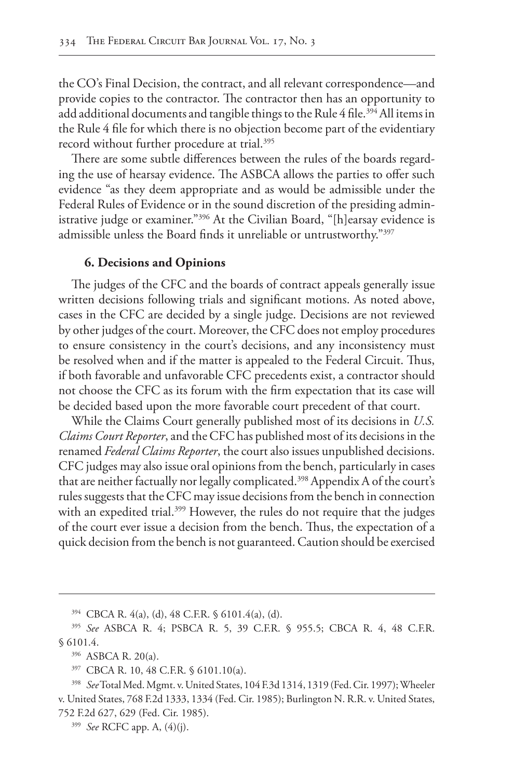the CO's Final Decision, the contract, and all relevant correspondence—and provide copies to the contractor. The contractor then has an opportunity to add additional documents and tangible things to the Rule 4 file.<sup>394</sup> All items in the Rule 4 file for which there is no objection become part of the evidentiary record without further procedure at trial.<sup>395</sup>

There are some subtle differences between the rules of the boards regarding the use of hearsay evidence. The ASBCA allows the parties to offer such evidence "as they deem appropriate and as would be admissible under the Federal Rules of Evidence or in the sound discretion of the presiding administrative judge or examiner."396 At the Civilian Board, "[h]earsay evidence is admissible unless the Board finds it unreliable or untrustworthy."397

#### **6. Decisions and Opinions**

The judges of the CFC and the boards of contract appeals generally issue written decisions following trials and significant motions. As noted above, cases in the CFC are decided by a single judge. Decisions are not reviewed by other judges of the court. Moreover, the CFC does not employ procedures to ensure consistency in the court's decisions, and any inconsistency must be resolved when and if the matter is appealed to the Federal Circuit. Thus, if both favorable and unfavorable CFC precedents exist, a contractor should not choose the CFC as its forum with the firm expectation that its case will be decided based upon the more favorable court precedent of that court.

While the Claims Court generally published most of its decisions in *U.S. Claims Court Reporter*, and the CFC has published most of its decisions in the renamed *Federal Claims Reporter*, the court also issues unpublished decisions. CFC judges may also issue oral opinions from the bench, particularly in cases that are neither factually nor legally complicated.<sup>398</sup> Appendix A of the court's rules suggests that the CFC may issue decisions from the bench in connection with an expedited trial.<sup>399</sup> However, the rules do not require that the judges of the court ever issue a decision from the bench. Thus, the expectation of a quick decision from the bench is not guaranteed. Caution should be exercised

<sup>394</sup> CBCA R. 4(a), (d), 48 C.F.R. § 6101.4(a), (d).

<sup>395</sup> *See* ASBCA R. 4; PSBCA R. 5, 39 C.F.R. § 955.5; CBCA R. 4, 48 C.F.R. § 6101.4.

<sup>396</sup> ASBCA R. 20(a).

<sup>397</sup> CBCA R. 10, 48 C.F.R. § 6101.10(a).

<sup>398</sup> *See* Total Med. Mgmt. v. United States, 104 F.3d 1314, 1319 (Fed. Cir. 1997); Wheeler v. United States, 768 F.2d 1333, 1334 (Fed. Cir. 1985); Burlington N. R.R. v. United States, 752 F.2d 627, 629 (Fed. Cir. 1985).

<sup>399</sup> *See* RCFC app. A, (4)(j).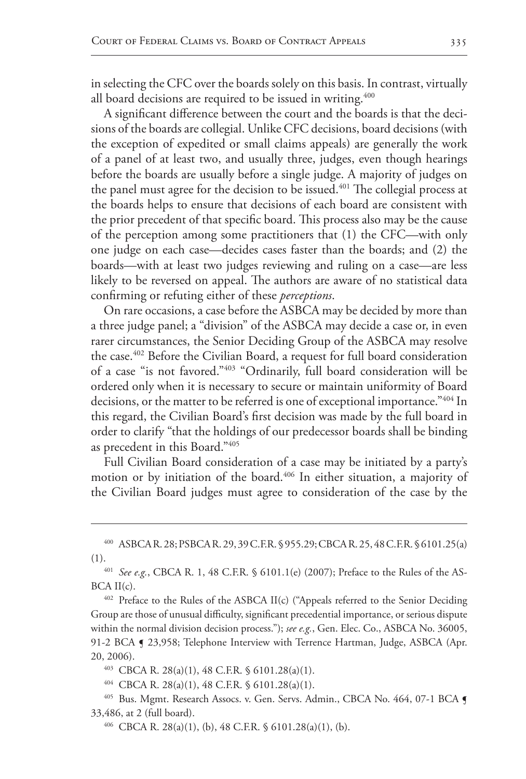in selecting the CFC over the boards solely on this basis. In contrast, virtually all board decisions are required to be issued in writing. $400$ 

A significant difference between the court and the boards is that the decisions of the boards are collegial. Unlike CFC decisions, board decisions (with the exception of expedited or small claims appeals) are generally the work of a panel of at least two, and usually three, judges, even though hearings before the boards are usually before a single judge. A majority of judges on the panel must agree for the decision to be issued.<sup>401</sup> The collegial process at the boards helps to ensure that decisions of each board are consistent with the prior precedent of that specific board. This process also may be the cause of the perception among some practitioners that (1) the CFC—with only one judge on each case—decides cases faster than the boards; and (2) the boards—with at least two judges reviewing and ruling on a case—are less likely to be reversed on appeal. The authors are aware of no statistical data confirming or refuting either of these *perceptions*.

On rare occasions, a case before the ASBCA may be decided by more than a three judge panel; a "division" of the ASBCA may decide a case or, in even rarer circumstances, the Senior Deciding Group of the ASBCA may resolve the case.402 Before the Civilian Board, a request for full board consideration of a case "is not favored."403 "Ordinarily, full board consideration will be ordered only when it is necessary to secure or maintain uniformity of Board decisions, or the matter to be referred is one of exceptional importance."404 In this regard, the Civilian Board's first decision was made by the full board in order to clarify "that the holdings of our predecessor boards shall be binding as precedent in this Board."405

Full Civilian Board consideration of a case may be initiated by a party's motion or by initiation of the board.<sup>406</sup> In either situation, a majority of the Civilian Board judges must agree to consideration of the case by the

<sup>400</sup> ASBCA R. 28; PSBCA R. 29, 39 C.F.R. §955.29; CBCA R. 25, 48 C.F.R. §6101.25(a)

<sup>(1).401</sup> *See e.g.*, CBCA R. 1, 48 C.F.R. § 6101.1(e) (2007); Preface to the Rules of the AS- $BCA II(c)$ .

<sup>&</sup>lt;sup>402</sup> Preface to the Rules of the ASBCA II(c) ("Appeals referred to the Senior Deciding Group are those of unusual difficulty, significant precedential importance, or serious dispute within the normal division decision process."); *see e.g.*, Gen. Elec. Co., ASBCA No. 36005, 91-2 BCA § 23,958; Telephone Interview with Terrence Hartman, Judge, ASBCA (Apr. 20, 2006).

<sup>403</sup> CBCA R. 28(a)(1), 48 C.F.R. § 6101.28(a)(1).

 $^{404}$  CBCA R. 28(a)(1), 48 C.F.R. § 6101.28(a)(1).

<sup>&</sup>lt;sup>405</sup> Bus. Mgmt. Research Assocs. v. Gen. Servs. Admin., CBCA No. 464, 07-1 BCA **[** 33,486, at 2 (full board).

 $^{406}$  CBCA R. 28(a)(1), (b), 48 C.F.R. § 6101.28(a)(1), (b).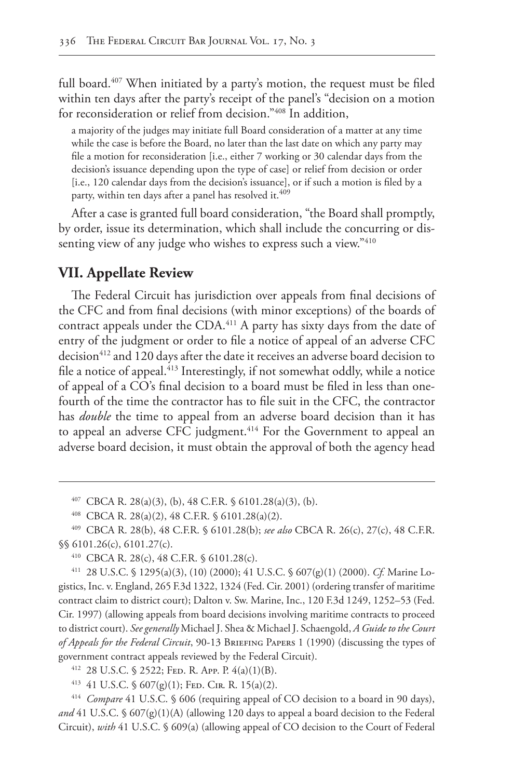full board.<sup>407</sup> When initiated by a party's motion, the request must be filed within ten days after the party's receipt of the panel's "decision on a motion for reconsideration or relief from decision."408 In addition,

a majority of the judges may initiate full Board consideration of a matter at any time while the case is before the Board, no later than the last date on which any party may file a motion for reconsideration [i.e., either 7 working or 30 calendar days from the decision's issuance depending upon the type of case] or relief from decision or order [i.e., 120 calendar days from the decision's issuance], or if such a motion is filed by a party, within ten days after a panel has resolved it.<sup>409</sup>

After a case is granted full board consideration, "the Board shall promptly, by order, issue its determination, which shall include the concurring or dissenting view of any judge who wishes to express such a view."410

# **VII. Appellate Review**

The Federal Circuit has jurisdiction over appeals from final decisions of the CFC and from final decisions (with minor exceptions) of the boards of contract appeals under the CDA.<sup>411</sup> A party has sixty days from the date of entry of the judgment or order to file a notice of appeal of an adverse CFC decision<sup>412</sup> and 120 days after the date it receives an adverse board decision to file a notice of appeal.<sup>413</sup> Interestingly, if not somewhat oddly, while a notice of appeal of a CO's final decision to a board must be filed in less than onefourth of the time the contractor has to file suit in the CFC, the contractor has *double* the time to appeal from an adverse board decision than it has to appeal an adverse CFC judgment.<sup>414</sup> For the Government to appeal an adverse board decision, it must obtain the approval of both the agency head

 $^{407}$  CBCA R. 28(a)(3), (b), 48 C.F.R. § 6101.28(a)(3), (b).

<sup>408</sup> CBCA R. 28(a)(2), 48 C.F.R. § 6101.28(a)(2).

<sup>409</sup> CBCA R. 28(b), 48 C.F.R. § 6101.28(b); *see also* CBCA R. 26(c), 27(c), 48 C.F.R. §§ 6101.26(c), 6101.27(c).

<sup>410</sup> CBCA R. 28(c), 48 C.F.R. § 6101.28(c).

<sup>411</sup> 28 U.S.C. § 1295(a)(3), (10) (2000); 41 U.S.C. § 607(g)(1) (2000). *Cf.* Marine Logistics, Inc. v. England, 265 F.3d 1322, 1324 (Fed. Cir. 2001) (ordering transfer of maritime contract claim to district court); Dalton v. Sw. Marine, Inc., 120 F.3d 1249, 1252–53 (Fed. Cir. 1997) (allowing appeals from board decisions involving maritime contracts to proceed to district court). *Seegenerally* Michael J. Shea & Michael J. Schaengold, *A Guide to the Court of Appeals for the Federal Circuit*, 90-13 Briefing Papers 1 (1990) (discussing the types of government contract appeals reviewed by the Federal Circuit).

<sup>412</sup> 28 U.S.C. § 2522; Fed. R. App. P. 4(a)(1)(B).

<sup>&</sup>lt;sup>413</sup> 41 U.S.C.  $\S$  607(g)(1); FED. CIR. R. 15(a)(2).

<sup>414</sup> *Compare* 41 U.S.C. § 606 (requiring appeal of CO decision to a board in 90 days), *and* 41 U.S.C. § 607(g)(1)(A) (allowing 120 days to appeal a board decision to the Federal Circuit), *with* 41 U.S.C. § 609(a) (allowing appeal of CO decision to the Court of Federal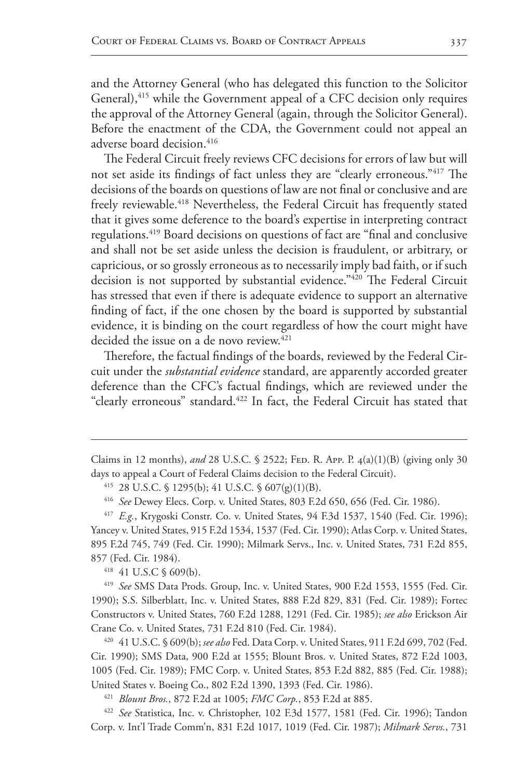and the Attorney General (who has delegated this function to the Solicitor General),<sup>415</sup> while the Government appeal of a CFC decision only requires the approval of the Attorney General (again, through the Solicitor General). Before the enactment of the CDA, the Government could not appeal an adverse board decision.<sup>416</sup>

The Federal Circuit freely reviews CFC decisions for errors of law but will not set aside its findings of fact unless they are "clearly erroneous."417 The decisions of the boards on questions of law are not final or conclusive and are freely reviewable.<sup>418</sup> Nevertheless, the Federal Circuit has frequently stated that it gives some deference to the board's expertise in interpreting contract regulations.419 Board decisions on questions of fact are "final and conclusive and shall not be set aside unless the decision is fraudulent, or arbitrary, or capricious, or so grossly erroneous as to necessarily imply bad faith, or if such decision is not supported by substantial evidence."420 The Federal Circuit has stressed that even if there is adequate evidence to support an alternative finding of fact, if the one chosen by the board is supported by substantial evidence, it is binding on the court regardless of how the court might have decided the issue on a de novo review.<sup>421</sup>

Therefore, the factual findings of the boards, reviewed by the Federal Circuit under the *substantial evidence* standard, are apparently accorded greater deference than the CFC's factual findings, which are reviewed under the "clearly erroneous" standard.<sup>422</sup> In fact, the Federal Circuit has stated that

<sup>417</sup> *E.g.*, Krygoski Constr. Co. v. United States, 94 F.3d 1537, 1540 (Fed. Cir. 1996); Yancey v. United States, 915 F.2d 1534, 1537 (Fed. Cir. 1990); Atlas Corp. v. United States, 895 F.2d 745, 749 (Fed. Cir. 1990); Milmark Servs., Inc. v. United States, 731 F.2d 855, 857 (Fed. Cir. 1984).

<sup>418</sup> 41 U.S.C § 609(b).

<sup>419</sup> *See* SMS Data Prods. Group, Inc. v. United States, 900 F.2d 1553, 1555 (Fed. Cir. 1990); S.S. Silberblatt, Inc. v. United States, 888 F.2d 829, 831 (Fed. Cir. 1989); Fortec Constructors v. United States, 760 F.2d 1288, 1291 (Fed. Cir. 1985); *see also* Erickson Air Crane Co. v. United States, 731 F.2d 810 (Fed. Cir. 1984).

<sup>420</sup> 41 U.S.C. § 609(b); *see also* Fed. Data Corp. v. United States, 911 F.2d 699, 702 (Fed. Cir. 1990); SMS Data, 900 F.2d at 1555; Blount Bros. v. United States, 872 F.2d 1003, 1005 (Fed. Cir. 1989); FMC Corp. v. United States, 853 F.2d 882, 885 (Fed. Cir. 1988); United States v. Boeing Co., 802 F.2d 1390, 1393 (Fed. Cir. 1986).

<sup>421</sup> *Blount Bros.*, 872 F.2d at 1005; *FMC Corp.*, 853 F.2d at 885.

<sup>422</sup> *See* Statistica, Inc. v. Christopher, 102 F.3d 1577, 1581 (Fed. Cir. 1996); Tandon Corp. v. Int'l Trade Comm'n, 831 F.2d 1017, 1019 (Fed. Cir. 1987); *Milmark Servs.*, 731

Claims in 12 months), and 28 U.S.C. § 2522; FED. R. APP. P. 4(a)(1)(B) (giving only 30 days to appeal a Court of Federal Claims decision to the Federal Circuit).

<sup>415</sup> 28 U.S.C. § 1295(b); 41 U.S.C. § 607(g)(1)(B).

<sup>416</sup> *See* Dewey Elecs. Corp. v. United States, 803 F.2d 650, 656 (Fed. Cir. 1986).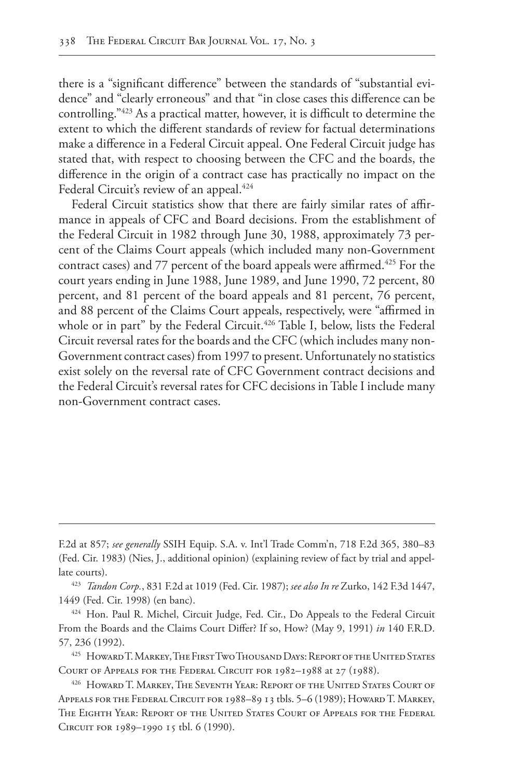there is a "significant difference" between the standards of "substantial evidence" and "clearly erroneous" and that "in close cases this difference can be controlling."423 As a practical matter, however, it is difficult to determine the extent to which the different standards of review for factual determinations make a difference in a Federal Circuit appeal. One Federal Circuit judge has stated that, with respect to choosing between the CFC and the boards, the difference in the origin of a contract case has practically no impact on the Federal Circuit's review of an appeal.<sup>424</sup>

Federal Circuit statistics show that there are fairly similar rates of affirmance in appeals of CFC and Board decisions. From the establishment of the Federal Circuit in 1982 through June 30, 1988, approximately 73 percent of the Claims Court appeals (which included many non-Government contract cases) and 77 percent of the board appeals were affirmed.<sup>425</sup> For the court years ending in June 1988, June 1989, and June 1990, 72 percent, 80 percent, and 81 percent of the board appeals and 81 percent, 76 percent, and 88 percent of the Claims Court appeals, respectively, were "affirmed in whole or in part" by the Federal Circuit.<sup>426</sup> Table I, below, lists the Federal Circuit reversal rates for the boards and the CFC (which includes many non-Government contract cases) from 1997 to present. Unfortunately no statistics exist solely on the reversal rate of CFC Government contract decisions and the Federal Circuit's reversal rates for CFC decisions in Table I include many non-Government contract cases.

F.2d at 857; *see generally* SSIH Equip. S.A. v. Int'l Trade Comm'n, 718 F.2d 365, 380–83 (Fed. Cir. 1983) (Nies, J., additional opinion) (explaining review of fact by trial and appellate courts).

<sup>423</sup> *Tandon Corp.*, 831 F.2d at 1019 (Fed. Cir. 1987); *see also In re* Zurko, 142 F.3d 1447, 1449 (Fed. Cir. 1998) (en banc).

<sup>424</sup> Hon. Paul R. Michel, Circuit Judge, Fed. Cir., Do Appeals to the Federal Circuit From the Boards and the Claims Court Differ? If so, How? (May 9, 1991) *in* 140 F.R.D. 57, 236 (1992).

<sup>425</sup> Howard T. Markey, The First Two Thousand Days: Report of the United States Court of Appeals for the Federal Circuit for 1982–1988 at 27 (1988).

<sup>426</sup> Howard T. Markey, The Seventh Year: Report of the United States Court of Appeals for the Federal Circuit for 1988–89 13 tbls. 5–6 (1989); Howard T. Markey, The Eighth Year: Report of the United States Court of Appeals for the Federal Circuit for 1989–1990 15 tbl. 6 (1990).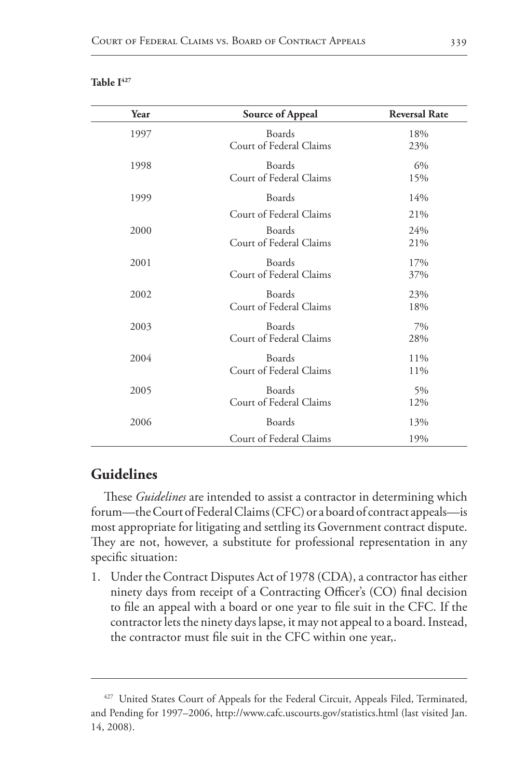| Year | Source of Appeal                         | <b>Reversal Rate</b> |
|------|------------------------------------------|----------------------|
| 1997 | Boards<br>Court of Federal Claims        | 18%<br>23%           |
| 1998 | Boards<br>Court of Federal Claims        | 6%<br>15%            |
| 1999 | Boards                                   | 14%                  |
|      | Court of Federal Claims                  | 21%                  |
| 2000 | Boards<br>Court of Federal Claims        | 24%<br>21%           |
| 2001 | Boards<br>Court of Federal Claims        | 17%<br>37%           |
| 2002 | <b>Boards</b><br>Court of Federal Claims | 23%<br>18%           |
| 2003 | Boards<br>Court of Federal Claims        | 7%<br>28%            |
| 2004 | Boards<br>Court of Federal Claims        | 11%<br>11%           |
| 2005 | Boards<br>Court of Federal Claims        | 5%<br>12%            |
| 2006 | Boards                                   | 13%                  |
|      | Court of Federal Claims                  | 19%                  |

#### Table I<sup>427</sup>

# **Guidelines**

These *Guidelines* are intended to assist a contractor in determining which forum—the Court of Federal Claims (CFC) or a board of contract appeals—is most appropriate for litigating and settling its Government contract dispute. They are not, however, a substitute for professional representation in any specific situation:

1. Under the Contract Disputes Act of 1978 (CDA), a contractor has either ninety days from receipt of a Contracting Officer's (CO) final decision to file an appeal with a board or one year to file suit in the CFC. If the contractor lets the ninety days lapse, it may not appeal to a board. Instead, the contractor must file suit in the CFC within one year,.

<sup>&</sup>lt;sup>427</sup> United States Court of Appeals for the Federal Circuit, Appeals Filed, Terminated, and Pending for 1997–2006, http://www.cafc.uscourts.gov/statistics.html (last visited Jan. 14, 2008).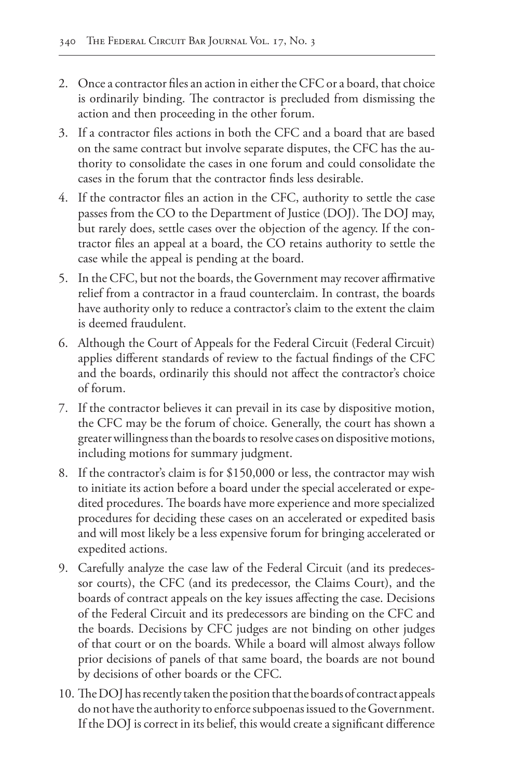- 2. Once a contractor files an action in either the CFC or a board, that choice is ordinarily binding. The contractor is precluded from dismissing the action and then proceeding in the other forum.
- 3. If a contractor files actions in both the CFC and a board that are based on the same contract but involve separate disputes, the CFC has the authority to consolidate the cases in one forum and could consolidate the cases in the forum that the contractor finds less desirable.
- 4. If the contractor files an action in the CFC, authority to settle the case passes from the CO to the Department of Justice (DOJ). The DOJ may, but rarely does, settle cases over the objection of the agency. If the contractor files an appeal at a board, the CO retains authority to settle the case while the appeal is pending at the board.
- 5. In the CFC, but not the boards, the Government may recover affirmative relief from a contractor in a fraud counterclaim. In contrast, the boards have authority only to reduce a contractor's claim to the extent the claim is deemed fraudulent.
- 6. Although the Court of Appeals for the Federal Circuit (Federal Circuit) applies different standards of review to the factual findings of the CFC and the boards, ordinarily this should not affect the contractor's choice of forum.
- 7. If the contractor believes it can prevail in its case by dispositive motion, the CFC may be the forum of choice. Generally, the court has shown a greater willingness than the boards to resolve cases on dispositive motions, including motions for summary judgment.
- 8. If the contractor's claim is for \$150,000 or less, the contractor may wish to initiate its action before a board under the special accelerated or expedited procedures. The boards have more experience and more specialized procedures for deciding these cases on an accelerated or expedited basis and will most likely be a less expensive forum for bringing accelerated or expedited actions.
- 9. Carefully analyze the case law of the Federal Circuit (and its predecessor courts), the CFC (and its predecessor, the Claims Court), and the boards of contract appeals on the key issues affecting the case. Decisions of the Federal Circuit and its predecessors are binding on the CFC and the boards. Decisions by CFC judges are not binding on other judges of that court or on the boards. While a board will almost always follow prior decisions of panels of that same board, the boards are not bound by decisions of other boards or the CFC.
- 10. The DOJ has recently taken the position that the boards of contract appeals do not have the authority to enforce subpoenas issued to the Government. If the DOJ is correct in its belief, this would create a significant difference